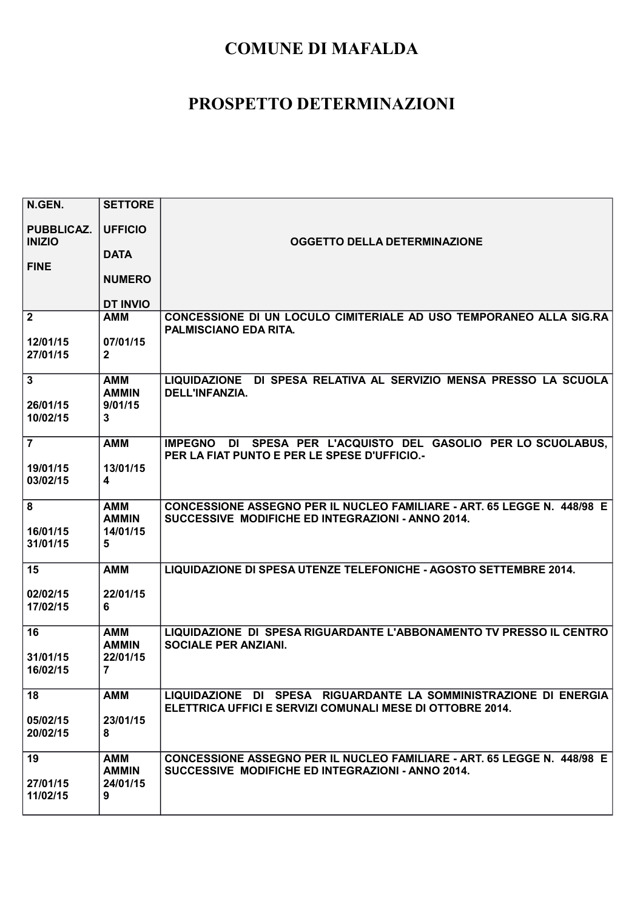| N.GEN.                               | <b>SETTORE</b>                             |                                                                                                                               |
|--------------------------------------|--------------------------------------------|-------------------------------------------------------------------------------------------------------------------------------|
| <b>PUBBLICAZ.</b><br><b>INIZIO</b>   | <b>UFFICIO</b>                             | <b>OGGETTO DELLA DETERMINAZIONE</b>                                                                                           |
|                                      | <b>DATA</b>                                |                                                                                                                               |
| <b>FINE</b>                          | <b>NUMERO</b>                              |                                                                                                                               |
|                                      | <b>DT INVIO</b>                            |                                                                                                                               |
| $\mathbf{2}$                         | <b>AMM</b>                                 | CONCESSIONE DI UN LOCULO CIMITERIALE AD USO TEMPORANEO ALLA SIG.RA<br>PALMISCIANO EDA RITA.                                   |
| 12/01/15<br>27/01/15                 | 07/01/15<br>$\overline{2}$                 |                                                                                                                               |
| $\mathbf{3}$<br>26/01/15<br>10/02/15 | <b>AMM</b><br><b>AMMIN</b><br>9/01/15<br>3 | LIQUIDAZIONE DI SPESA RELATIVA AL SERVIZIO MENSA PRESSO LA SCUOLA<br>DELL'INFANZIA.                                           |
| $\overline{7}$                       | <b>AMM</b>                                 | IMPEGNO DI SPESA PER L'ACQUISTO DEL GASOLIO PER LO SCUOLABUS.<br>PER LA FIAT PUNTO E PER LE SPESE D'UFFICIO.-                 |
| 19/01/15<br>03/02/15                 | 13/01/15<br>$\overline{\mathbf{4}}$        |                                                                                                                               |
| 8<br>16/01/15<br>31/01/15            | AMM<br><b>AMMIN</b><br>14/01/15<br>5       | CONCESSIONE ASSEGNO PER IL NUCLEO FAMILIARE - ART. 65 LEGGE N. 448/98 E<br>SUCCESSIVE MODIFICHE ED INTEGRAZIONI - ANNO 2014.  |
| 15                                   | <b>AMM</b>                                 | LIQUIDAZIONE DI SPESA UTENZE TELEFONICHE - AGOSTO SETTEMBRE 2014.                                                             |
| 02/02/15<br>17/02/15                 | 22/01/15<br>6                              |                                                                                                                               |
| 16                                   | <b>AMM</b><br><b>AMMIN</b>                 | LIQUIDAZIONE DI SPESA RIGUARDANTE L'ABBONAMENTO TV PRESSO IL CENTRO<br><b>SOCIALE PER ANZIANI.</b>                            |
| 31/01/15<br>16/02/15                 | 22/01/15<br>$\overline{7}$                 |                                                                                                                               |
| 18                                   | <b>AMM</b>                                 | LIQUIDAZIONE DI SPESA RIGUARDANTE LA SOMMINISTRAZIONE DI ENERGIA<br>ELETTRICA UFFICI E SERVIZI COMUNALI MESE DI OTTOBRE 2014. |
| 05/02/15<br>20/02/15                 | 23/01/15<br>8                              |                                                                                                                               |
| 19                                   | <b>AMM</b><br><b>AMMIN</b>                 | CONCESSIONE ASSEGNO PER IL NUCLEO FAMILIARE - ART. 65 LEGGE N. 448/98 E<br>SUCCESSIVE MODIFICHE ED INTEGRAZIONI - ANNO 2014.  |
| 27/01/15<br>11/02/15                 | 24/01/15<br>9                              |                                                                                                                               |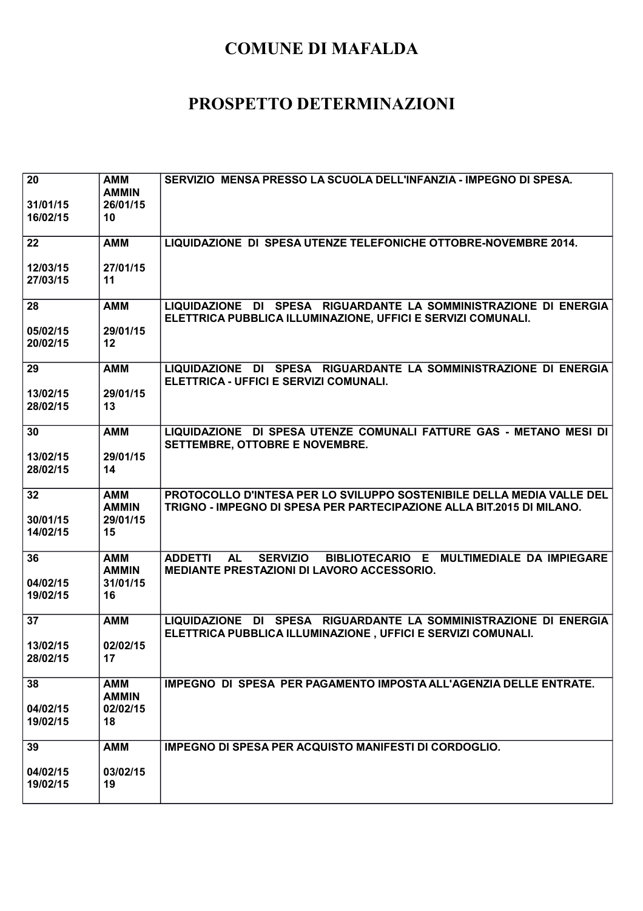| $\overline{20}$<br>31/01/15<br>16/02/15 | <b>AMM</b><br><b>AMMIN</b><br>26/01/15<br>10 | SERVIZIO MENSA PRESSO LA SCUOLA DELL'INFANZIA - IMPEGNO DI SPESA.                                                                              |
|-----------------------------------------|----------------------------------------------|------------------------------------------------------------------------------------------------------------------------------------------------|
| 22                                      | <b>AMM</b>                                   | LIQUIDAZIONE DI SPESA UTENZE TELEFONICHE OTTOBRE-NOVEMBRE 2014.                                                                                |
| 12/03/15<br>27/03/15                    | 27/01/15<br>11                               |                                                                                                                                                |
| 28                                      | <b>AMM</b>                                   | LIQUIDAZIONE DI SPESA RIGUARDANTE LA SOMMINISTRAZIONE DI ENERGIA<br>ELETTRICA PUBBLICA ILLUMINAZIONE, UFFICI E SERVIZI COMUNALI.               |
| 05/02/15<br>20/02/15                    | 29/01/15<br>12                               |                                                                                                                                                |
| 29                                      | <b>AMM</b>                                   | LIQUIDAZIONE DI SPESA RIGUARDANTE LA SOMMINISTRAZIONE DI ENERGIA<br>ELETTRICA - UFFICI E SERVIZI COMUNALI.                                     |
| 13/02/15<br>28/02/15                    | 29/01/15<br>13                               |                                                                                                                                                |
| 30                                      | <b>AMM</b>                                   | LIQUIDAZIONE DI SPESA UTENZE COMUNALI FATTURE GAS - METANO MESI DI<br><b>SETTEMBRE, OTTOBRE E NOVEMBRE.</b>                                    |
| 13/02/15<br>28/02/15                    | 29/01/15<br>14                               |                                                                                                                                                |
| 32<br>30/01/15<br>14/02/15              | <b>AMM</b><br><b>AMMIN</b><br>29/01/15<br>15 | PROTOCOLLO D'INTESA PER LO SVILUPPO SOSTENIBILE DELLA MEDIA VALLE DEL<br>TRIGNO - IMPEGNO DI SPESA PER PARTECIPAZIONE ALLA BIT.2015 DI MILANO. |
| 36                                      | <b>AMM</b><br><b>AMMIN</b>                   | <b>AL</b><br><b>SERVIZIO</b><br>BIBLIOTECARIO E MULTIMEDIALE DA IMPIEGARE<br><b>ADDETTI</b><br>MEDIANTE PRESTAZIONI DI LAVORO ACCESSORIO.      |
| 04/02/15<br>19/02/15                    | 31/01/15<br>16                               |                                                                                                                                                |
| 37                                      | <b>AMM</b>                                   | LIQUIDAZIONE DI SPESA RIGUARDANTE LA SOMMINISTRAZIONE DI ENERGIA<br>ELETTRICA PUBBLICA ILLUMINAZIONE, UFFICI E SERVIZI COMUNALI.               |
| 13/02/15<br>28/02/15                    | 02/02/15<br>17                               |                                                                                                                                                |
| 38                                      | <b>AMM</b><br><b>AMMIN</b>                   | IMPEGNO DI SPESA PER PAGAMENTO IMPOSTA ALL'AGENZIA DELLE ENTRATE.                                                                              |
| 04/02/15<br>19/02/15                    | 02/02/15<br>18                               |                                                                                                                                                |
| 39                                      | <b>AMM</b>                                   | IMPEGNO DI SPESA PER ACQUISTO MANIFESTI DI CORDOGLIO.                                                                                          |
| 04/02/15<br>19/02/15                    | 03/02/15<br>19                               |                                                                                                                                                |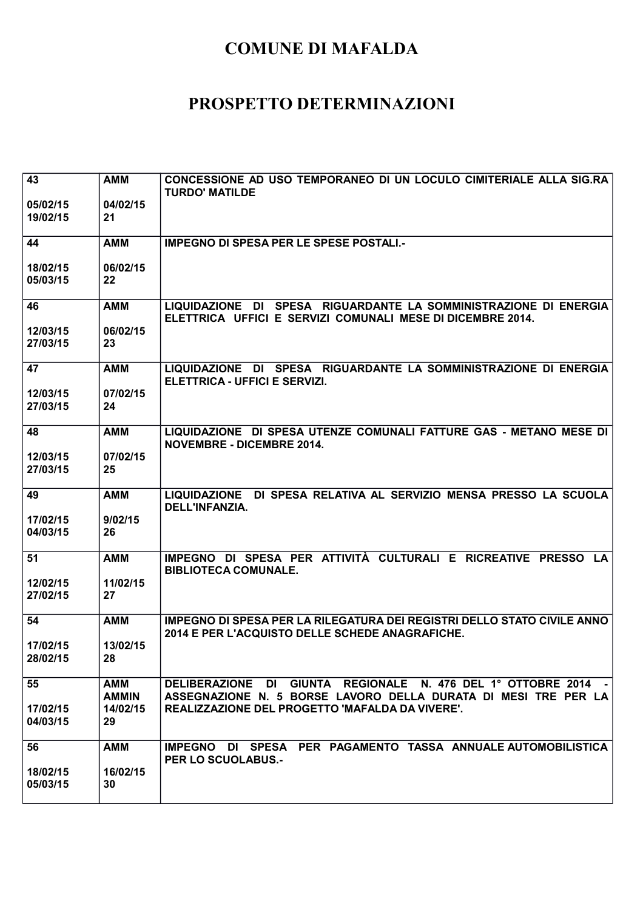| 43                   | <b>AMM</b>                 | CONCESSIONE AD USO TEMPORANEO DI UN LOCULO CIMITERIALE ALLA SIG.RA<br><b>TURDO' MATILDE</b>                                      |
|----------------------|----------------------------|----------------------------------------------------------------------------------------------------------------------------------|
| 05/02/15<br>19/02/15 | 04/02/15<br>21             |                                                                                                                                  |
| 44                   | <b>AMM</b>                 | <b>IMPEGNO DI SPESA PER LE SPESE POSTALI.-</b>                                                                                   |
| 18/02/15<br>05/03/15 | 06/02/15<br>22             |                                                                                                                                  |
| 46                   | <b>AMM</b>                 | LIQUIDAZIONE DI SPESA RIGUARDANTE LA SOMMINISTRAZIONE DI ENERGIA<br>ELETTRICA UFFICI E SERVIZI COMUNALI MESE DI DICEMBRE 2014.   |
| 12/03/15<br>27/03/15 | 06/02/15<br>23             |                                                                                                                                  |
| 47                   | <b>AMM</b>                 | LIQUIDAZIONE DI SPESA RIGUARDANTE LA SOMMINISTRAZIONE DI ENERGIA<br>ELETTRICA - UFFICI E SERVIZI.                                |
| 12/03/15<br>27/03/15 | 07/02/15<br>24             |                                                                                                                                  |
| 48                   | <b>AMM</b>                 | LIQUIDAZIONE DI SPESA UTENZE COMUNALI FATTURE GAS - METANO MESE DI<br><b>NOVEMBRE - DICEMBRE 2014.</b>                           |
| 12/03/15<br>27/03/15 | 07/02/15<br>25             |                                                                                                                                  |
| 49                   | <b>AMM</b>                 | LIQUIDAZIONE DI SPESA RELATIVA AL SERVIZIO MENSA PRESSO LA SCUOLA<br>DELL'INFANZIA.                                              |
| 17/02/15<br>04/03/15 | 9/02/15<br>26              |                                                                                                                                  |
| 51                   | <b>AMM</b>                 | IMPEGNO DI SPESA PER ATTIVITÀ CULTURALI E RICREATIVE PRESSO<br>LA.<br><b>BIBLIOTECA COMUNALE.</b>                                |
| 12/02/15<br>27/02/15 | 11/02/15<br>27             |                                                                                                                                  |
| 54                   | <b>AMM</b>                 | IMPEGNO DI SPESA PER LA RILEGATURA DEI REGISTRI DELLO STATO CIVILE ANNO<br>2014 E PER L'ACQUISTO DELLE SCHEDE ANAGRAFICHE.       |
| 17/02/15<br>28/02/15 | 13/02/15<br>28             |                                                                                                                                  |
| 55                   | <b>AMM</b><br><b>AMMIN</b> | DELIBERAZIONE DI GIUNTA REGIONALE N. 476 DEL 1º OTTOBRE 2014 -<br>ASSEGNAZIONE N. 5 BORSE LAVORO DELLA DURATA DI MESI TRE PER LA |
| 17/02/15<br>04/03/15 | 14/02/15<br>29             | REALIZZAZIONE DEL PROGETTO 'MAFALDA DA VIVERE'.                                                                                  |
| 56                   | <b>AMM</b>                 | IMPEGNO DI SPESA PER PAGAMENTO TASSA ANNUALE AUTOMOBILISTICA<br><b>PER LO SCUOLABUS.-</b>                                        |
| 18/02/15<br>05/03/15 | 16/02/15<br>30             |                                                                                                                                  |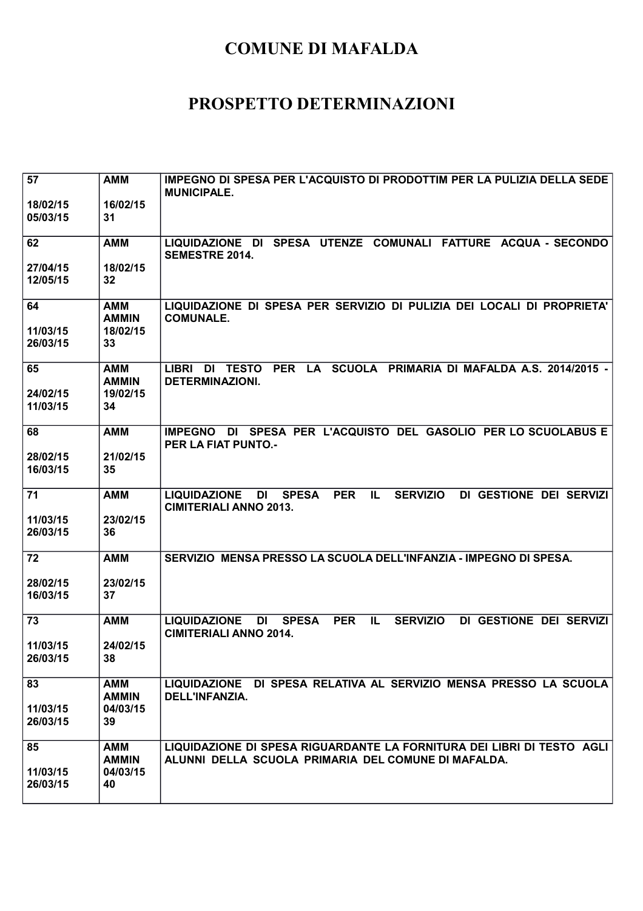| 57<br>18/02/15<br>05/03/15 | <b>AMM</b><br>16/02/15<br>31           | IMPEGNO DI SPESA PER L'ACQUISTO DI PRODOTTIM PER LA PULIZIA DELLA SEDE<br><b>MUNICIPALE.</b>                                                         |
|----------------------------|----------------------------------------|------------------------------------------------------------------------------------------------------------------------------------------------------|
| 62                         | <b>AMM</b>                             | SPESA UTENZE COMUNALI FATTURE ACQUA - SECONDO<br>LIQUIDAZIONE DI<br><b>SEMESTRE 2014.</b>                                                            |
| 27/04/15<br>12/05/15       | 18/02/15<br>32                         |                                                                                                                                                      |
| 64<br>11/03/15             | <b>AMM</b><br><b>AMMIN</b><br>18/02/15 | LIQUIDAZIONE DI SPESA PER SERVIZIO DI PULIZIA DEI LOCALI DI PROPRIETA'<br><b>COMUNALE.</b>                                                           |
| 26/03/15                   | 33                                     |                                                                                                                                                      |
| 65<br>24/02/15             | <b>AMM</b><br><b>AMMIN</b><br>19/02/15 | SCUOLA PRIMARIA DI MAFALDA A.S. 2014/2015 -<br><b>LIBRI</b><br><b>TESTO</b><br><b>PER</b><br><b>LA</b><br>DI<br><b>DETERMINAZIONI.</b>               |
| 11/03/15                   | 34                                     |                                                                                                                                                      |
| 68                         | <b>AMM</b>                             | IMPEGNO DI SPESA PER L'ACQUISTO DEL GASOLIO PER LO SCUOLABUS E<br><b>PER LA FIAT PUNTO.-</b>                                                         |
| 28/02/15<br>16/03/15       | 21/02/15<br>35                         |                                                                                                                                                      |
| 71                         | <b>AMM</b>                             | <b>PER</b><br>IL.<br><b>SERVIZIO</b><br>DI GESTIONE DEI SERVIZI<br><b>LIQUIDAZIONE</b><br><b>DI</b><br><b>SPESA</b><br><b>CIMITERIALI ANNO 2013.</b> |
| 11/03/15<br>26/03/15       | 23/02/15<br>36                         |                                                                                                                                                      |
| 72                         | <b>AMM</b>                             | SERVIZIO MENSA PRESSO LA SCUOLA DELL'INFANZIA - IMPEGNO DI SPESA.                                                                                    |
| 28/02/15<br>16/03/15       | 23/02/15<br>37                         |                                                                                                                                                      |
| 73                         | <b>AMM</b>                             | <b>PER</b><br><b>LIQUIDAZIONE</b><br>DI<br><b>SPESA</b><br>IL.<br><b>SERVIZIO</b><br>DI GESTIONE DEI SERVIZI<br><b>CIMITERIALI ANNO 2014.</b>        |
| 11/03/15<br>26/03/15       | 24/02/15<br>38                         |                                                                                                                                                      |
| 83                         | AMM<br><b>AMMIN</b>                    | LIQUIDAZIONE DI SPESA RELATIVA AL SERVIZIO MENSA PRESSO LA SCUOLA<br>DELL'INFANZIA.                                                                  |
| 11/03/15<br>26/03/15       | 04/03/15<br>39                         |                                                                                                                                                      |
| 85                         | <b>AMM</b><br><b>AMMIN</b>             | LIQUIDAZIONE DI SPESA RIGUARDANTE LA FORNITURA DEI LIBRI DI TESTO AGLI<br>ALUNNI DELLA SCUOLA PRIMARIA DEL COMUNE DI MAFALDA.                        |
| 11/03/15<br>26/03/15       | 04/03/15<br>40                         |                                                                                                                                                      |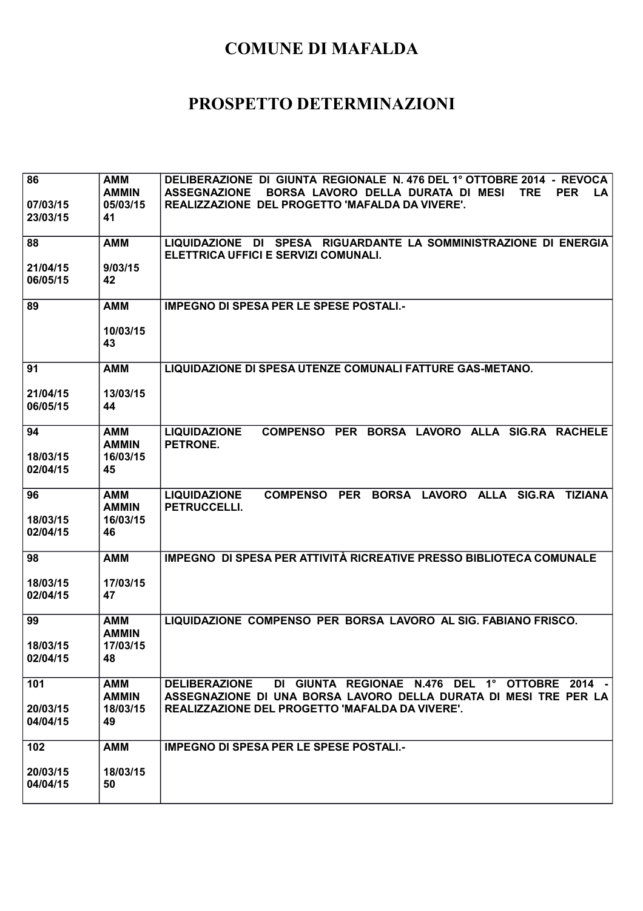| 86                   | <b>AMM</b>          | DELIBERAZIONE DI GIUNTA REGIONALE N. 476 DEL 1º OTTOBRE 2014 - REVOCA                |
|----------------------|---------------------|--------------------------------------------------------------------------------------|
|                      | <b>AMMIN</b>        | <b>ASSEGNAZIONE</b><br>BORSA LAVORO DELLA DURATA DI MESI<br>TRE<br><b>PER</b><br>LA. |
| 07/03/15             | 05/03/15            | REALIZZAZIONE DEL PROGETTO 'MAFALDA DA VIVERE'.                                      |
| 23/03/15             | 41                  |                                                                                      |
|                      |                     |                                                                                      |
| 88                   | <b>AMM</b>          | LIQUIDAZIONE DI SPESA RIGUARDANTE LA SOMMINISTRAZIONE DI ENERGIA                     |
|                      | 9/03/15             | ELETTRICA UFFICI E SERVIZI COMUNALI.                                                 |
| 21/04/15<br>06/05/15 | 42                  |                                                                                      |
|                      |                     |                                                                                      |
| 89                   | <b>AMM</b>          | <b>IMPEGNO DI SPESA PER LE SPESE POSTALI.-</b>                                       |
|                      |                     |                                                                                      |
|                      | 10/03/15            |                                                                                      |
|                      | 43                  |                                                                                      |
|                      |                     |                                                                                      |
| 91                   | <b>AMM</b>          | LIQUIDAZIONE DI SPESA UTENZE COMUNALI FATTURE GAS-METANO.                            |
|                      |                     |                                                                                      |
| 21/04/15             | 13/03/15            |                                                                                      |
| 06/05/15             | 44                  |                                                                                      |
| 94                   |                     | <b>LIQUIDAZIONE</b><br>COMPENSO PER BORSA LAVORO ALLA SIG.RA RACHELE                 |
|                      | AMM<br><b>AMMIN</b> | PETRONE.                                                                             |
| 18/03/15             | 16/03/15            |                                                                                      |
| 02/04/15             | 45                  |                                                                                      |
|                      |                     |                                                                                      |
|                      | <b>AMM</b>          | PER BORSA LAVORO ALLA SIG.RA TIZIANA<br><b>LIQUIDAZIONE</b><br><b>COMPENSO</b>       |
| 96                   |                     |                                                                                      |
|                      | <b>AMMIN</b>        | PETRUCCELLI.                                                                         |
| 18/03/15             | 16/03/15            |                                                                                      |
| 02/04/15             | 46                  |                                                                                      |
|                      |                     |                                                                                      |
| 98                   | <b>AMM</b>          | IMPEGNO DI SPESA PER ATTIVITÀ RICREATIVE PRESSO BIBLIOTECA COMUNALE                  |
|                      |                     |                                                                                      |
| 18/03/15             | 17/03/15            |                                                                                      |
| 02/04/15             | 47                  |                                                                                      |
| 99                   | <b>AMM</b>          | LIQUIDAZIONE COMPENSO PER BORSA LAVORO AL SIG. FABIANO FRISCO.                       |
|                      | <b>AMMIN</b>        |                                                                                      |
| 18/03/15             | 17/03/15            |                                                                                      |
| 02/04/15             | 48                  |                                                                                      |
|                      |                     |                                                                                      |
| 101                  | <b>AMM</b>          | DI GIUNTA REGIONAE N.476 DEL 1º OTTOBRE 2014 -<br><b>DELIBERAZIONE</b>               |
|                      | <b>AMMIN</b>        | ASSEGNAZIONE DI UNA BORSA LAVORO DELLA DURATA DI MESI TRE PER LA                     |
| 20/03/15             | 18/03/15            | REALIZZAZIONE DEL PROGETTO 'MAFALDA DA VIVERE'.                                      |
| 04/04/15             | 49                  |                                                                                      |
|                      |                     |                                                                                      |
| 102                  | <b>AMM</b>          | <b>IMPEGNO DI SPESA PER LE SPESE POSTALI.-</b>                                       |
| 20/03/15             | 18/03/15            |                                                                                      |
| 04/04/15             | 50                  |                                                                                      |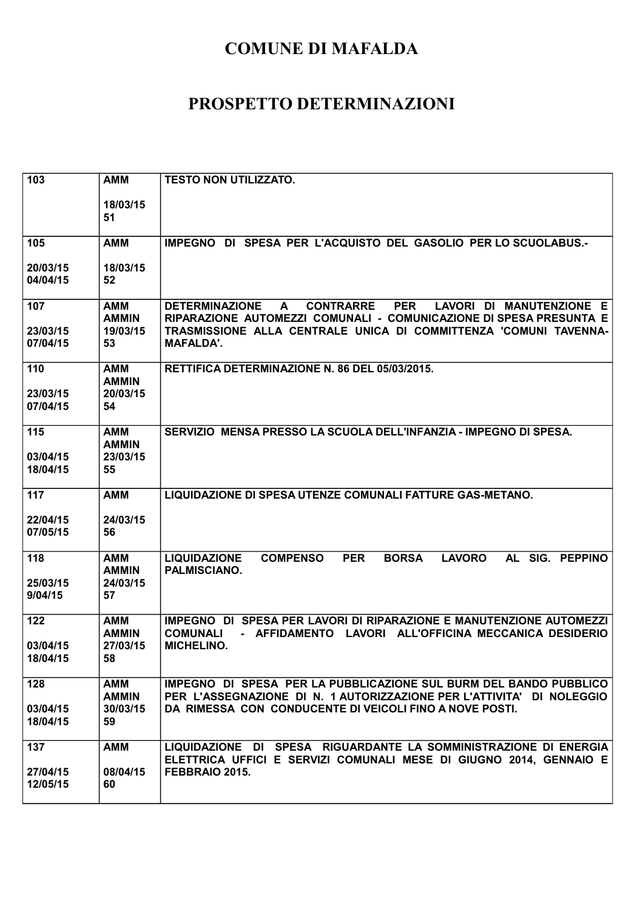| 103                         | <b>AMM</b>                                   | <b>TESTO NON UTILIZZATO.</b>                                                                                                                                                                                                                           |
|-----------------------------|----------------------------------------------|--------------------------------------------------------------------------------------------------------------------------------------------------------------------------------------------------------------------------------------------------------|
|                             | 18/03/15<br>51                               |                                                                                                                                                                                                                                                        |
| 105                         | <b>AMM</b>                                   | IMPEGNO DI SPESA PER L'ACQUISTO DEL GASOLIO PER LO SCUOLABUS.-                                                                                                                                                                                         |
| 20/03/15<br>04/04/15        | 18/03/15<br>52                               |                                                                                                                                                                                                                                                        |
| 107<br>23/03/15<br>07/04/15 | AMM<br><b>AMMIN</b><br>19/03/15<br>53        | <b>CONTRARRE</b><br><b>PER</b><br>LAVORI DI MANUTENZIONE E<br><b>DETERMINAZIONE</b><br>A<br>RIPARAZIONE AUTOMEZZI COMUNALI - COMUNICAZIONE DI SPESA PRESUNTA E<br>TRASMISSIONE ALLA CENTRALE UNICA DI COMMITTENZA 'COMUNI TAVENNA-<br><b>MAFALDA'.</b> |
| 110<br>23/03/15<br>07/04/15 | AMM<br><b>AMMIN</b><br>20/03/15<br>54        | RETTIFICA DETERMINAZIONE N. 86 DEL 05/03/2015.                                                                                                                                                                                                         |
| 115<br>03/04/15<br>18/04/15 | <b>AMM</b><br><b>AMMIN</b><br>23/03/15<br>55 | SERVIZIO MENSA PRESSO LA SCUOLA DELL'INFANZIA - IMPEGNO DI SPESA.                                                                                                                                                                                      |
| 117<br>22/04/15<br>07/05/15 | <b>AMM</b><br>24/03/15<br>56                 | LIQUIDAZIONE DI SPESA UTENZE COMUNALI FATTURE GAS-METANO.                                                                                                                                                                                              |
| 118<br>25/03/15<br>9/04/15  | <b>AMM</b><br><b>AMMIN</b><br>24/03/15<br>57 | <b>LAVORO</b><br>AL SIG. PEPPINO<br><b>LIQUIDAZIONE</b><br><b>COMPENSO</b><br><b>PER</b><br><b>BORSA</b><br>PALMISCIANO.                                                                                                                               |
| 122<br>03/04/15<br>18/04/15 | <b>AMM</b><br><b>AMMIN</b><br>27/03/15<br>58 | IMPEGNO DI SPESA PER LAVORI DI RIPARAZIONE E MANUTENZIONE AUTOMEZZI<br><b>COMUNALI</b><br>- AFFIDAMENTO LAVORI ALL'OFFICINA MECCANICA DESIDERIO<br><b>MICHELINO.</b>                                                                                   |
| 128<br>03/04/15<br>18/04/15 | <b>AMM</b><br><b>AMMIN</b><br>30/03/15<br>59 | IMPEGNO DI SPESA PER LA PUBBLICAZIONE SUL BURM DEL BANDO PUBBLICO<br>PER L'ASSEGNAZIONE DI N. 1 AUTORIZZAZIONE PER L'ATTIVITA' DI NOLEGGIO<br>DA RIMESSA CON CONDUCENTE DI VEICOLI FINO A NOVE POSTI.                                                  |
| 137<br>27/04/15<br>12/05/15 | <b>AMM</b><br>08/04/15<br>60                 | LIQUIDAZIONE DI SPESA RIGUARDANTE LA SOMMINISTRAZIONE DI ENERGIA<br>ELETTRICA UFFICI E SERVIZI COMUNALI MESE DI GIUGNO 2014, GENNAIO E<br>FEBBRAIO 2015.                                                                                               |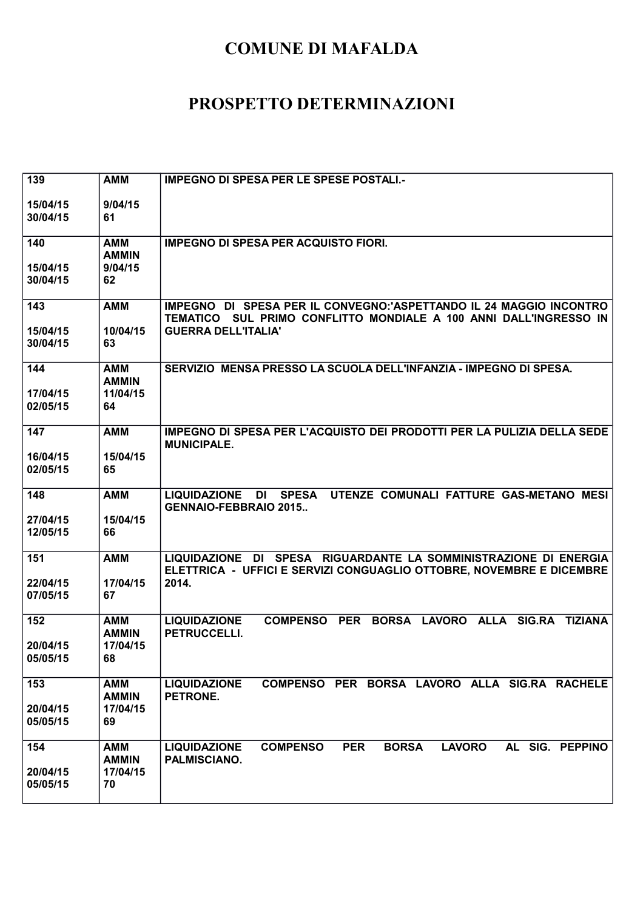| 139      | <b>AMM</b>                 | <b>IMPEGNO DI SPESA PER LE SPESE POSTALI.-</b>                                                                                           |
|----------|----------------------------|------------------------------------------------------------------------------------------------------------------------------------------|
| 15/04/15 | 9/04/15                    |                                                                                                                                          |
| 30/04/15 | 61                         |                                                                                                                                          |
| 140      | <b>AMM</b><br><b>AMMIN</b> | <b>IMPEGNO DI SPESA PER ACQUISTO FIORI.</b>                                                                                              |
| 15/04/15 | 9/04/15                    |                                                                                                                                          |
| 30/04/15 | 62                         |                                                                                                                                          |
| 143      | <b>AMM</b>                 | IMPEGNO DI SPESA PER IL CONVEGNO:'ASPETTANDO IL 24 MAGGIO INCONTRO                                                                       |
| 15/04/15 | 10/04/15                   | TEMATICO SUL PRIMO CONFLITTO MONDIALE A 100 ANNI DALL'INGRESSO IN<br><b>GUERRA DELL'ITALIA'</b>                                          |
| 30/04/15 | 63                         |                                                                                                                                          |
| 144      | <b>AMM</b>                 | SERVIZIO MENSA PRESSO LA SCUOLA DELL'INFANZIA - IMPEGNO DI SPESA.                                                                        |
| 17/04/15 | <b>AMMIN</b><br>11/04/15   |                                                                                                                                          |
| 02/05/15 | 64                         |                                                                                                                                          |
| 147      | <b>AMM</b>                 | IMPEGNO DI SPESA PER L'ACQUISTO DEI PRODOTTI PER LA PULIZIA DELLA SEDE<br><b>MUNICIPALE.</b>                                             |
| 16/04/15 | 15/04/15                   |                                                                                                                                          |
| 02/05/15 | 65                         |                                                                                                                                          |
| 148      | <b>AMM</b>                 | DI SPESA UTENZE COMUNALI FATTURE GAS-METANO MESI<br><b>LIQUIDAZIONE</b><br><b>GENNAIO-FEBBRAIO 2015</b>                                  |
| 27/04/15 | 15/04/15                   |                                                                                                                                          |
| 12/05/15 | 66                         |                                                                                                                                          |
| 151      | <b>AMM</b>                 | LIQUIDAZIONE DI SPESA RIGUARDANTE LA SOMMINISTRAZIONE DI ENERGIA<br>ELETTRICA - UFFICI E SERVIZI CONGUAGLIO OTTOBRE, NOVEMBRE E DICEMBRE |
| 22/04/15 | 17/04/15                   | 2014.                                                                                                                                    |
| 07/05/15 | 67                         |                                                                                                                                          |
| 152      | AMM<br><b>AMMIN</b>        | <b>LIQUIDAZIONE</b><br>COMPENSO PER BORSA LAVORO ALLA SIG.RA TIZIANA<br><b>PETRUCCELLI.</b>                                              |
| 20/04/15 | 17/04/15                   |                                                                                                                                          |
| 05/05/15 | 68                         |                                                                                                                                          |
| 153      | <b>AMM</b><br><b>AMMIN</b> | COMPENSO PER BORSA LAVORO ALLA SIG.RA RACHELE<br><b>LIQUIDAZIONE</b><br>PETRONE.                                                         |
| 20/04/15 | 17/04/15                   |                                                                                                                                          |
| 05/05/15 | 69                         |                                                                                                                                          |
| 154      | <b>AMM</b>                 | <b>COMPENSO</b><br><b>PER</b><br><b>BORSA</b><br><b>LAVORO</b><br>AL SIG. PEPPINO<br><b>LIQUIDAZIONE</b>                                 |
| 20/04/15 | <b>AMMIN</b><br>17/04/15   | PALMISCIANO.                                                                                                                             |
| 05/05/15 | 70                         |                                                                                                                                          |
|          |                            |                                                                                                                                          |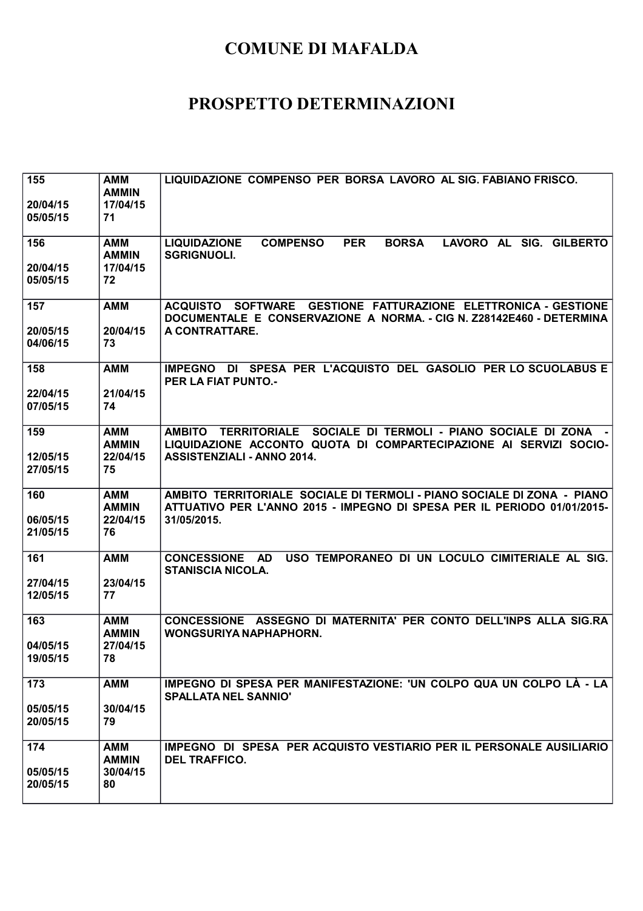| 155<br>20/04/15<br>05/05/15 | <b>AMM</b><br><b>AMMIN</b><br>17/04/15<br>71 | LIQUIDAZIONE COMPENSO PER BORSA LAVORO AL SIG. FABIANO FRISCO.                                                                                                                               |
|-----------------------------|----------------------------------------------|----------------------------------------------------------------------------------------------------------------------------------------------------------------------------------------------|
| 156<br>20/04/15<br>05/05/15 | <b>AMM</b><br><b>AMMIN</b><br>17/04/15<br>72 | LAVORO AL SIG. GILBERTO<br><b>COMPENSO</b><br><b>PER</b><br><b>BORSA</b><br><b>LIQUIDAZIONE</b><br><b>SGRIGNUOLI.</b>                                                                        |
| 157<br>20/05/15<br>04/06/15 | <b>AMM</b><br>20/04/15<br>73                 | ACQUISTO SOFTWARE GESTIONE FATTURAZIONE ELETTRONICA - GESTIONE<br>DOCUMENTALE E CONSERVAZIONE A NORMA. - CIG N. Z28142E460 - DETERMINA<br>A CONTRATTARE.                                     |
| 158<br>22/04/15<br>07/05/15 | <b>AMM</b><br>21/04/15<br>74                 | IMPEGNO DI SPESA PER L'ACQUISTO DEL GASOLIO PER LO SCUOLABUS E<br><b>PER LA FIAT PUNTO.-</b>                                                                                                 |
| 159<br>12/05/15<br>27/05/15 | <b>AMM</b><br><b>AMMIN</b><br>22/04/15<br>75 | SOCIALE DI TERMOLI - PIANO SOCIALE DI ZONA<br><b>TERRITORIALE</b><br><b>AMBITO</b><br>LIQUIDAZIONE ACCONTO QUOTA DI COMPARTECIPAZIONE AI SERVIZI SOCIO-<br><b>ASSISTENZIALI - ANNO 2014.</b> |
| 160<br>06/05/15<br>21/05/15 | <b>AMM</b><br><b>AMMIN</b><br>22/04/15<br>76 | AMBITO TERRITORIALE SOCIALE DI TERMOLI - PIANO SOCIALE DI ZONA - PIANO<br>ATTUATIVO PER L'ANNO 2015 - IMPEGNO DI SPESA PER IL PERIODO 01/01/2015-<br>31/05/2015.                             |
| 161<br>27/04/15<br>12/05/15 | <b>AMM</b><br>23/04/15<br>77                 | USO TEMPORANEO DI UN LOCULO CIMITERIALE AL SIG.<br><b>CONCESSIONE</b><br>AD.<br><b>STANISCIA NICOLA.</b>                                                                                     |
| 163<br>04/05/15<br>19/05/15 | <b>AMM</b><br><b>AMMIN</b><br>27/04/15<br>78 | CONCESSIONE ASSEGNO DI MATERNITA' PER CONTO DELL'INPS ALLA SIG.RA<br>WONGSURIYA NAPHAPHORN.                                                                                                  |
| 173<br>05/05/15<br>20/05/15 | <b>AMM</b><br>30/04/15<br>79                 | IMPEGNO DI SPESA PER MANIFESTAZIONE: 'UN COLPO QUA UN COLPO LÀ - LA<br><b>SPALLATA NEL SANNIO'</b>                                                                                           |
| 174<br>05/05/15<br>20/05/15 | <b>AMM</b><br><b>AMMIN</b><br>30/04/15<br>80 | IMPEGNO DI SPESA PER ACQUISTO VESTIARIO PER IL PERSONALE AUSILIARIO<br><b>DEL TRAFFICO.</b>                                                                                                  |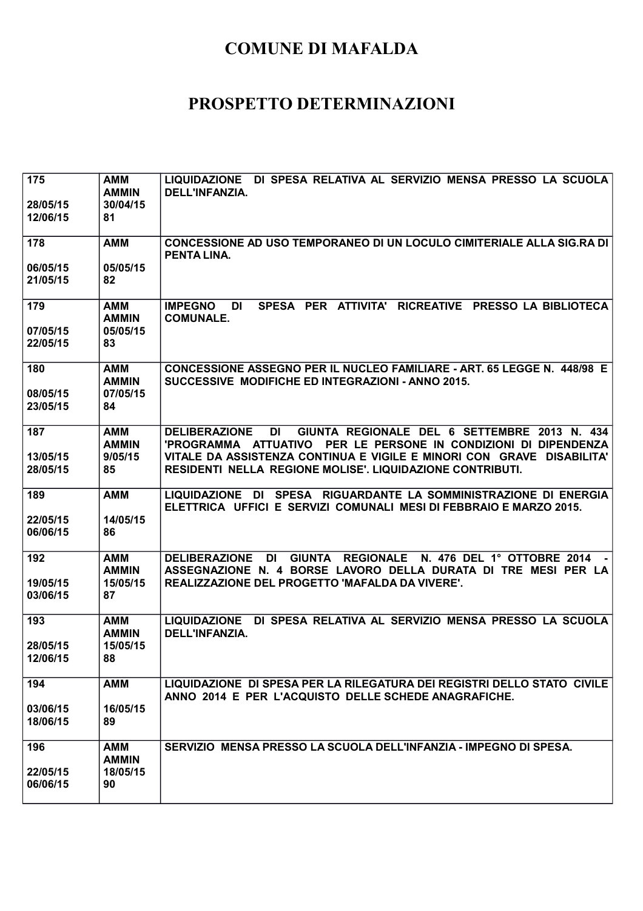| 175<br>28/05/15<br>12/06/15 | <b>AMM</b><br><b>AMMIN</b><br>30/04/15<br>81 | LIQUIDAZIONE DI SPESA RELATIVA AL SERVIZIO MENSA PRESSO LA SCUOLA<br>DELL'INFANZIA.                                                                                    |
|-----------------------------|----------------------------------------------|------------------------------------------------------------------------------------------------------------------------------------------------------------------------|
| 178                         | <b>AMM</b>                                   | CONCESSIONE AD USO TEMPORANEO DI UN LOCULO CIMITERIALE ALLA SIG.RA DI<br><b>PENTA LINA.</b>                                                                            |
| 06/05/15<br>21/05/15        | 05/05/15<br>82                               |                                                                                                                                                                        |
| 179<br>07/05/15             | <b>AMM</b><br><b>AMMIN</b><br>05/05/15       | SPESA PER ATTIVITA'<br><b>IMPEGNO</b><br><b>DI</b><br>RICREATIVE PRESSO LA BIBLIOTECA<br><b>COMUNALE.</b>                                                              |
| 22/05/15                    | 83                                           |                                                                                                                                                                        |
| 180<br>08/05/15             | <b>AMM</b><br><b>AMMIN</b><br>07/05/15       | CONCESSIONE ASSEGNO PER IL NUCLEO FAMILIARE - ART. 65 LEGGE N. 448/98 E<br>SUCCESSIVE MODIFICHE ED INTEGRAZIONI - ANNO 2015.                                           |
| 23/05/15                    | 84                                           |                                                                                                                                                                        |
| 187                         | <b>AMM</b><br><b>AMMIN</b>                   | <b>DELIBERAZIONE</b><br>DI<br>GIUNTA REGIONALE DEL 6 SETTEMBRE 2013 N. 434<br>'PROGRAMMA ATTUATIVO<br>PER LE PERSONE IN CONDIZIONI DI DIPENDENZA                       |
| 13/05/15<br>28/05/15        | 9/05/15<br>85                                | VITALE DA ASSISTENZA CONTINUA E VIGILE E MINORI CON GRAVE<br><b>DISABILITA'</b><br>RESIDENTI NELLA REGIONE MOLISE'. LIQUIDAZIONE CONTRIBUTI.                           |
| 189                         | <b>AMM</b>                                   | LIQUIDAZIONE DI<br>SPESA RIGUARDANTE LA SOMMINISTRAZIONE DI ENERGIA<br>ELETTRICA UFFICI E SERVIZI COMUNALI MESI DI FEBBRAIO E MARZO 2015.                              |
| 22/05/15<br>06/06/15        | 14/05/15<br>86                               |                                                                                                                                                                        |
| 192                         | <b>AMM</b><br><b>AMMIN</b>                   | <b>REGIONALE</b><br>N. 476 DEL 1° OTTOBRE 2014<br><b>DI</b><br><b>GIUNTA</b><br><b>DELIBERAZIONE</b><br>ASSEGNAZIONE N. 4 BORSE LAVORO DELLA DURATA DI TRE MESI PER LA |
| 19/05/15<br>03/06/15        | 15/05/15<br>87                               | REALIZZAZIONE DEL PROGETTO 'MAFALDA DA VIVERE'.                                                                                                                        |
| 193                         | <b>AMM</b><br><b>AMMIN</b>                   | LIQUIDAZIONE DI SPESA RELATIVA AL SERVIZIO MENSA PRESSO LA SCUOLA<br>DELL'INFANZIA.                                                                                    |
| 28/05/15<br>12/06/15        | 15/05/15<br>88                               |                                                                                                                                                                        |
| 194                         | <b>AMM</b>                                   | LIQUIDAZIONE DI SPESA PER LA RILEGATURA DEI REGISTRI DELLO STATO CIVILE<br>ANNO 2014 E PER L'ACQUISTO DELLE SCHEDE ANAGRAFICHE.                                        |
| 03/06/15<br>18/06/15        | 16/05/15<br>89                               |                                                                                                                                                                        |
| 196                         | <b>AMM</b><br><b>AMMIN</b>                   | SERVIZIO MENSA PRESSO LA SCUOLA DELL'INFANZIA - IMPEGNO DI SPESA.                                                                                                      |
| 22/05/15<br>06/06/15        | 18/05/15<br>90                               |                                                                                                                                                                        |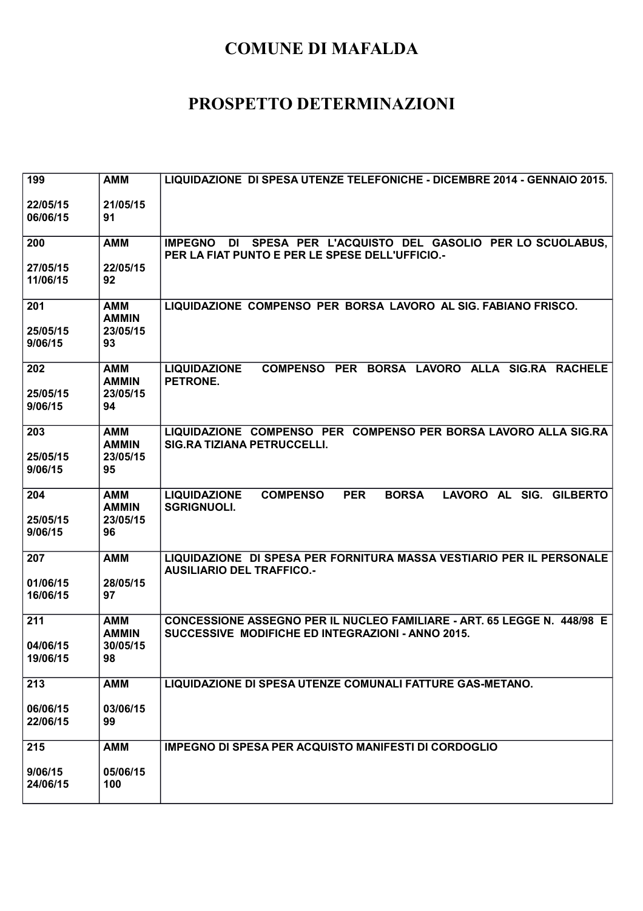| 199                        | <b>AMM</b>                                   | LIQUIDAZIONE DI SPESA UTENZE TELEFONICHE - DICEMBRE 2014 - GENNAIO 2015.                                                     |
|----------------------------|----------------------------------------------|------------------------------------------------------------------------------------------------------------------------------|
| 22/05/15<br>06/06/15       | 21/05/15<br>91                               |                                                                                                                              |
| 200                        | <b>AMM</b>                                   | SPESA PER L'ACQUISTO DEL GASOLIO PER LO SCUOLABUS,<br><b>IMPEGNO DI</b><br>PER LA FIAT PUNTO E PER LE SPESE DELL'UFFICIO.-   |
| 27/05/15<br>11/06/15       | 22/05/15<br>92                               |                                                                                                                              |
| 201<br>25/05/15<br>9/06/15 | <b>AMM</b><br><b>AMMIN</b><br>23/05/15<br>93 | LIQUIDAZIONE COMPENSO PER BORSA LAVORO AL SIG. FABIANO FRISCO.                                                               |
|                            |                                              |                                                                                                                              |
| 202<br>25/05/15<br>9/06/15 | AMM<br><b>AMMIN</b><br>23/05/15<br>94        | COMPENSO PER BORSA LAVORO ALLA SIG.RA RACHELE<br><b>LIQUIDAZIONE</b><br>PETRONE.                                             |
| 203                        | AMM<br><b>AMMIN</b>                          | LIQUIDAZIONE COMPENSO PER COMPENSO PER BORSA LAVORO ALLA SIG.RA<br><b>SIG.RA TIZIANA PETRUCCELLI.</b>                        |
| 25/05/15<br>9/06/15        | 23/05/15<br>95                               |                                                                                                                              |
| 204<br>25/05/15<br>9/06/15 | <b>AMM</b><br><b>AMMIN</b><br>23/05/15<br>96 | <b>COMPENSO</b><br><b>BORSA</b><br>LAVORO AL SIG. GILBERTO<br><b>LIQUIDAZIONE</b><br><b>PER</b><br><b>SGRIGNUOLI.</b>        |
| 207                        | <b>AMM</b>                                   | LIQUIDAZIONE DI SPESA PER FORNITURA MASSA VESTIARIO PER IL PERSONALE                                                         |
| 01/06/15<br>16/06/15       | 28/05/15<br>97                               | <b>AUSILIARIO DEL TRAFFICO.-</b>                                                                                             |
| 211                        | <b>AMM</b><br><b>AMMIN</b>                   | CONCESSIONE ASSEGNO PER IL NUCLEO FAMILIARE - ART. 65 LEGGE N. 448/98 E<br>SUCCESSIVE MODIFICHE ED INTEGRAZIONI - ANNO 2015. |
| 04/06/15<br>19/06/15       | 30/05/15<br>98                               |                                                                                                                              |
| 213                        | <b>AMM</b>                                   | <b>LIQUIDAZIONE DI SPESA UTENZE COMUNALI FATTURE GAS-METANO.</b>                                                             |
| 06/06/15<br>22/06/15       | 03/06/15<br>99                               |                                                                                                                              |
| 215                        | <b>AMM</b>                                   | <b>IMPEGNO DI SPESA PER ACQUISTO MANIFESTI DI CORDOGLIO</b>                                                                  |
| 9/06/15<br>24/06/15        | 05/06/15<br>100                              |                                                                                                                              |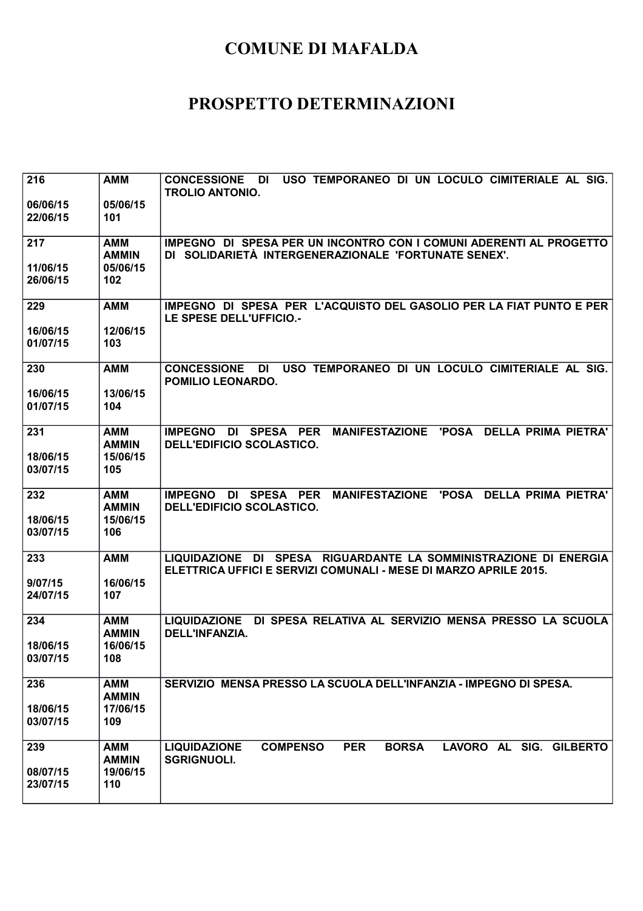| 216<br>06/06/15      | <b>AMM</b><br>05/06/15     | USO TEMPORANEO DI UN LOCULO CIMITERIALE AL SIG.<br><b>CONCESSIONE</b><br>DI<br><b>TROLIO ANTONIO.</b>                                          |
|----------------------|----------------------------|------------------------------------------------------------------------------------------------------------------------------------------------|
| 22/06/15             | 101                        |                                                                                                                                                |
| 217                  | <b>AMM</b><br><b>AMMIN</b> | IMPEGNO DI SPESA PER UN INCONTRO CON I COMUNI ADERENTI AL PROGETTO<br>DI SOLIDARIETÀ INTERGENERAZIONALE 'FORTUNATE SENEX'.                     |
| 11/06/15<br>26/06/15 | 05/06/15<br>102            |                                                                                                                                                |
| 229                  | <b>AMM</b>                 | IMPEGNO DI SPESA PER L'ACQUISTO DEL GASOLIO PER LA FIAT PUNTO E PER<br>LE SPESE DELL'UFFICIO.-                                                 |
| 16/06/15<br>01/07/15 | 12/06/15<br>103            |                                                                                                                                                |
| 230                  | <b>AMM</b>                 | USO TEMPORANEO DI UN LOCULO CIMITERIALE AL SIG.<br><b>CONCESSIONE</b><br><b>DI</b><br>POMILIO LEONARDO.                                        |
| 16/06/15<br>01/07/15 | 13/06/15<br>104            |                                                                                                                                                |
| 231                  | <b>AMM</b><br><b>AMMIN</b> | <b>MANIFESTAZIONE</b><br><b>DELLA PRIMA PIETRA'</b><br>SPESA PER<br><b>'POSA</b><br><b>IMPEGNO</b><br>DI<br><b>DELL'EDIFICIO SCOLASTICO.</b>   |
| 18/06/15<br>03/07/15 | 15/06/15<br>105            |                                                                                                                                                |
| 232                  | <b>AMM</b><br><b>AMMIN</b> | <b>'POSA</b><br><b>DELLA PRIMA PIETRA'</b><br><b>IMPEGNO</b><br>SPESA PER<br><b>MANIFESTAZIONE</b><br>DI<br><b>DELL'EDIFICIO SCOLASTICO.</b>   |
| 18/06/15<br>03/07/15 | 15/06/15<br>106            |                                                                                                                                                |
| 233                  | <b>AMM</b>                 | DI SPESA RIGUARDANTE LA SOMMINISTRAZIONE DI ENERGIA<br><b>LIQUIDAZIONE</b><br>ELETTRICA UFFICI E SERVIZI COMUNALI - MESE DI MARZO APRILE 2015. |
| 9/07/15<br>24/07/15  | 16/06/15<br>107            |                                                                                                                                                |
| 234                  | <b>AMM</b><br><b>AMMIN</b> | LIQUIDAZIONE DI SPESA RELATIVA AL SERVIZIO MENSA PRESSO LA SCUOLA<br>DELL'INFANZIA.                                                            |
| 18/06/15<br>03/07/15 | 16/06/15<br>108            |                                                                                                                                                |
| 236                  | <b>AMM</b><br><b>AMMIN</b> | SERVIZIO MENSA PRESSO LA SCUOLA DELL'INFANZIA - IMPEGNO DI SPESA.                                                                              |
| 18/06/15<br>03/07/15 | 17/06/15<br>109            |                                                                                                                                                |
| 239                  | <b>AMM</b><br><b>AMMIN</b> | <b>COMPENSO</b><br><b>PER</b><br><b>BORSA</b><br>LAVORO AL SIG. GILBERTO<br><b>LIQUIDAZIONE</b><br><b>SGRIGNUOLI.</b>                          |
| 08/07/15<br>23/07/15 | 19/06/15<br>110            |                                                                                                                                                |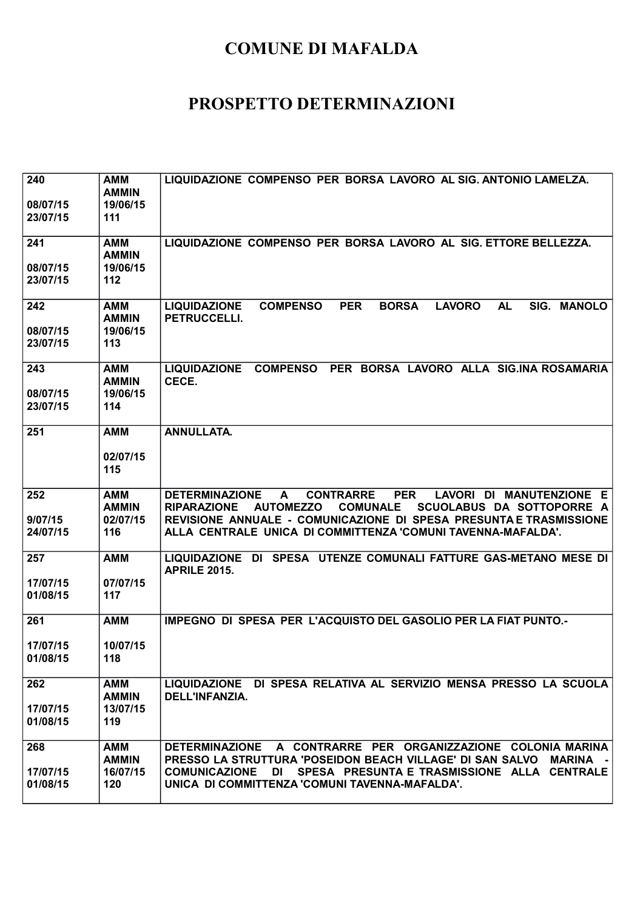| 240<br>08/07/15<br>23/07/15 | <b>AMM</b><br><b>AMMIN</b><br>19/06/15<br>111 | LIQUIDAZIONE COMPENSO PER BORSA LAVORO AL SIG. ANTONIO LAMELZA.                                                                                                                                                                                                                                                                     |
|-----------------------------|-----------------------------------------------|-------------------------------------------------------------------------------------------------------------------------------------------------------------------------------------------------------------------------------------------------------------------------------------------------------------------------------------|
| 241<br>08/07/15<br>23/07/15 | <b>AMM</b><br><b>AMMIN</b><br>19/06/15<br>112 | LIQUIDAZIONE COMPENSO PER BORSA LAVORO AL SIG. ETTORE BELLEZZA.                                                                                                                                                                                                                                                                     |
| 242<br>08/07/15<br>23/07/15 | AMM<br><b>AMMIN</b><br>19/06/15<br>113        | <b>PER</b><br><b>LIQUIDAZIONE</b><br><b>COMPENSO</b><br><b>BORSA</b><br><b>LAVORO</b><br><b>AL</b><br>SIG. MANOLO<br>PETRUCCELLI.                                                                                                                                                                                                   |
| 243<br>08/07/15<br>23/07/15 | <b>AMM</b><br><b>AMMIN</b><br>19/06/15<br>114 | LIQUIDAZIONE COMPENSO PER BORSA LAVORO ALLA SIG.INA ROSAMARIA<br>CECE.                                                                                                                                                                                                                                                              |
| 251                         | <b>AMM</b><br>02/07/15<br>115                 | <b>ANNULLATA.</b>                                                                                                                                                                                                                                                                                                                   |
| 252<br>9/07/15<br>24/07/15  | <b>AMM</b><br><b>AMMIN</b><br>02/07/15<br>116 | <b>DETERMINAZIONE</b><br><b>CONTRARRE</b><br><b>PER</b><br>LAVORI DI MANUTENZIONE E<br>$\mathbf{A}$<br><b>AUTOMEZZO</b><br><b>COMUNALE</b><br>SCUOLABUS DA SOTTOPORRE A<br><b>RIPARAZIONE</b><br>REVISIONE ANNUALE - COMUNICAZIONE DI SPESA PRESUNTA E TRASMISSIONE<br>ALLA CENTRALE UNICA DI COMMITTENZA 'COMUNI TAVENNA-MAFALDA'. |
| 257<br>17/07/15<br>01/08/15 | <b>AMM</b><br>07/07/15<br>117                 | LIQUIDAZIONE DI SPESA UTENZE COMUNALI FATTURE GAS-METANO MESE DI<br><b>APRILE 2015.</b>                                                                                                                                                                                                                                             |
| 261<br>17/07/15<br>01/08/15 | <b>AMM</b><br>10/07/15<br>118                 | IMPEGNO DI SPESA PER L'ACQUISTO DEL GASOLIO PER LA FIAT PUNTO.-                                                                                                                                                                                                                                                                     |
| 262<br>17/07/15<br>01/08/15 | <b>AMM</b><br><b>AMMIN</b><br>13/07/15<br>119 | LIQUIDAZIONE DI SPESA RELATIVA AL SERVIZIO MENSA PRESSO LA SCUOLA<br>DELL'INFANZIA.                                                                                                                                                                                                                                                 |
| 268<br>17/07/15<br>01/08/15 | <b>AMM</b><br><b>AMMIN</b><br>16/07/15<br>120 | A CONTRARRE PER ORGANIZZAZIONE COLONIA MARINA<br><b>DETERMINAZIONE</b><br>PRESSO LA STRUTTURA 'POSEIDON BEACH VILLAGE' DI SAN SALVO<br><b>MARINA</b> -<br>SPESA PRESUNTA E TRASMISSIONE ALLA CENTRALE<br><b>COMUNICAZIONE</b><br>DI<br>UNICA DI COMMITTENZA 'COMUNI TAVENNA-MAFALDA'.                                               |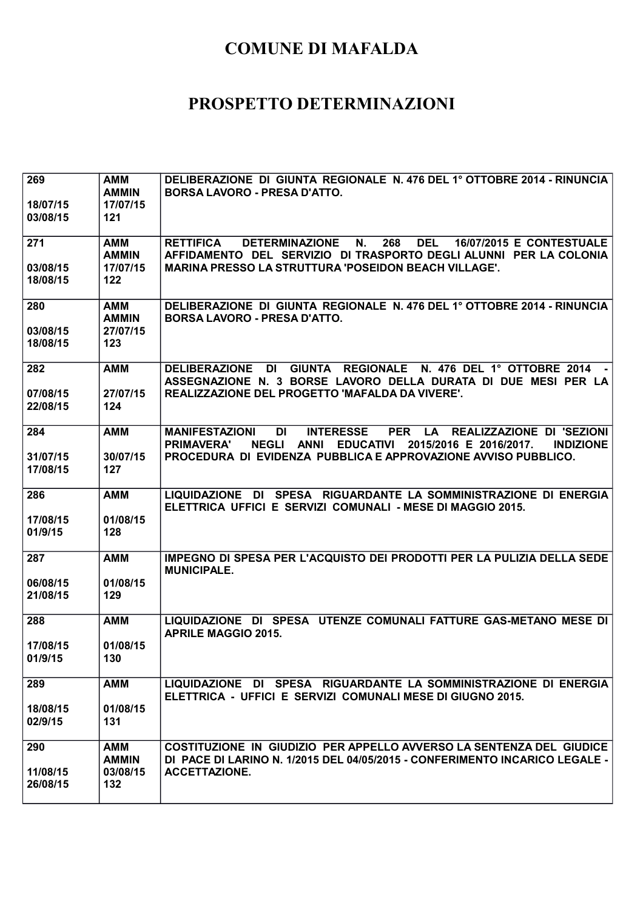| 269<br>18/07/15      | <b>AMM</b><br><b>AMMIN</b><br>17/07/15 | DELIBERAZIONE DI GIUNTA REGIONALE N. 476 DEL 1º OTTOBRE 2014 - RINUNCIA<br><b>BORSA LAVORO - PRESA D'ATTO.</b>                                                                                                   |
|----------------------|----------------------------------------|------------------------------------------------------------------------------------------------------------------------------------------------------------------------------------------------------------------|
| 03/08/15             | 121                                    |                                                                                                                                                                                                                  |
| 271                  | AMM<br><b>AMMIN</b>                    | <b>RETTIFICA</b><br>N.<br>268<br><b>DEL</b><br><b>16/07/2015 E CONTESTUALE</b><br><b>DETERMINAZIONE</b><br>AFFIDAMENTO DEL SERVIZIO DI TRASPORTO DEGLI ALUNNI PER LA COLONIA                                     |
| 03/08/15<br>18/08/15 | 17/07/15<br>122                        | <b>MARINA PRESSO LA STRUTTURA 'POSEIDON BEACH VILLAGE'.</b>                                                                                                                                                      |
| 280                  | <b>AMM</b><br><b>AMMIN</b>             | DELIBERAZIONE DI GIUNTA REGIONALE N. 476 DEL 1º OTTOBRE 2014 - RINUNCIA<br><b>BORSA LAVORO - PRESA D'ATTO.</b>                                                                                                   |
| 03/08/15<br>18/08/15 | 27/07/15<br>123                        |                                                                                                                                                                                                                  |
| 282                  | <b>AMM</b>                             | <b>DELIBERAZIONE</b><br><b>DI</b><br><b>GIUNTA REGIONALE</b><br>N. 476 DEL 1° OTTOBRE 2014<br>ASSEGNAZIONE N. 3 BORSE LAVORO DELLA DURATA DI DUE MESI PER LA                                                     |
| 07/08/15<br>22/08/15 | 27/07/15<br>124                        | REALIZZAZIONE DEL PROGETTO 'MAFALDA DA VIVERE'.                                                                                                                                                                  |
| 284                  | <b>AMM</b>                             | <b>DI</b><br><b>INTERESSE</b><br>PER LA REALIZZAZIONE DI 'SEZIONI<br><b>MANIFESTAZIONI</b><br><b>NEGLI</b><br><b>EDUCATIVI</b><br><b>PRIMAVERA'</b><br><b>ANNI</b><br>2015/2016 E 2016/2017.<br><b>INDIZIONE</b> |
| 31/07/15<br>17/08/15 | 30/07/15<br>127                        | PROCEDURA DI EVIDENZA PUBBLICA E APPROVAZIONE AVVISO PUBBLICO.                                                                                                                                                   |
| 286                  | <b>AMM</b>                             | LIQUIDAZIONE DI<br><b>SPESA</b><br>RIGUARDANTE LA SOMMINISTRAZIONE DI ENERGIA<br>ELETTRICA UFFICI E SERVIZI COMUNALI - MESE DI MAGGIO 2015.                                                                      |
| 17/08/15<br>01/9/15  | 01/08/15<br>128                        |                                                                                                                                                                                                                  |
| 287                  | <b>AMM</b>                             | IMPEGNO DI SPESA PER L'ACQUISTO DEI PRODOTTI PER LA PULIZIA DELLA SEDE<br><b>MUNICIPALE.</b>                                                                                                                     |
| 06/08/15<br>21/08/15 | 01/08/15<br>129                        |                                                                                                                                                                                                                  |
| 288                  | <b>AMM</b>                             | LIQUIDAZIONE DI SPESA UTENZE COMUNALI FATTURE GAS-METANO MESE DI<br><b>APRILE MAGGIO 2015.</b>                                                                                                                   |
| 17/08/15<br>01/9/15  | 01/08/15<br>130                        |                                                                                                                                                                                                                  |
| 289                  | <b>AMM</b>                             | LIQUIDAZIONE DI SPESA RIGUARDANTE LA SOMMINISTRAZIONE DI ENERGIA<br>ELETTRICA - UFFICI E SERVIZI COMUNALI MESE DI GIUGNO 2015.                                                                                   |
| 18/08/15<br>02/9/15  | 01/08/15<br>131                        |                                                                                                                                                                                                                  |
| 290                  | AMM<br><b>AMMIN</b>                    | COSTITUZIONE IN GIUDIZIO PER APPELLO AVVERSO LA SENTENZA DEL GIUDICE<br>DI PACE DI LARINO N. 1/2015 DEL 04/05/2015 - CONFERIMENTO INCARICO LEGALE -                                                              |
| 11/08/15<br>26/08/15 | 03/08/15<br>132                        | <b>ACCETTAZIONE.</b>                                                                                                                                                                                             |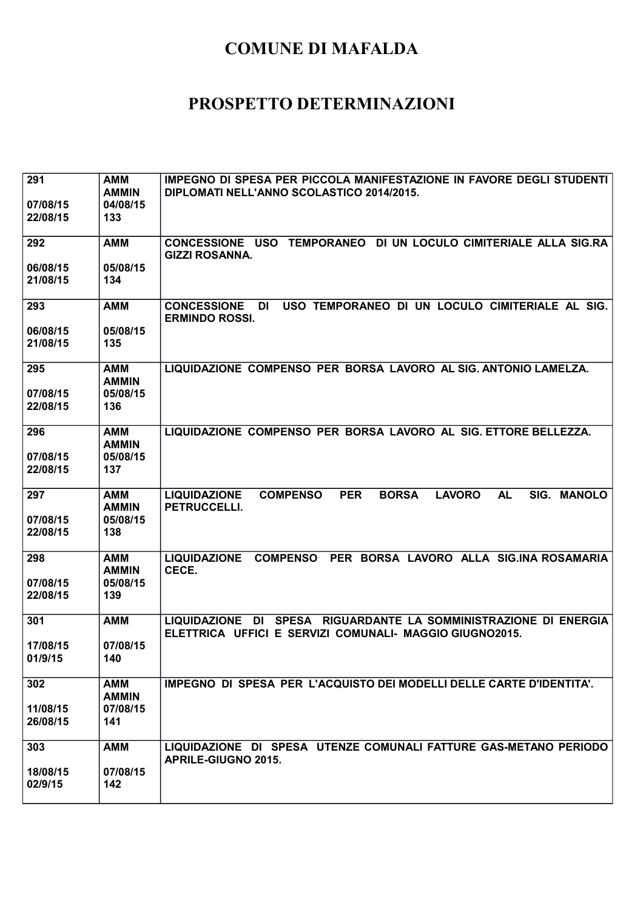| 291                  | <b>AMM</b>      | IMPEGNO DI SPESA PER PICCOLA MANIFESTAZIONE IN FAVORE DEGLI STUDENTI                                              |
|----------------------|-----------------|-------------------------------------------------------------------------------------------------------------------|
|                      | <b>AMMIN</b>    | DIPLOMATI NELL'ANNO SCOLASTICO 2014/2015.                                                                         |
| 07/08/15             | 04/08/15        |                                                                                                                   |
| 22/08/15             | 133             |                                                                                                                   |
|                      |                 |                                                                                                                   |
| 292                  | <b>AMM</b>      | CONCESSIONE USO TEMPORANEO DI UN LOCULO CIMITERIALE ALLA SIG.RA                                                   |
|                      |                 | <b>GIZZI ROSANNA.</b>                                                                                             |
| 06/08/15<br>21/08/15 | 05/08/15<br>134 |                                                                                                                   |
|                      |                 |                                                                                                                   |
| 293                  | <b>AMM</b>      | USO TEMPORANEO DI UN LOCULO CIMITERIALE AL SIG.<br><b>CONCESSIONE</b><br><b>DI</b>                                |
|                      |                 | <b>ERMINDO ROSSI.</b>                                                                                             |
| 06/08/15             | 05/08/15        |                                                                                                                   |
| 21/08/15             | 135             |                                                                                                                   |
|                      |                 |                                                                                                                   |
| 295                  | <b>AMM</b>      | LIQUIDAZIONE COMPENSO PER BORSA LAVORO AL SIG. ANTONIO LAMELZA.                                                   |
|                      | <b>AMMIN</b>    |                                                                                                                   |
| 07/08/15             | 05/08/15        |                                                                                                                   |
| 22/08/15             | 136             |                                                                                                                   |
| 296                  | <b>AMM</b>      | LIQUIDAZIONE COMPENSO PER BORSA LAVORO AL SIG. ETTORE BELLEZZA.                                                   |
|                      | <b>AMMIN</b>    |                                                                                                                   |
| 07/08/15             | 05/08/15        |                                                                                                                   |
| 22/08/15             | 137             |                                                                                                                   |
|                      |                 |                                                                                                                   |
| 297                  | <b>AMM</b>      | <b>PER</b><br>SIG. MANOLO<br><b>LIQUIDAZIONE</b><br><b>COMPENSO</b><br><b>BORSA</b><br><b>LAVORO</b><br><b>AL</b> |
|                      | <b>AMMIN</b>    | PETRUCCELLI.                                                                                                      |
| 07/08/15             | 05/08/15        |                                                                                                                   |
| 22/08/15             | 138             |                                                                                                                   |
| 298                  | <b>AMM</b>      | <b>COMPENSO</b><br>PER BORSA LAVORO ALLA SIG.INA ROSAMARIA<br><b>LIQUIDAZIONE</b>                                 |
|                      | <b>AMMIN</b>    | CECE.                                                                                                             |
| 07/08/15             | 05/08/15        |                                                                                                                   |
| 22/08/15             | 139             |                                                                                                                   |
|                      |                 |                                                                                                                   |
| 301                  | <b>AMM</b>      | LIQUIDAZIONE DI SPESA RIGUARDANTE LA SOMMINISTRAZIONE DI ENERGIA                                                  |
|                      |                 | ELETTRICA UFFICI E SERVIZI COMUNALI- MAGGIO GIUGNO2015.                                                           |
| 17/08/15<br>01/9/15  | 07/08/15        |                                                                                                                   |
|                      | 140             |                                                                                                                   |
| 302                  | <b>AMM</b>      | IMPEGNO DI SPESA PER L'ACQUISTO DEI MODELLI DELLE CARTE D'IDENTITA'.                                              |
|                      | <b>AMMIN</b>    |                                                                                                                   |
| 11/08/15             | 07/08/15        |                                                                                                                   |
| 26/08/15             | 141             |                                                                                                                   |
|                      |                 |                                                                                                                   |
| 303                  | <b>AMM</b>      | LIQUIDAZIONE DI SPESA UTENZE COMUNALI FATTURE GAS-METANO PERIODO                                                  |
|                      |                 | <b>APRILE-GIUGNO 2015.</b>                                                                                        |
| 18/08/15<br>02/9/15  | 07/08/15<br>142 |                                                                                                                   |
|                      |                 |                                                                                                                   |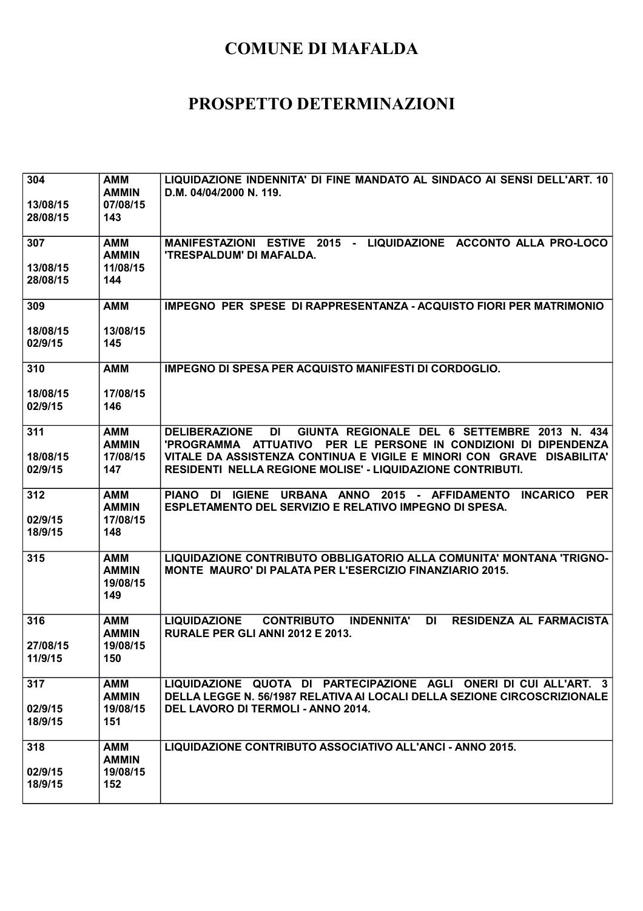| 304<br>13/08/15<br>28/08/15 | <b>AMM</b><br><b>AMMIN</b><br>07/08/15<br>143 | LIQUIDAZIONE INDENNITA' DI FINE MANDATO AL SINDACO AI SENSI DELL'ART. 10<br>D.M. 04/04/2000 N. 119.                                                                                                                                                                                         |
|-----------------------------|-----------------------------------------------|---------------------------------------------------------------------------------------------------------------------------------------------------------------------------------------------------------------------------------------------------------------------------------------------|
| 307<br>13/08/15<br>28/08/15 | <b>AMM</b><br><b>AMMIN</b><br>11/08/15<br>144 | MANIFESTAZIONI ESTIVE 2015 - LIQUIDAZIONE ACCONTO ALLA PRO-LOCO<br>'TRESPALDUM' DI MAFALDA.                                                                                                                                                                                                 |
| 309<br>18/08/15<br>02/9/15  | <b>AMM</b><br>13/08/15<br>145                 | <b>IMPEGNO PER SPESE DI RAPPRESENTANZA - ACQUISTO FIORI PER MATRIMONIO</b>                                                                                                                                                                                                                  |
| 310<br>18/08/15<br>02/9/15  | <b>AMM</b><br>17/08/15<br>146                 | <b>IMPEGNO DI SPESA PER ACQUISTO MANIFESTI DI CORDOGLIO.</b>                                                                                                                                                                                                                                |
| 311<br>18/08/15<br>02/9/15  | <b>AMM</b><br><b>AMMIN</b><br>17/08/15<br>147 | <b>DELIBERAZIONE</b><br>DI<br>GIUNTA REGIONALE DEL 6 SETTEMBRE 2013 N. 434<br>'PROGRAMMA ATTUATIVO PER LE PERSONE IN CONDIZIONI DI DIPENDENZA<br>VITALE DA ASSISTENZA CONTINUA E VIGILE E MINORI CON GRAVE DISABILITA'<br><b>RESIDENTI NELLA REGIONE MOLISE' - LIQUIDAZIONE CONTRIBUTI.</b> |
| 312<br>02/9/15<br>18/9/15   | <b>AMM</b><br><b>AMMIN</b><br>17/08/15<br>148 | DI IGIENE URBANA ANNO 2015 - AFFIDAMENTO<br><b>PIANO</b><br><b>INCARICO</b><br><b>PER</b><br>ESPLETAMENTO DEL SERVIZIO E RELATIVO IMPEGNO DI SPESA.                                                                                                                                         |
| 315                         | <b>AMM</b><br><b>AMMIN</b><br>19/08/15<br>149 | LIQUIDAZIONE CONTRIBUTO OBBLIGATORIO ALLA COMUNITA' MONTANA 'TRIGNO-<br><b>MONTE MAURO' DI PALATA PER L'ESERCIZIO FINANZIARIO 2015.</b>                                                                                                                                                     |
| 316<br>27/08/15<br>11/9/15  | <b>AMM</b><br><b>AMMIN</b><br>19/08/15<br>150 | <b>LIQUIDAZIONE</b><br><b>CONTRIBUTO</b><br><b>INDENNITA'</b><br><b>DI</b><br><b>RESIDENZA AL FARMACISTA</b><br><b>RURALE PER GLI ANNI 2012 E 2013.</b>                                                                                                                                     |
| 317<br>02/9/15<br>18/9/15   | <b>AMM</b><br><b>AMMIN</b><br>19/08/15<br>151 | LIQUIDAZIONE QUOTA DI PARTECIPAZIONE AGLI ONERI DI CUI ALL'ART. 3<br>DELLA LEGGE N. 56/1987 RELATIVA AI LOCALI DELLA SEZIONE CIRCOSCRIZIONALE<br><b>DEL LAVORO DI TERMOLI - ANNO 2014.</b>                                                                                                  |
| 318<br>02/9/15<br>18/9/15   | <b>AMM</b><br><b>AMMIN</b><br>19/08/15<br>152 | LIQUIDAZIONE CONTRIBUTO ASSOCIATIVO ALL'ANCI - ANNO 2015.                                                                                                                                                                                                                                   |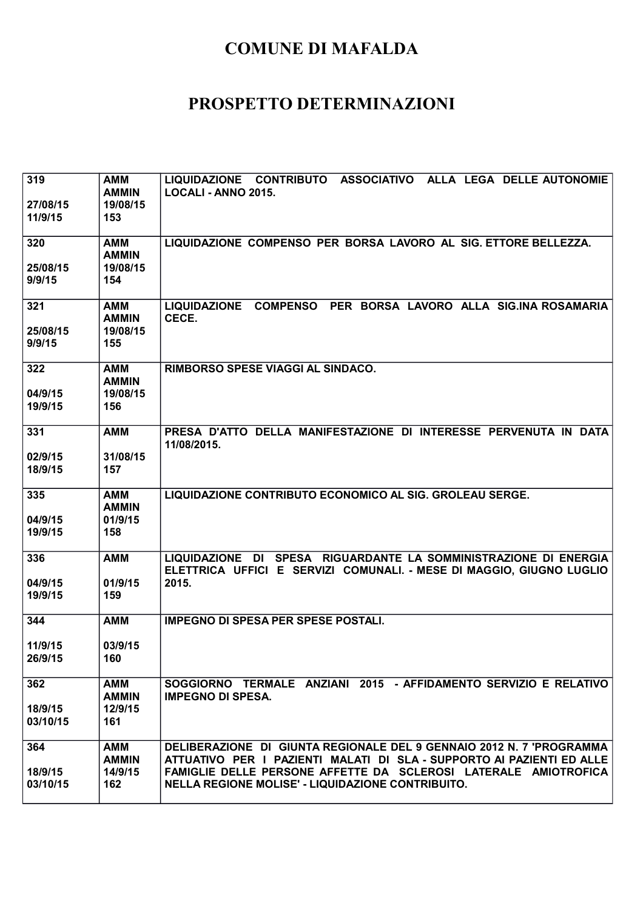| 319<br>27/08/15<br>11/9/15 | <b>AMM</b><br><b>AMMIN</b><br>19/08/15<br>153 | LIQUIDAZIONE CONTRIBUTO ASSOCIATIVO ALLA LEGA DELLE AUTONOMIE<br>LOCALI - ANNO 2015.                                                                                                                                                                                  |
|----------------------------|-----------------------------------------------|-----------------------------------------------------------------------------------------------------------------------------------------------------------------------------------------------------------------------------------------------------------------------|
| 320<br>25/08/15<br>9/9/15  | <b>AMM</b><br><b>AMMIN</b><br>19/08/15<br>154 | LIQUIDAZIONE COMPENSO PER BORSA LAVORO AL SIG. ETTORE BELLEZZA.                                                                                                                                                                                                       |
| 321<br>25/08/15<br>9/9/15  | <b>AMM</b><br><b>AMMIN</b><br>19/08/15<br>155 | LIQUIDAZIONE COMPENSO PER BORSA LAVORO ALLA SIG.INA ROSAMARIA<br>CECE.                                                                                                                                                                                                |
| 322<br>04/9/15<br>19/9/15  | <b>AMM</b><br><b>AMMIN</b><br>19/08/15<br>156 | RIMBORSO SPESE VIAGGI AL SINDACO.                                                                                                                                                                                                                                     |
| 331<br>02/9/15<br>18/9/15  | <b>AMM</b><br>31/08/15<br>157                 | PRESA D'ATTO DELLA MANIFESTAZIONE DI INTERESSE PERVENUTA IN DATA<br>11/08/2015.                                                                                                                                                                                       |
| 335<br>04/9/15<br>19/9/15  | <b>AMM</b><br><b>AMMIN</b><br>01/9/15<br>158  | LIQUIDAZIONE CONTRIBUTO ECONOMICO AL SIG. GROLEAU SERGE.                                                                                                                                                                                                              |
| 336<br>04/9/15<br>19/9/15  | <b>AMM</b><br>01/9/15<br>159                  | LIQUIDAZIONE DI SPESA RIGUARDANTE LA SOMMINISTRAZIONE DI ENERGIA<br>ELETTRICA UFFICI E SERVIZI COMUNALI. - MESE DI MAGGIO, GIUGNO LUGLIO<br>2015.                                                                                                                     |
| 344<br>11/9/15<br>26/9/15  | <b>AMM</b><br>03/9/15<br>160                  | <b>IMPEGNO DI SPESA PER SPESE POSTALI.</b>                                                                                                                                                                                                                            |
| 362<br>18/9/15<br>03/10/15 | <b>AMM</b><br><b>AMMIN</b><br>12/9/15<br>161  | SOGGIORNO TERMALE ANZIANI 2015 - AFFIDAMENTO SERVIZIO E RELATIVO<br><b>IMPEGNO DI SPESA.</b>                                                                                                                                                                          |
| 364<br>18/9/15<br>03/10/15 | <b>AMM</b><br><b>AMMIN</b><br>14/9/15<br>162  | DELIBERAZIONE DI GIUNTA REGIONALE DEL 9 GENNAIO 2012 N. 7 'PROGRAMMA<br>ATTUATIVO PER I PAZIENTI MALATI DI SLA - SUPPORTO AI PAZIENTI ED ALLE<br>FAMIGLIE DELLE PERSONE AFFETTE DA SCLEROSI LATERALE AMIOTROFICA<br>NELLA REGIONE MOLISE' - LIQUIDAZIONE CONTRIBUITO. |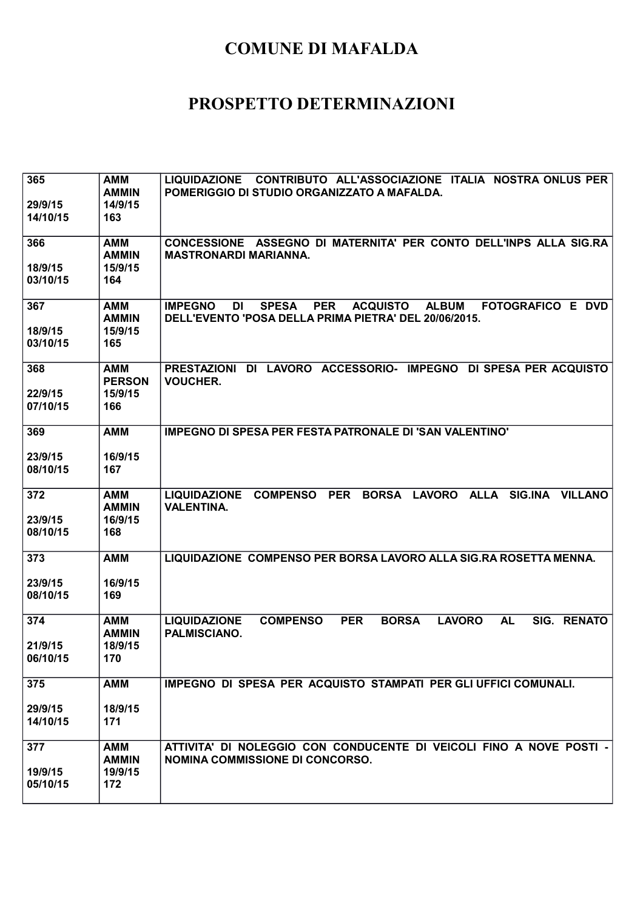| 365<br>29/9/15<br>14/10/15 | <b>AMM</b><br><b>AMMIN</b><br>14/9/15<br>163  | <b>LIQUIDAZIONE</b><br><b>CONTRIBUTO ALL'ASSOCIAZIONE ITALIA NOSTRA ONLUS PER</b><br>POMERIGGIO DI STUDIO ORGANIZZATO A MAFALDA.                                                  |
|----------------------------|-----------------------------------------------|-----------------------------------------------------------------------------------------------------------------------------------------------------------------------------------|
| 366<br>18/9/15<br>03/10/15 | <b>AMM</b><br><b>AMMIN</b><br>15/9/15<br>164  | CONCESSIONE ASSEGNO DI MATERNITA' PER CONTO DELL'INPS ALLA SIG.RA<br><b>MASTRONARDI MARIANNA.</b>                                                                                 |
| 367<br>18/9/15<br>03/10/15 | <b>AMM</b><br><b>AMMIN</b><br>15/9/15<br>165  | <b>IMPEGNO</b><br><b>SPESA</b><br><b>PER</b><br><b>ACQUISTO</b><br><b>ALBUM</b><br><b>FOTOGRAFICO E DVD</b><br><b>DI</b><br>DELL'EVENTO 'POSA DELLA PRIMA PIETRA' DEL 20/06/2015. |
| 368<br>22/9/15<br>07/10/15 | <b>AMM</b><br><b>PERSON</b><br>15/9/15<br>166 | PRESTAZIONI DI LAVORO ACCESSORIO- IMPEGNO DI SPESA PER ACQUISTO<br><b>VOUCHER.</b>                                                                                                |
| 369<br>23/9/15<br>08/10/15 | <b>AMM</b><br>16/9/15<br>167                  | <b>IMPEGNO DI SPESA PER FESTA PATRONALE DI 'SAN VALENTINO'</b>                                                                                                                    |
| 372<br>23/9/15<br>08/10/15 | <b>AMM</b><br><b>AMMIN</b><br>16/9/15<br>168  | <b>LIQUIDAZIONE</b><br><b>COMPENSO</b><br><b>PER</b><br><b>BORSA</b><br><b>LAVORO</b><br><b>ALLA</b><br><b>SIG.INA</b><br><b>VILLANO</b><br><b>VALENTINA.</b>                     |
| 373<br>23/9/15<br>08/10/15 | <b>AMM</b><br>16/9/15<br>169                  | LIQUIDAZIONE COMPENSO PER BORSA LAVORO ALLA SIG.RA ROSETTA MENNA.                                                                                                                 |
| 374<br>21/9/15<br>06/10/15 | <b>AMM</b><br><b>AMMIN</b><br>18/9/15<br>170  | <b>COMPENSO</b><br><b>BORSA</b><br><b>LAVORO</b><br><b>AL</b><br>SIG.<br><b>RENATO</b><br><b>LIQUIDAZIONE</b><br><b>PER</b><br>PALMISCIANO.                                       |
| 375<br>29/9/15<br>14/10/15 | <b>AMM</b><br>18/9/15<br>171                  | <b>IMPEGNO DI SPESA PER ACQUISTO STAMPATI PER GLI UFFICI COMUNALI.</b>                                                                                                            |
| 377<br>19/9/15<br>05/10/15 | <b>AMM</b><br><b>AMMIN</b><br>19/9/15<br>172  | ATTIVITA' DI NOLEGGIO CON CONDUCENTE DI VEICOLI FINO A NOVE POSTI -<br>NOMINA COMMISSIONE DI CONCORSO.                                                                            |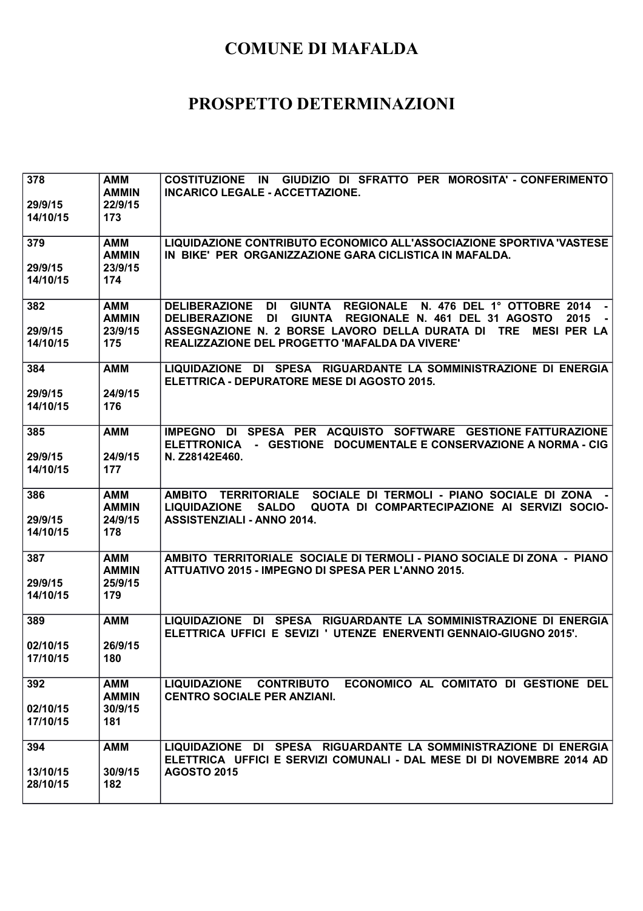| 378<br>29/9/15<br>14/10/15  | AMM<br><b>AMMIN</b><br>22/9/15<br>173        | GIUDIZIO DI SFRATTO PER MOROSITA' - CONFERIMENTO<br><b>COSTITUZIONE</b><br>IN.<br><b>INCARICO LEGALE - ACCETTAZIONE.</b>                                                                                                                                                                                          |
|-----------------------------|----------------------------------------------|-------------------------------------------------------------------------------------------------------------------------------------------------------------------------------------------------------------------------------------------------------------------------------------------------------------------|
| 379<br>29/9/15<br>14/10/15  | <b>AMM</b><br><b>AMMIN</b><br>23/9/15<br>174 | LIQUIDAZIONE CONTRIBUTO ECONOMICO ALL'ASSOCIAZIONE SPORTIVA 'VASTESE<br>IN BIKE' PER ORGANIZZAZIONE GARA CICLISTICA IN MAFALDA.                                                                                                                                                                                   |
| 382<br>29/9/15<br>14/10/15  | <b>AMM</b><br><b>AMMIN</b><br>23/9/15<br>175 | <b>DELIBERAZIONE</b><br><b>DI</b><br>GIUNTA REGIONALE<br>N. 476 DEL 1° OTTOBRE 2014<br><b>DI</b><br>REGIONALE N. 461 DEL 31 AGOSTO<br>2015<br><b>DELIBERAZIONE</b><br><b>GIUNTA</b><br>ASSEGNAZIONE N. 2 BORSE LAVORO DELLA DURATA DI TRE<br><b>MESI PER LA</b><br>REALIZZAZIONE DEL PROGETTO 'MAFALDA DA VIVERE' |
| 384<br>29/9/15<br>14/10/15  | <b>AMM</b><br>24/9/15<br>176                 | LIQUIDAZIONE DI SPESA RIGUARDANTE LA SOMMINISTRAZIONE DI ENERGIA<br>ELETTRICA - DEPURATORE MESE DI AGOSTO 2015.                                                                                                                                                                                                   |
| 385<br>29/9/15<br>14/10/15  | <b>AMM</b><br>24/9/15<br>177                 | IMPEGNO DI SPESA PER ACQUISTO SOFTWARE GESTIONE FATTURAZIONE<br>ELETTRONICA - GESTIONE DOCUMENTALE E CONSERVAZIONE A NORMA - CIG<br>N. Z28142E460.                                                                                                                                                                |
| 386<br>29/9/15<br>14/10/15  | <b>AMM</b><br><b>AMMIN</b><br>24/9/15<br>178 | SOCIALE DI TERMOLI - PIANO SOCIALE DI ZONA<br><b>AMBITO</b><br><b>TERRITORIALE</b><br>QUOTA DI COMPARTECIPAZIONE AI SERVIZI SOCIO-<br><b>LIQUIDAZIONE</b><br><b>SALDO</b><br><b>ASSISTENZIALI - ANNO 2014.</b>                                                                                                    |
| 387<br>29/9/15<br>14/10/15  | <b>AMM</b><br><b>AMMIN</b><br>25/9/15<br>179 | AMBITO TERRITORIALE SOCIALE DI TERMOLI - PIANO SOCIALE DI ZONA - PIANO<br>ATTUATIVO 2015 - IMPEGNO DI SPESA PER L'ANNO 2015.                                                                                                                                                                                      |
| 389<br>02/10/15<br>17/10/15 | <b>AMM</b><br>26/9/15<br>180                 | DI SPESA RIGUARDANTE LA SOMMINISTRAZIONE DI ENERGIA<br><b>LIQUIDAZIONE</b><br>ELETTRICA UFFICI E SEVIZI ' UTENZE ENERVENTI GENNAIO-GIUGNO 2015'.                                                                                                                                                                  |
| 392<br>02/10/15<br>17/10/15 | <b>AMM</b><br><b>AMMIN</b><br>30/9/15<br>181 | ECONOMICO AL COMITATO DI GESTIONE DEL<br>LIQUIDAZIONE CONTRIBUTO<br><b>CENTRO SOCIALE PER ANZIANI.</b>                                                                                                                                                                                                            |
| 394<br>13/10/15<br>28/10/15 | <b>AMM</b><br>30/9/15<br>182                 | LIQUIDAZIONE DI SPESA RIGUARDANTE LA SOMMINISTRAZIONE DI ENERGIA<br>ELETTRICA UFFICI E SERVIZI COMUNALI - DAL MESE DI DI NOVEMBRE 2014 AD<br><b>AGOSTO 2015</b>                                                                                                                                                   |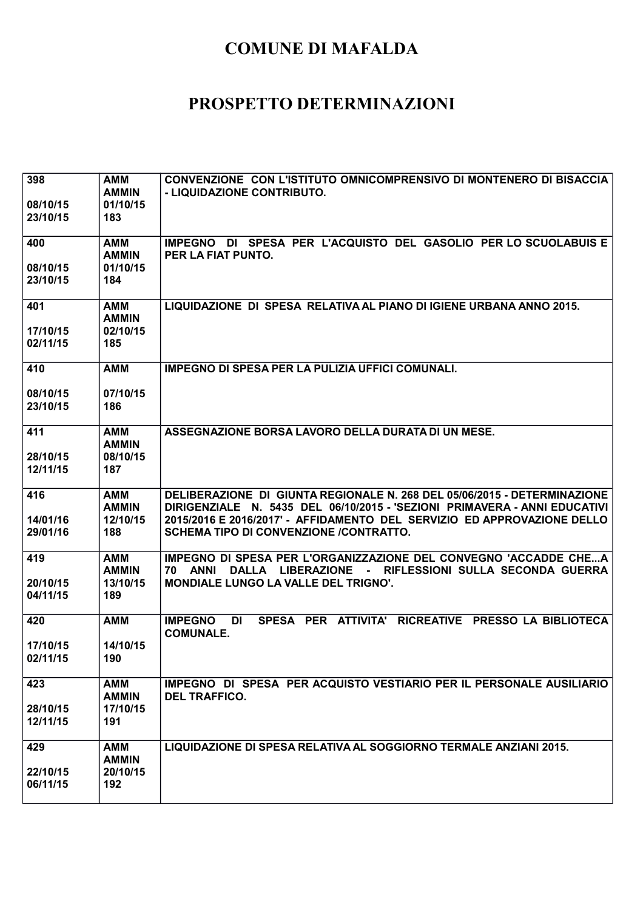| 398<br>08/10/15<br>23/10/15 | <b>AMM</b><br><b>AMMIN</b><br>01/10/15<br>183 | CONVENZIONE CON L'ISTITUTO OMNICOMPRENSIVO DI MONTENERO DI BISACCIA<br>- LIQUIDAZIONE CONTRIBUTO.                                                                                                                                                                          |
|-----------------------------|-----------------------------------------------|----------------------------------------------------------------------------------------------------------------------------------------------------------------------------------------------------------------------------------------------------------------------------|
| 400<br>08/10/15<br>23/10/15 | AMM<br><b>AMMIN</b><br>01/10/15<br>184        | IMPEGNO DI SPESA PER L'ACQUISTO DEL GASOLIO PER LO SCUOLABUIS E<br>PER LA FIAT PUNTO.                                                                                                                                                                                      |
| 401<br>17/10/15<br>02/11/15 | <b>AMM</b><br><b>AMMIN</b><br>02/10/15<br>185 | LIQUIDAZIONE DI SPESA RELATIVA AL PIANO DI IGIENE URBANA ANNO 2015.                                                                                                                                                                                                        |
| 410<br>08/10/15<br>23/10/15 | <b>AMM</b><br>07/10/15<br>186                 | <b>IMPEGNO DI SPESA PER LA PULIZIA UFFICI COMUNALI.</b>                                                                                                                                                                                                                    |
| 411<br>28/10/15<br>12/11/15 | AMM<br><b>AMMIN</b><br>08/10/15<br>187        | ASSEGNAZIONE BORSA LAVORO DELLA DURATA DI UN MESE.                                                                                                                                                                                                                         |
| 416<br>14/01/16<br>29/01/16 | <b>AMM</b><br><b>AMMIN</b><br>12/10/15<br>188 | DELIBERAZIONE DI GIUNTA REGIONALE N. 268 DEL 05/06/2015 - DETERMINAZIONE<br>DIRIGENZIALE N. 5435 DEL 06/10/2015 - 'SEZIONI PRIMAVERA - ANNI EDUCATIVI<br>2015/2016 E 2016/2017' - AFFIDAMENTO DEL SERVIZIO ED APPROVAZIONE DELLO<br>SCHEMA TIPO DI CONVENZIONE /CONTRATTO. |
| 419<br>20/10/15<br>04/11/15 | <b>AMM</b><br><b>AMMIN</b><br>13/10/15<br>189 | IMPEGNO DI SPESA PER L'ORGANIZZAZIONE DEL CONVEGNO 'ACCADDE CHEA<br>70 ANNI<br>DALLA LIBERAZIONE - RIFLESSIONI SULLA SECONDA GUERRA<br><b>MONDIALE LUNGO LA VALLE DEL TRIGNO'.</b>                                                                                         |
| 420<br>17/10/15<br>02/11/15 | <b>AMM</b><br>14/10/15<br>190                 | SPESA PER ATTIVITA' RICREATIVE PRESSO LA BIBLIOTECA<br><b>IMPEGNO</b><br>DI<br><b>COMUNALE.</b>                                                                                                                                                                            |
| 423<br>28/10/15<br>12/11/15 | <b>AMM</b><br><b>AMMIN</b><br>17/10/15<br>191 | IMPEGNO DI SPESA PER ACQUISTO VESTIARIO PER IL PERSONALE AUSILIARIO<br><b>DEL TRAFFICO.</b>                                                                                                                                                                                |
| 429<br>22/10/15<br>06/11/15 | <b>AMM</b><br><b>AMMIN</b><br>20/10/15<br>192 | LIQUIDAZIONE DI SPESA RELATIVA AL SOGGIORNO TERMALE ANZIANI 2015.                                                                                                                                                                                                          |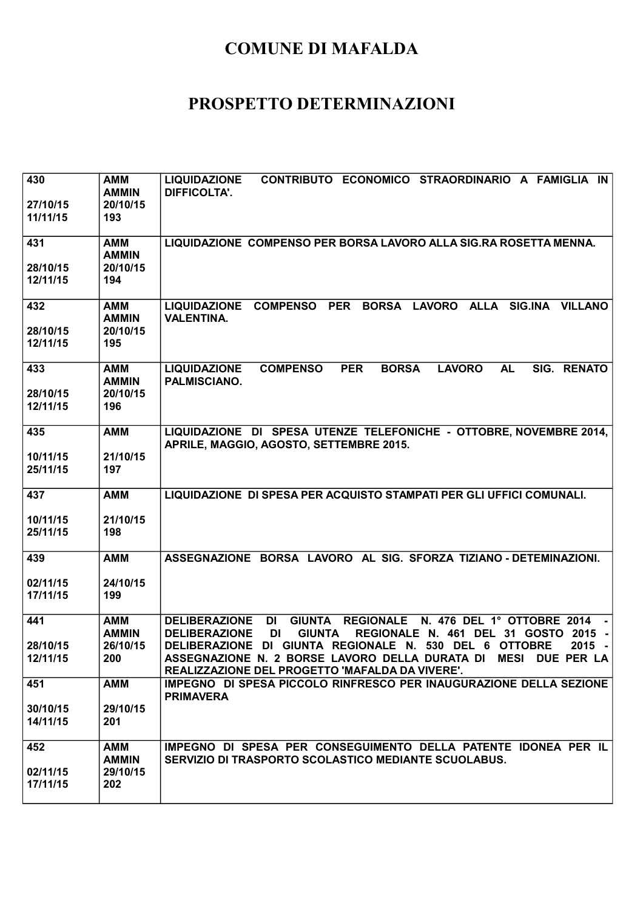| 430<br>27/10/15<br>11/11/15 | <b>AMM</b><br><b>AMMIN</b><br>20/10/15<br>193 | CONTRIBUTO ECONOMICO STRAORDINARIO A FAMIGLIA IN<br><b>LIQUIDAZIONE</b><br><b>DIFFICOLTA'.</b>                                                                                                                                                                                                                                                                                  |
|-----------------------------|-----------------------------------------------|---------------------------------------------------------------------------------------------------------------------------------------------------------------------------------------------------------------------------------------------------------------------------------------------------------------------------------------------------------------------------------|
| 431<br>28/10/15<br>12/11/15 | <b>AMM</b><br><b>AMMIN</b><br>20/10/15<br>194 | LIQUIDAZIONE COMPENSO PER BORSA LAVORO ALLA SIG.RA ROSETTA MENNA.                                                                                                                                                                                                                                                                                                               |
| 432<br>28/10/15<br>12/11/15 | <b>AMM</b><br><b>AMMIN</b><br>20/10/15<br>195 | LIQUIDAZIONE COMPENSO PER<br>BORSA LAVORO ALLA SIG.INA VILLANO<br><b>VALENTINA.</b>                                                                                                                                                                                                                                                                                             |
| 433<br>28/10/15<br>12/11/15 | <b>AMM</b><br><b>AMMIN</b><br>20/10/15<br>196 | <b>COMPENSO</b><br><b>PER</b><br><b>BORSA</b><br><b>LAVORO</b><br><b>AL</b><br>SIG.<br><b>RENATO</b><br><b>LIQUIDAZIONE</b><br><b>PALMISCIANO.</b>                                                                                                                                                                                                                              |
| 435<br>10/11/15<br>25/11/15 | <b>AMM</b><br>21/10/15<br>197                 | LIQUIDAZIONE DI SPESA UTENZE TELEFONICHE - OTTOBRE, NOVEMBRE 2014,<br>APRILE, MAGGIO, AGOSTO, SETTEMBRE 2015.                                                                                                                                                                                                                                                                   |
| 437<br>10/11/15<br>25/11/15 | <b>AMM</b><br>21/10/15<br>198                 | LIQUIDAZIONE DI SPESA PER ACQUISTO STAMPATI PER GLI UFFICI COMUNALI.                                                                                                                                                                                                                                                                                                            |
| 439<br>02/11/15<br>17/11/15 | <b>AMM</b><br>24/10/15<br>199                 | ASSEGNAZIONE BORSA LAVORO AL SIG. SFORZA TIZIANO - DETEMINAZIONI.                                                                                                                                                                                                                                                                                                               |
| 441<br>28/10/15<br>12/11/15 | <b>AMM</b><br><b>AMMIN</b><br>26/10/15<br>200 | <b>DELIBERAZIONE</b><br><b>GIUNTA</b><br><b>REGIONALE</b><br>N. 476 DEL 1° OTTOBRE 2014<br>DI<br>REGIONALE N. 461 DEL 31 GOSTO 2015 -<br><b>DELIBERAZIONE</b><br>DI<br><b>GIUNTA</b><br>DELIBERAZIONE DI GIUNTA REGIONALE N. 530 DEL 6 OTTOBRE<br>$2015 -$<br>ASSEGNAZIONE N. 2 BORSE LAVORO DELLA DURATA DI MESI DUE PER LA<br>REALIZZAZIONE DEL PROGETTO 'MAFALDA DA VIVERE'. |
| 451<br>30/10/15<br>14/11/15 | <b>AMM</b><br>29/10/15<br>201                 | IMPEGNO DI SPESA PICCOLO RINFRESCO PER INAUGURAZIONE DELLA SEZIONE<br><b>PRIMAVERA</b>                                                                                                                                                                                                                                                                                          |
| 452<br>02/11/15<br>17/11/15 | AMM<br><b>AMMIN</b><br>29/10/15<br>202        | IMPEGNO DI SPESA PER CONSEGUIMENTO DELLA PATENTE IDONEA PER IL<br>SERVIZIO DI TRASPORTO SCOLASTICO MEDIANTE SCUOLABUS.                                                                                                                                                                                                                                                          |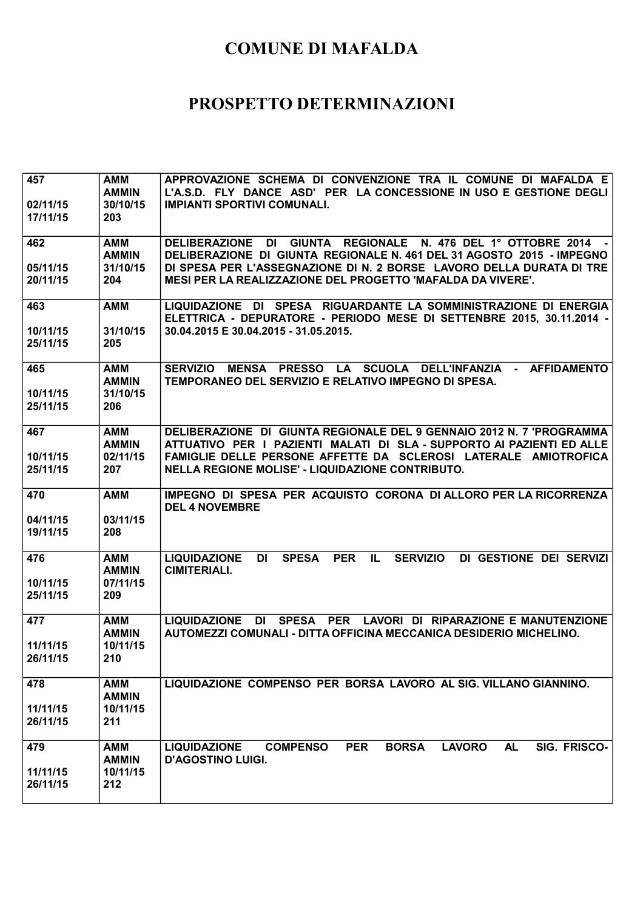| 457<br>02/11/15<br>17/11/15 | AMM<br><b>AMMIN</b><br>30/10/15<br>203        | APPROVAZIONE SCHEMA DI CONVENZIONE TRA IL COMUNE DI MAFALDA E<br>L'A.S.D. FLY DANCE ASD' PER LA CONCESSIONE IN USO E GESTIONE DEGLI<br><b>IMPIANTI SPORTIVI COMUNALI.</b>                                                                                                    |
|-----------------------------|-----------------------------------------------|------------------------------------------------------------------------------------------------------------------------------------------------------------------------------------------------------------------------------------------------------------------------------|
| 462<br>05/11/15<br>20/11/15 | <b>AMM</b><br><b>AMMIN</b><br>31/10/15<br>204 | DELIBERAZIONE DI GIUNTA REGIONALE N. 476 DEL 1º OTTOBRE 2014<br>DELIBERAZIONE DI GIUNTA REGIONALE N. 461 DEL 31 AGOSTO 2015 - IMPEGNO<br>DI SPESA PER L'ASSEGNAZIONE DI N. 2 BORSE LAVORO DELLA DURATA DI TRE<br>MESI PER LA REALIZZAZIONE DEL PROGETTO 'MAFALDA DA VIVERE'. |
| 463<br>10/11/15<br>25/11/15 | <b>AMM</b><br>31/10/15<br>205                 | LIQUIDAZIONE DI SPESA RIGUARDANTE LA SOMMINISTRAZIONE DI ENERGIA<br>ELETTRICA - DEPURATORE - PERIODO MESE DI SETTENBRE 2015, 30.11.2014 -<br>30.04.2015 E 30.04.2015 - 31.05.2015.                                                                                           |
| 465<br>10/11/15<br>25/11/15 | AMM<br><b>AMMIN</b><br>31/10/15<br>206        | SERVIZIO MENSA PRESSO LA SCUOLA DELL'INFANZIA - AFFIDAMENTO<br>TEMPORANEO DEL SERVIZIO E RELATIVO IMPEGNO DI SPESA.                                                                                                                                                          |
| 467<br>10/11/15<br>25/11/15 | <b>AMM</b><br><b>AMMIN</b><br>02/11/15<br>207 | DELIBERAZIONE DI GIUNTA REGIONALE DEL 9 GENNAIO 2012 N. 7 'PROGRAMMA<br>ATTUATIVO PER I PAZIENTI MALATI DI SLA - SUPPORTO AI PAZIENTI ED ALLE<br>FAMIGLIE DELLE PERSONE AFFETTE DA SCLEROSI LATERALE AMIOTROFICA<br>NELLA REGIONE MOLISE' - LIQUIDAZIONE CONTRIBUTO.         |
| 470<br>04/11/15<br>19/11/15 | <b>AMM</b><br>03/11/15<br>208                 | IMPEGNO DI SPESA PER ACQUISTO CORONA DI ALLORO PER LA RICORRENZA<br><b>DEL 4 NOVEMBRE</b>                                                                                                                                                                                    |
| 476<br>10/11/15<br>25/11/15 | <b>AMM</b><br><b>AMMIN</b><br>07/11/15<br>209 | <b>LIQUIDAZIONE</b><br><b>SPESA</b><br><b>PER</b><br>DI GESTIONE DEI SERVIZI<br>DI<br>IL.<br><b>SERVIZIO</b><br><b>CIMITERIALI.</b>                                                                                                                                          |
| 477<br>11/11/15<br>26/11/15 | <b>AMM</b><br><b>AMMIN</b><br>10/11/15<br>210 | SPESA PER LAVORI DI RIPARAZIONE E MANUTENZIONE<br><b>LIQUIDAZIONE</b><br>DI<br>AUTOMEZZI COMUNALI - DITTA OFFICINA MECCANICA DESIDERIO MICHELINO.                                                                                                                            |
| 478<br>11/11/15<br>26/11/15 | <b>AMM</b><br><b>AMMIN</b><br>10/11/15<br>211 | LIQUIDAZIONE COMPENSO PER BORSA LAVORO AL SIG. VILLANO GIANNINO.                                                                                                                                                                                                             |
| 479<br>11/11/15<br>26/11/15 | <b>AMM</b><br><b>AMMIN</b><br>10/11/15<br>212 | <b>PER</b><br><b>BORSA</b><br><b>LAVORO</b><br><b>AL</b><br>SIG. FRISCO-<br><b>LIQUIDAZIONE</b><br><b>COMPENSO</b><br><b>D'AGOSTINO LUIGI.</b>                                                                                                                               |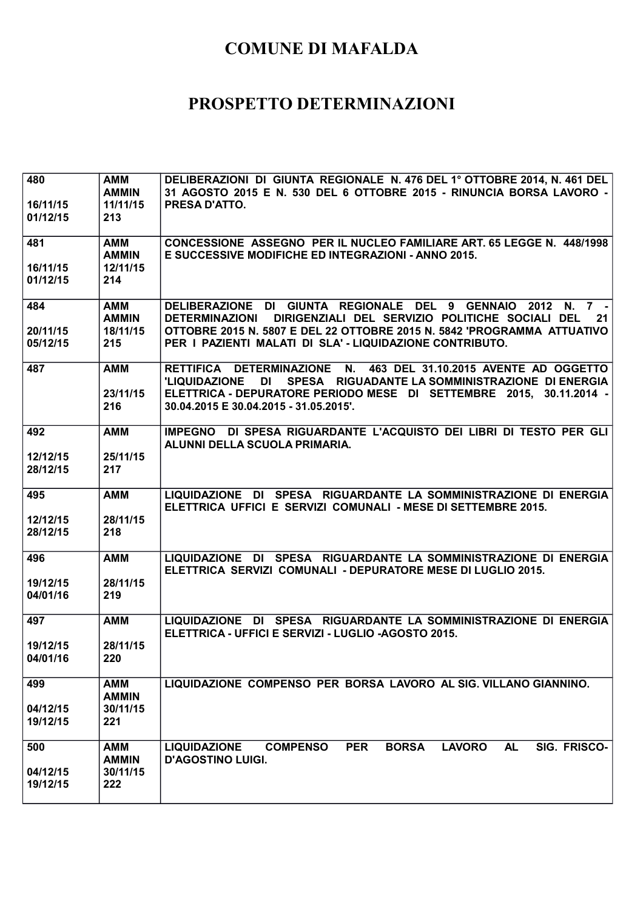| 480<br>16/11/15<br>01/12/15 | <b>AMM</b><br><b>AMMIN</b><br>11/11/15<br>213 | DELIBERAZIONI DI GIUNTA REGIONALE N. 476 DEL 1º OTTOBRE 2014, N. 461 DEL<br>31 AGOSTO 2015 E N. 530 DEL 6 OTTOBRE 2015 - RINUNCIA BORSA LAVORO -<br><b>PRESA D'ATTO.</b>                                                                                                                |
|-----------------------------|-----------------------------------------------|-----------------------------------------------------------------------------------------------------------------------------------------------------------------------------------------------------------------------------------------------------------------------------------------|
| 481<br>16/11/15<br>01/12/15 | AMM<br><b>AMMIN</b><br>12/11/15<br>214        | CONCESSIONE ASSEGNO PER IL NUCLEO FAMILIARE ART. 65 LEGGE N. 448/1998<br>E SUCCESSIVE MODIFICHE ED INTEGRAZIONI - ANNO 2015.                                                                                                                                                            |
| 484<br>20/11/15<br>05/12/15 | <b>AMM</b><br><b>AMMIN</b><br>18/11/15<br>215 | DELIBERAZIONE DI GIUNTA REGIONALE DEL 9 GENNAIO<br>2012 N. 7 -<br>DIRIGENZIALI DEL SERVIZIO POLITICHE SOCIALI DEL<br><b>DETERMINAZIONI</b><br>21<br>OTTOBRE 2015 N. 5807 E DEL 22 OTTOBRE 2015 N. 5842 'PROGRAMMA ATTUATIVO<br>PER I PAZIENTI MALATI DI SLA' - LIQUIDAZIONE CONTRIBUTO. |
| 487                         | <b>AMM</b><br>23/11/15<br>216                 | RETTIFICA DETERMINAZIONE N. 463 DEL 31.10.2015 AVENTE AD OGGETTO<br>SPESA RIGUADANTE LA SOMMINISTRAZIONE DI ENERGIA<br><b>'LIQUIDAZIONE</b><br>DI L<br>ELETTRICA - DEPURATORE PERIODO MESE DI SETTEMBRE 2015, 30.11.2014 -<br>30.04.2015 E 30.04.2015 - 31.05.2015'.                    |
| 492<br>12/12/15<br>28/12/15 | <b>AMM</b><br>25/11/15<br>217                 | IMPEGNO DI SPESA RIGUARDANTE L'ACQUISTO DEI LIBRI DI TESTO PER GLI<br>ALUNNI DELLA SCUOLA PRIMARIA.                                                                                                                                                                                     |
| 495<br>12/12/15<br>28/12/15 | <b>AMM</b><br>28/11/15<br>218                 | LIQUIDAZIONE DI SPESA RIGUARDANTE LA SOMMINISTRAZIONE DI ENERGIA<br>ELETTRICA UFFICI E SERVIZI COMUNALI - MESE DI SETTEMBRE 2015.                                                                                                                                                       |
| 496<br>19/12/15<br>04/01/16 | <b>AMM</b><br>28/11/15<br>219                 | LIQUIDAZIONE DI SPESA RIGUARDANTE LA SOMMINISTRAZIONE DI ENERGIA<br>ELETTRICA SERVIZI COMUNALI - DEPURATORE MESE DI LUGLIO 2015.                                                                                                                                                        |
| 497<br>19/12/15<br>04/01/16 | <b>AMM</b><br>28/11/15<br>220                 | LIQUIDAZIONE DI SPESA RIGUARDANTE LA SOMMINISTRAZIONE DI ENERGIA<br>ELETTRICA - UFFICI E SERVIZI - LUGLIO -AGOSTO 2015.                                                                                                                                                                 |
| 499<br>04/12/15<br>19/12/15 | <b>AMM</b><br><b>AMMIN</b><br>30/11/15<br>221 | LIQUIDAZIONE COMPENSO PER BORSA LAVORO AL SIG. VILLANO GIANNINO.                                                                                                                                                                                                                        |
| 500<br>04/12/15<br>19/12/15 | <b>AMM</b><br><b>AMMIN</b><br>30/11/15<br>222 | <b>PER</b><br><b>BORSA</b><br><b>LAVORO</b><br><b>AL</b><br>SIG. FRISCO-<br><b>LIQUIDAZIONE</b><br><b>COMPENSO</b><br><b>D'AGOSTINO LUIGI.</b>                                                                                                                                          |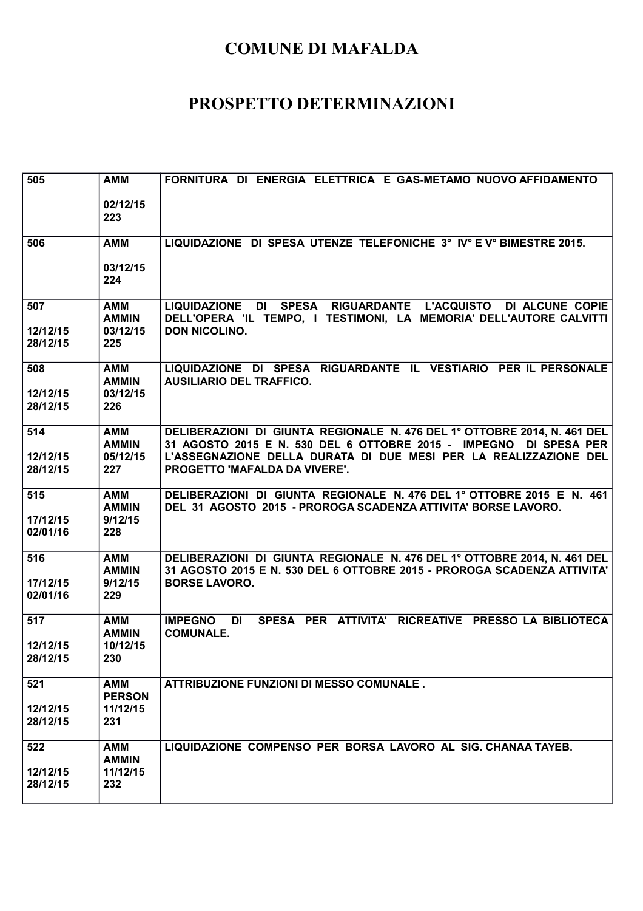| 505                         | <b>AMM</b>                                    | FORNITURA DI ENERGIA ELETTRICA E GAS-METAMO NUOVO AFFIDAMENTO                                                                                               |
|-----------------------------|-----------------------------------------------|-------------------------------------------------------------------------------------------------------------------------------------------------------------|
|                             | 02/12/15<br>223                               |                                                                                                                                                             |
| 506                         | <b>AMM</b>                                    | LIQUIDAZIONE DI SPESA UTENZE TELEFONICHE 3° IV° E V° BIMESTRE 2015.                                                                                         |
|                             | 03/12/15<br>224                               |                                                                                                                                                             |
| 507<br>12/12/15<br>28/12/15 | <b>AMM</b><br><b>AMMIN</b><br>03/12/15<br>225 | LIQUIDAZIONE DI SPESA RIGUARDANTE L'ACQUISTO DI ALCUNE COPIE<br>DELL'OPERA 'IL TEMPO, I TESTIMONI, LA MEMORIA' DELL'AUTORE CALVITTI<br><b>DON NICOLINO.</b> |
| 508<br>12/12/15<br>28/12/15 | <b>AMM</b><br><b>AMMIN</b><br>03/12/15<br>226 | LIQUIDAZIONE DI SPESA RIGUARDANTE IL VESTIARIO PER IL PERSONALE<br><b>AUSILIARIO DEL TRAFFICO.</b>                                                          |
| 514                         | <b>AMM</b><br><b>AMMIN</b>                    | DELIBERAZIONI DI GIUNTA REGIONALE N. 476 DEL 1º OTTOBRE 2014, N. 461 DEL<br>31 AGOSTO 2015 E N. 530 DEL 6 OTTOBRE 2015 - IMPEGNO DI SPESA PER               |
| 12/12/15<br>28/12/15        | 05/12/15<br>227                               | L'ASSEGNAZIONE DELLA DURATA DI DUE MESI PER LA REALIZZAZIONE DEL<br>PROGETTO 'MAFALDA DA VIVERE'.                                                           |
| 515<br>17/12/15<br>02/01/16 | <b>AMM</b><br><b>AMMIN</b><br>9/12/15<br>228  | DELIBERAZIONI DI GIUNTA REGIONALE N. 476 DEL 1º OTTOBRE 2015 E N. 461<br>DEL 31 AGOSTO 2015 - PROROGA SCADENZA ATTIVITA' BORSE LAVORO.                      |
| 516                         | <b>AMM</b><br><b>AMMIN</b>                    | DELIBERAZIONI DI GIUNTA REGIONALE N. 476 DEL 1º OTTOBRE 2014, N. 461 DEL<br>31 AGOSTO 2015 E N. 530 DEL 6 OTTOBRE 2015 - PROROGA SCADENZA ATTIVITA'         |
| 17/12/15<br>02/01/16        | 9/12/15<br>229                                | <b>BORSE LAVORO.</b>                                                                                                                                        |
| 517                         | <b>AMM</b><br><b>AMMIN</b>                    | <b>IMPEGNO</b><br>SPESA PER ATTIVITA' RICREATIVE PRESSO LA BIBLIOTECA<br>DI<br><b>COMUNALE.</b>                                                             |
| 12/12/15<br>28/12/15        | 10/12/15<br>230                               |                                                                                                                                                             |
| 521                         | <b>AMM</b><br><b>PERSON</b>                   | <b>ATTRIBUZIONE FUNZIONI DI MESSO COMUNALE.</b>                                                                                                             |
| 12/12/15<br>28/12/15        | 11/12/15<br>231                               |                                                                                                                                                             |
| 522                         | <b>AMM</b><br><b>AMMIN</b>                    | LIQUIDAZIONE COMPENSO PER BORSA LAVORO AL SIG. CHANAA TAYEB.                                                                                                |
| 12/12/15<br>28/12/15        | 11/12/15<br>232                               |                                                                                                                                                             |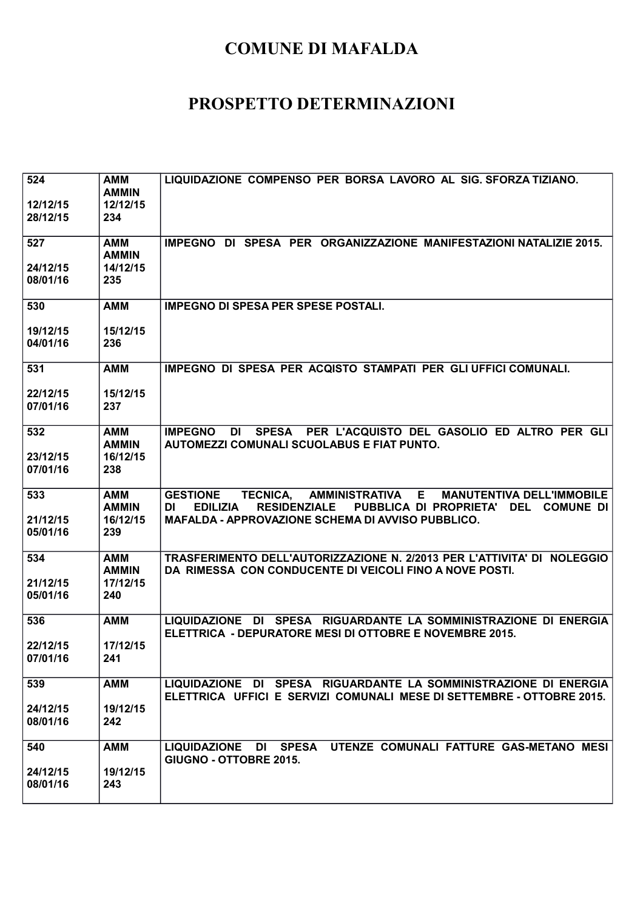| 524<br>12/12/15<br>28/12/15 | <b>AMM</b><br><b>AMMIN</b><br>12/12/15<br>234 | LIQUIDAZIONE COMPENSO PER BORSA LAVORO AL SIG. SFORZA TIZIANO.                                                                                                                                                                             |
|-----------------------------|-----------------------------------------------|--------------------------------------------------------------------------------------------------------------------------------------------------------------------------------------------------------------------------------------------|
| 527<br>24/12/15<br>08/01/16 | AMM<br><b>AMMIN</b><br>14/12/15<br>235        | IMPEGNO DI SPESA PER ORGANIZZAZIONE MANIFESTAZIONI NATALIZIE 2015.                                                                                                                                                                         |
| 530<br>19/12/15<br>04/01/16 | <b>AMM</b><br>15/12/15<br>236                 | <b>IMPEGNO DI SPESA PER SPESE POSTALI.</b>                                                                                                                                                                                                 |
| 531<br>22/12/15<br>07/01/16 | <b>AMM</b><br>15/12/15<br>237                 | IMPEGNO DI SPESA PER ACQISTO STAMPATI PER GLI UFFICI COMUNALI.                                                                                                                                                                             |
| 532<br>23/12/15<br>07/01/16 | <b>AMM</b><br><b>AMMIN</b><br>16/12/15<br>238 | <b>IMPEGNO</b><br>SPESA PER L'ACQUISTO DEL GASOLIO ED ALTRO PER GLI<br>DI<br><b>AUTOMEZZI COMUNALI SCUOLABUS E FIAT PUNTO.</b>                                                                                                             |
| 533<br>21/12/15<br>05/01/16 | <b>AMM</b><br><b>AMMIN</b><br>16/12/15<br>239 | AMMINISTRATIVA E<br><b>TECNICA,</b><br><b>MANUTENTIVA DELL'IMMOBILE</b><br><b>GESTIONE</b><br><b>RESIDENZIALE</b><br>DI<br><b>EDILIZIA</b><br>PUBBLICA DI PROPRIETA'<br>DEL COMUNE DI<br>MAFALDA - APPROVAZIONE SCHEMA DI AVVISO PUBBLICO. |
| 534<br>21/12/15<br>05/01/16 | AMM<br><b>AMMIN</b><br>17/12/15<br>240        | TRASFERIMENTO DELL'AUTORIZZAZIONE N. 2/2013 PER L'ATTIVITA' DI NOLEGGIO<br>DA RIMESSA CON CONDUCENTE DI VEICOLI FINO A NOVE POSTI.                                                                                                         |
| 536<br>22/12/15<br>07/01/16 | <b>AMM</b><br>17/12/15<br>241                 | LIQUIDAZIONE DI SPESA RIGUARDANTE LA SOMMINISTRAZIONE DI ENERGIA<br>ELETTRICA - DEPURATORE MESI DI OTTOBRE E NOVEMBRE 2015.                                                                                                                |
| 539<br>24/12/15<br>08/01/16 | <b>AMM</b><br>19/12/15<br>242                 | LIQUIDAZIONE DI SPESA RIGUARDANTE LA SOMMINISTRAZIONE DI ENERGIA<br>ELETTRICA UFFICI E SERVIZI COMUNALI MESE DI SETTEMBRE - OTTOBRE 2015.                                                                                                  |
| 540<br>24/12/15<br>08/01/16 | <b>AMM</b><br>19/12/15<br>243                 | LIQUIDAZIONE DI SPESA UTENZE COMUNALI FATTURE GAS-METANO MESI<br>GIUGNO - OTTOBRE 2015.                                                                                                                                                    |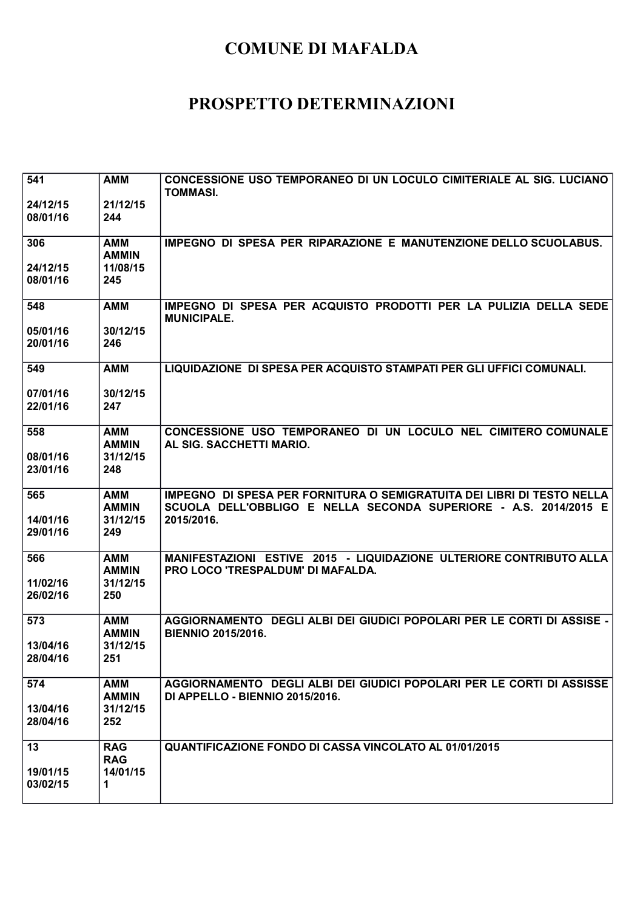| 541<br>24/12/15      | <b>AMM</b><br>21/12/15     | CONCESSIONE USO TEMPORANEO DI UN LOCULO CIMITERIALE AL SIG. LUCIANO<br><b>TOMMASI.</b>                                                     |
|----------------------|----------------------------|--------------------------------------------------------------------------------------------------------------------------------------------|
| 08/01/16             | 244                        |                                                                                                                                            |
| 306                  | <b>AMM</b><br><b>AMMIN</b> | IMPEGNO DI SPESA PER RIPARAZIONE E MANUTENZIONE DELLO SCUOLABUS.                                                                           |
| 24/12/15<br>08/01/16 | 11/08/15<br>245            |                                                                                                                                            |
| 548                  | <b>AMM</b>                 | IMPEGNO DI SPESA PER ACQUISTO PRODOTTI PER LA PULIZIA DELLA SEDE<br><b>MUNICIPALE.</b>                                                     |
| 05/01/16<br>20/01/16 | 30/12/15<br>246            |                                                                                                                                            |
| 549                  | <b>AMM</b>                 | LIQUIDAZIONE DI SPESA PER ACQUISTO STAMPATI PER GLI UFFICI COMUNALI.                                                                       |
| 07/01/16<br>22/01/16 | 30/12/15<br>247            |                                                                                                                                            |
| 558                  | <b>AMM</b><br><b>AMMIN</b> | CONCESSIONE USO TEMPORANEO DI UN LOCULO NEL CIMITERO COMUNALE<br>AL SIG. SACCHETTI MARIO.                                                  |
| 08/01/16<br>23/01/16 | 31/12/15<br>248            |                                                                                                                                            |
| 565                  | <b>AMM</b><br><b>AMMIN</b> | IMPEGNO DI SPESA PER FORNITURA O SEMIGRATUITA DEI LIBRI DI TESTO NELLA<br>SCUOLA DELL'OBBLIGO E NELLA SECONDA SUPERIORE - A.S. 2014/2015 E |
| 14/01/16<br>29/01/16 | 31/12/15<br>249            | 2015/2016.                                                                                                                                 |
| 566                  | <b>AMM</b><br><b>AMMIN</b> | MANIFESTAZIONI ESTIVE 2015 - LIQUIDAZIONE ULTERIORE CONTRIBUTO ALLA<br><b>PRO LOCO 'TRESPALDUM' DI MAFALDA.</b>                            |
| 11/02/16<br>26/02/16 | 31/12/15<br>250            |                                                                                                                                            |
| 573                  | <b>AMM</b><br><b>AMMIN</b> | AGGIORNAMENTO DEGLI ALBI DEI GIUDICI POPOLARI PER LE CORTI DI ASSISE -<br><b>BIENNIO 2015/2016.</b>                                        |
| 13/04/16<br>28/04/16 | 31/12/15<br>251            |                                                                                                                                            |
| 574                  | <b>AMM</b><br><b>AMMIN</b> | AGGIORNAMENTO DEGLI ALBI DEI GIUDICI POPOLARI PER LE CORTI DI ASSISSE<br><b>DI APPELLO - BIENNIO 2015/2016.</b>                            |
| 13/04/16<br>28/04/16 | 31/12/15<br>252            |                                                                                                                                            |
| 13                   | <b>RAG</b><br><b>RAG</b>   | <b>QUANTIFICAZIONE FONDO DI CASSA VINCOLATO AL 01/01/2015</b>                                                                              |
| 19/01/15<br>03/02/15 | 14/01/15<br>1              |                                                                                                                                            |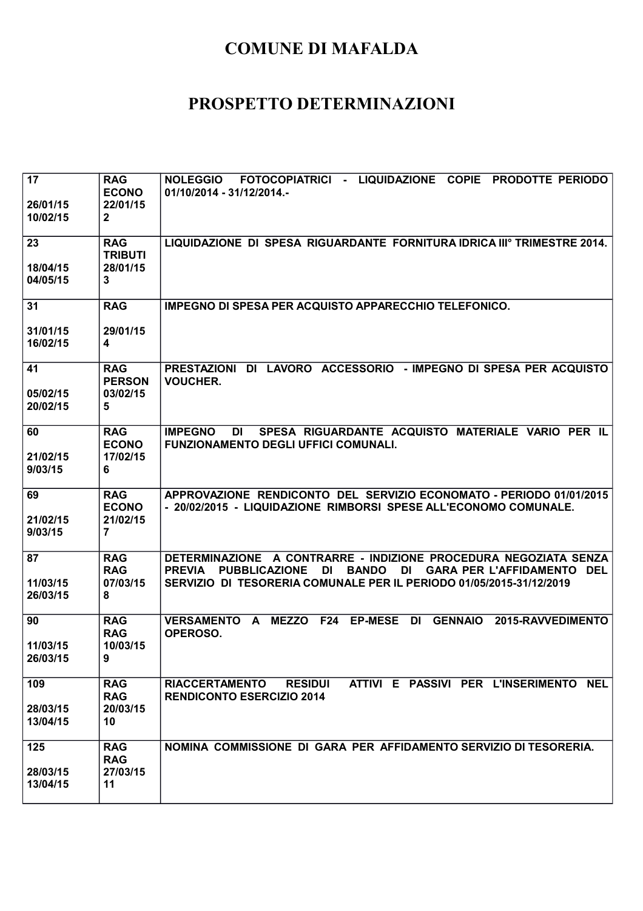| 17<br>26/01/15<br>10/02/15  | <b>RAG</b><br><b>ECONO</b><br>22/01/15<br>$\overline{2}$ | FOTOCOPIATRICI - LIQUIDAZIONE COPIE<br><b>NOLEGGIO</b><br><b>PRODOTTE PERIODO</b><br>01/10/2014 - 31/12/2014.-                                                                                                                                    |
|-----------------------------|----------------------------------------------------------|---------------------------------------------------------------------------------------------------------------------------------------------------------------------------------------------------------------------------------------------------|
| 23<br>18/04/15<br>04/05/15  | <b>RAG</b><br><b>TRIBUTI</b><br>28/01/15<br>3            | LIQUIDAZIONE DI SPESA RIGUARDANTE FORNITURA IDRICA IIIº TRIMESTRE 2014.                                                                                                                                                                           |
| 31<br>31/01/15<br>16/02/15  | <b>RAG</b><br>29/01/15<br>$\overline{\mathbf{4}}$        | IMPEGNO DI SPESA PER ACQUISTO APPARECCHIO TELEFONICO.                                                                                                                                                                                             |
| 41<br>05/02/15              | <b>RAG</b><br><b>PERSON</b><br>03/02/15                  | PRESTAZIONI DI LAVORO ACCESSORIO - IMPEGNO DI SPESA PER ACQUISTO<br><b>VOUCHER.</b>                                                                                                                                                               |
| 20/02/15<br>60              | 5<br><b>RAG</b><br><b>ECONO</b>                          | SPESA RIGUARDANTE ACQUISTO MATERIALE VARIO PER IL<br><b>IMPEGNO</b><br>DI<br><b>FUNZIONAMENTO DEGLI UFFICI COMUNALI.</b>                                                                                                                          |
| 21/02/15<br>9/03/15<br>69   | 17/02/15<br>6<br><b>RAG</b>                              | APPROVAZIONE RENDICONTO DEL SERVIZIO ECONOMATO - PERIODO 01/01/2015                                                                                                                                                                               |
| 21/02/15<br>9/03/15         | <b>ECONO</b><br>21/02/15<br>$\overline{7}$               | - 20/02/2015 - LIQUIDAZIONE RIMBORSI SPESE ALL'ECONOMO COMUNALE.                                                                                                                                                                                  |
| 87<br>11/03/15<br>26/03/15  | <b>RAG</b><br><b>RAG</b><br>07/03/15<br>8                | DETERMINAZIONE A CONTRARRE - INDIZIONE PROCEDURA NEGOZIATA SENZA<br><b>PUBBLICAZIONE</b><br><b>PREVIA</b><br>DI<br><b>BANDO</b><br>DI<br><b>GARA PER L'AFFIDAMENTO DEL</b><br>SERVIZIO DI TESORERIA COMUNALE PER IL PERIODO 01/05/2015-31/12/2019 |
| 90<br>11/03/15<br>26/03/15  | <b>RAG</b><br><b>RAG</b><br>10/03/15<br>9                | <b>MEZZO</b><br><b>F24</b><br><b>EP-MESE</b><br><b>GENNAIO</b><br><b>VERSAMENTO</b><br><b>DI</b><br>2015-RAVVEDIMENTO<br>A<br>OPEROSO.                                                                                                            |
| 109<br>28/03/15<br>13/04/15 | <b>RAG</b><br><b>RAG</b><br>20/03/15<br>10               | RIACCERTAMENTO<br><b>RESIDUI</b><br>ATTIVI E PASSIVI PER L'INSERIMENTO NEL<br><b>RENDICONTO ESERCIZIO 2014</b>                                                                                                                                    |
| 125<br>28/03/15<br>13/04/15 | <b>RAG</b><br><b>RAG</b><br>27/03/15<br>11               | NOMINA COMMISSIONE DI GARA PER AFFIDAMENTO SERVIZIO DI TESORERIA.                                                                                                                                                                                 |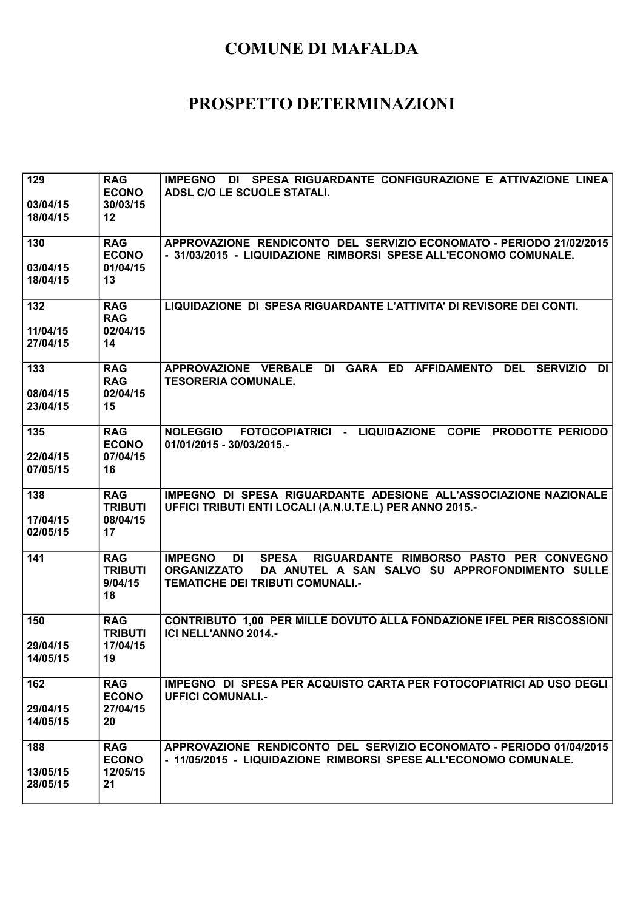| 129<br>03/04/15      | <b>RAG</b><br><b>ECONO</b><br>30/03/15        | <b>IMPEGNO</b><br>DI SPESA RIGUARDANTE CONFIGURAZIONE E ATTIVAZIONE LINEA<br>ADSL C/O LE SCUOLE STATALI.                                                                                           |
|----------------------|-----------------------------------------------|----------------------------------------------------------------------------------------------------------------------------------------------------------------------------------------------------|
| 18/04/15             | 12 <sup>2</sup>                               |                                                                                                                                                                                                    |
| 130                  | <b>RAG</b><br><b>ECONO</b>                    | APPROVAZIONE RENDICONTO DEL SERVIZIO ECONOMATO - PERIODO 21/02/2015<br>- 31/03/2015 - LIQUIDAZIONE RIMBORSI SPESE ALL'ECONOMO COMUNALE.                                                            |
| 03/04/15<br>18/04/15 | 01/04/15<br>13                                |                                                                                                                                                                                                    |
| 132<br>11/04/15      | <b>RAG</b><br><b>RAG</b><br>02/04/15          | LIQUIDAZIONE DI SPESA RIGUARDANTE L'ATTIVITA' DI REVISORE DEI CONTI.                                                                                                                               |
| 27/04/15             | 14                                            |                                                                                                                                                                                                    |
| 133                  | <b>RAG</b><br><b>RAG</b>                      | APPROVAZIONE VERBALE DI GARA ED AFFIDAMENTO DEL<br><b>SERVIZIO</b><br>DI<br><b>TESORERIA COMUNALE.</b>                                                                                             |
| 08/04/15<br>23/04/15 | 02/04/15<br>15                                |                                                                                                                                                                                                    |
| 135                  | <b>RAG</b><br><b>ECONO</b>                    | NOLEGGIO FOTOCOPIATRICI - LIQUIDAZIONE COPIE PRODOTTE PERIODO<br>01/01/2015 - 30/03/2015.-                                                                                                         |
| 22/04/15<br>07/05/15 | 07/04/15<br>16                                |                                                                                                                                                                                                    |
| 138                  | <b>RAG</b><br><b>TRIBUTI</b>                  | IMPEGNO DI SPESA RIGUARDANTE ADESIONE ALL'ASSOCIAZIONE NAZIONALE<br>UFFICI TRIBUTI ENTI LOCALI (A.N.U.T.E.L) PER ANNO 2015.-                                                                       |
| 17/04/15<br>02/05/15 | 08/04/15<br>17                                |                                                                                                                                                                                                    |
| 141                  | <b>RAG</b><br><b>TRIBUTI</b><br>9/04/15<br>18 | RIGUARDANTE RIMBORSO PASTO PER CONVEGNO<br><b>IMPEGNO</b><br><b>SPESA</b><br>DI<br><b>ORGANIZZATO</b><br>DA ANUTEL A SAN SALVO SU APPROFONDIMENTO SULLE<br><b>TEMATICHE DEI TRIBUTI COMUNALI.-</b> |
| 150                  | <b>RAG</b><br><b>TRIBUTI</b>                  | CONTRIBUTO 1,00 PER MILLE DOVUTO ALLA FONDAZIONE IFEL PER RISCOSSIONI<br>ICI NELL'ANNO 2014.-                                                                                                      |
| 29/04/15<br>14/05/15 | 17/04/15<br>19                                |                                                                                                                                                                                                    |
| 162                  | <b>RAG</b><br><b>ECONO</b>                    | IMPEGNO DI SPESA PER ACQUISTO CARTA PER FOTOCOPIATRICI AD USO DEGLI<br><b>UFFICI COMUNALI.-</b>                                                                                                    |
| 29/04/15<br>14/05/15 | 27/04/15<br>20                                |                                                                                                                                                                                                    |
| 188                  | <b>RAG</b><br><b>ECONO</b>                    | APPROVAZIONE RENDICONTO DEL SERVIZIO ECONOMATO - PERIODO 01/04/2015<br>- 11/05/2015 - LIQUIDAZIONE RIMBORSI SPESE ALL'ECONOMO COMUNALE.                                                            |
| 13/05/15<br>28/05/15 | 12/05/15<br>21                                |                                                                                                                                                                                                    |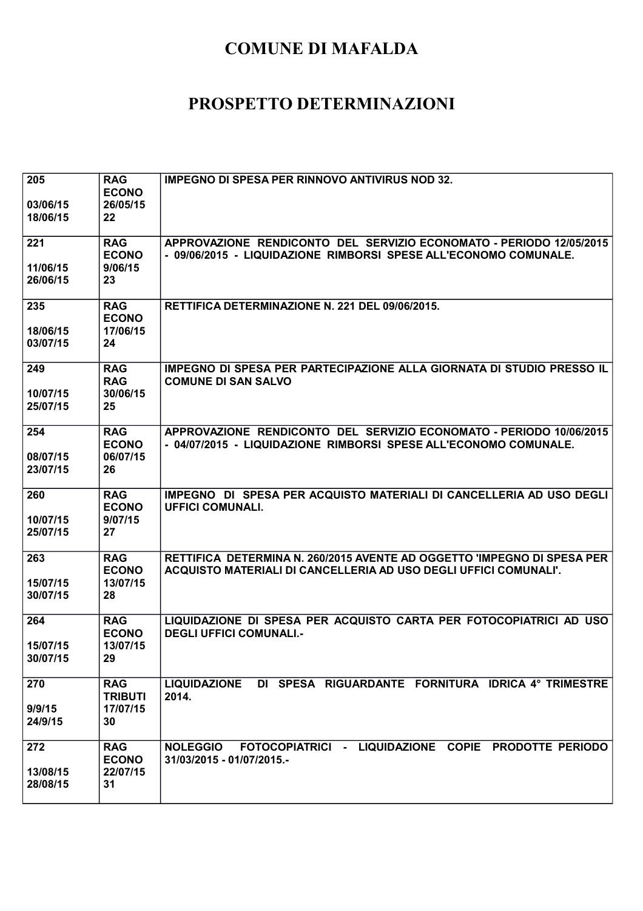| 205<br>03/06/15<br>18/06/15 | <b>RAG</b><br><b>ECONO</b><br>26/05/15<br>22   | <b>IMPEGNO DI SPESA PER RINNOVO ANTIVIRUS NOD 32.</b>                                                                                       |
|-----------------------------|------------------------------------------------|---------------------------------------------------------------------------------------------------------------------------------------------|
| 221<br>11/06/15<br>26/06/15 | <b>RAG</b><br><b>ECONO</b><br>9/06/15<br>23    | APPROVAZIONE RENDICONTO DEL SERVIZIO ECONOMATO - PERIODO 12/05/2015<br>- 09/06/2015 - LIQUIDAZIONE RIMBORSI SPESE ALL'ECONOMO COMUNALE.     |
| 235<br>18/06/15<br>03/07/15 | <b>RAG</b><br><b>ECONO</b><br>17/06/15<br>24   | RETTIFICA DETERMINAZIONE N. 221 DEL 09/06/2015.                                                                                             |
| 249<br>10/07/15<br>25/07/15 | <b>RAG</b><br><b>RAG</b><br>30/06/15<br>25     | IMPEGNO DI SPESA PER PARTECIPAZIONE ALLA GIORNATA DI STUDIO PRESSO IL<br><b>COMUNE DI SAN SALVO</b>                                         |
| 254<br>08/07/15<br>23/07/15 | <b>RAG</b><br><b>ECONO</b><br>06/07/15<br>26   | APPROVAZIONE RENDICONTO DEL SERVIZIO ECONOMATO - PERIODO 10/06/2015<br>- 04/07/2015 - LIQUIDAZIONE RIMBORSI SPESE ALL'ECONOMO COMUNALE.     |
| 260<br>10/07/15<br>25/07/15 | <b>RAG</b><br><b>ECONO</b><br>9/07/15<br>27    | IMPEGNO DI SPESA PER ACQUISTO MATERIALI DI CANCELLERIA AD USO DEGLI<br><b>UFFICI COMUNALI.</b>                                              |
| 263<br>15/07/15<br>30/07/15 | <b>RAG</b><br><b>ECONO</b><br>13/07/15<br>28   | RETTIFICA DETERMINA N. 260/2015 AVENTE AD OGGETTO 'IMPEGNO DI SPESA PER<br>ACQUISTO MATERIALI DI CANCELLERIA AD USO DEGLI UFFICI COMUNALI'. |
| 264<br>15/07/15<br>30/07/15 | <b>RAG</b><br><b>ECONO</b><br>13/07/15<br>29   | LIQUIDAZIONE DI SPESA PER ACQUISTO CARTA PER FOTOCOPIATRICI AD USO<br><b>DEGLI UFFICI COMUNALI.-</b>                                        |
| 270<br>9/9/15<br>24/9/15    | <b>RAG</b><br><b>TRIBUTI</b><br>17/07/15<br>30 | DI SPESA RIGUARDANTE FORNITURA IDRICA 4° TRIMESTRE<br><b>LIQUIDAZIONE</b><br>2014.                                                          |
| 272<br>13/08/15<br>28/08/15 | <b>RAG</b><br><b>ECONO</b><br>22/07/15<br>31   | FOTOCOPIATRICI - LIQUIDAZIONE COPIE PRODOTTE PERIODO<br><b>NOLEGGIO</b><br>31/03/2015 - 01/07/2015.-                                        |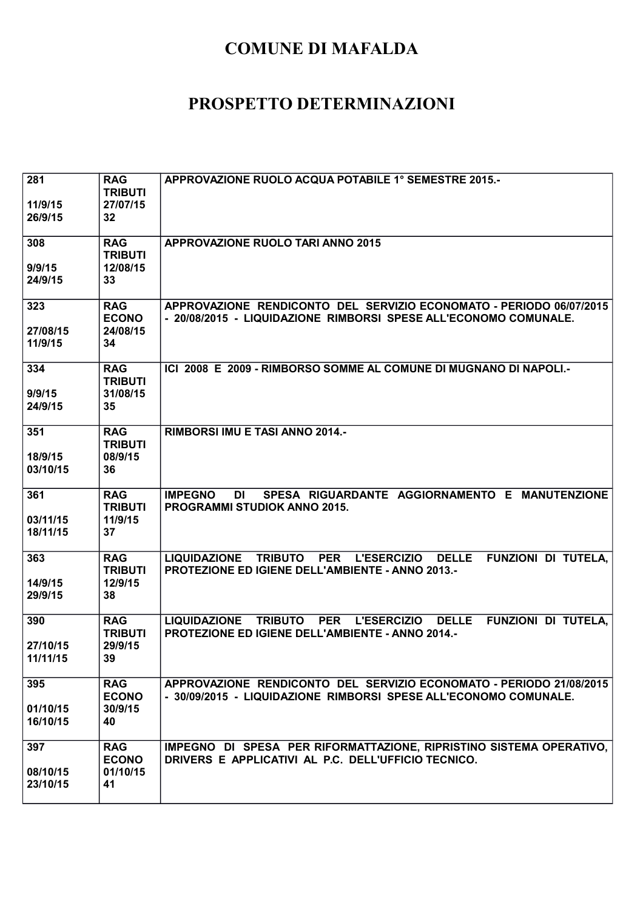| 281<br>11/9/15<br>26/9/15   | <b>RAG</b><br><b>TRIBUTI</b><br>27/07/15<br>32 | APPROVAZIONE RUOLO ACQUA POTABILE 1° SEMESTRE 2015.-                                                                                                                        |
|-----------------------------|------------------------------------------------|-----------------------------------------------------------------------------------------------------------------------------------------------------------------------------|
| 308<br>9/9/15<br>24/9/15    | <b>RAG</b><br><b>TRIBUTI</b><br>12/08/15<br>33 | <b>APPROVAZIONE RUOLO TARI ANNO 2015</b>                                                                                                                                    |
| 323<br>27/08/15<br>11/9/15  | <b>RAG</b><br><b>ECONO</b><br>24/08/15<br>34   | APPROVAZIONE RENDICONTO DEL SERVIZIO ECONOMATO - PERIODO 06/07/2015<br>- 20/08/2015 - LIQUIDAZIONE RIMBORSI SPESE ALL'ECONOMO COMUNALE.                                     |
| 334<br>9/9/15<br>24/9/15    | <b>RAG</b><br><b>TRIBUTI</b><br>31/08/15<br>35 | ICI 2008 E 2009 - RIMBORSO SOMME AL COMUNE DI MUGNANO DI NAPOLI.-                                                                                                           |
| 351<br>18/9/15<br>03/10/15  | <b>RAG</b><br><b>TRIBUTI</b><br>08/9/15<br>36  | <b>RIMBORSI IMU E TASI ANNO 2014.-</b>                                                                                                                                      |
| 361<br>03/11/15<br>18/11/15 | <b>RAG</b><br><b>TRIBUTI</b><br>11/9/15<br>37  | SPESA RIGUARDANTE AGGIORNAMENTO E MANUTENZIONE<br><b>IMPEGNO</b><br>DI<br>PROGRAMMI STUDIOK ANNO 2015.                                                                      |
| 363<br>14/9/15<br>29/9/15   | <b>RAG</b><br><b>TRIBUTI</b><br>12/9/15<br>38  | <b>LIQUIDAZIONE</b><br><b>TRIBUTO</b><br><b>PER</b><br><b>L'ESERCIZIO</b><br><b>DELLE</b><br>FUNZIONI DI TUTELA,<br>PROTEZIONE ED IGIENE DELL'AMBIENTE - ANNO 2013.-        |
| 390<br>27/10/15<br>11/11/15 | <b>RAG</b><br><b>TRIBUTI</b><br>29/9/15<br>39  | <b>TRIBUTO</b><br><b>PER</b><br><b>L'ESERCIZIO</b><br><b>DELLE</b><br><b>LIQUIDAZIONE</b><br>FUNZIONI DI TUTELA,<br><b>PROTEZIONE ED IGIENE DELL'AMBIENTE - ANNO 2014.-</b> |
| 395<br>01/10/15<br>16/10/15 | <b>RAG</b><br><b>ECONO</b><br>30/9/15<br>40    | APPROVAZIONE RENDICONTO DEL SERVIZIO ECONOMATO - PERIODO 21/08/2015<br>- 30/09/2015 - LIQUIDAZIONE RIMBORSI SPESE ALL'ECONOMO COMUNALE.                                     |
| 397<br>08/10/15<br>23/10/15 | <b>RAG</b><br><b>ECONO</b><br>01/10/15<br>41   | IMPEGNO DI SPESA PER RIFORMATTAZIONE, RIPRISTINO SISTEMA OPERATIVO,<br>DRIVERS E APPLICATIVI AL P.C. DELL'UFFICIO TECNICO.                                                  |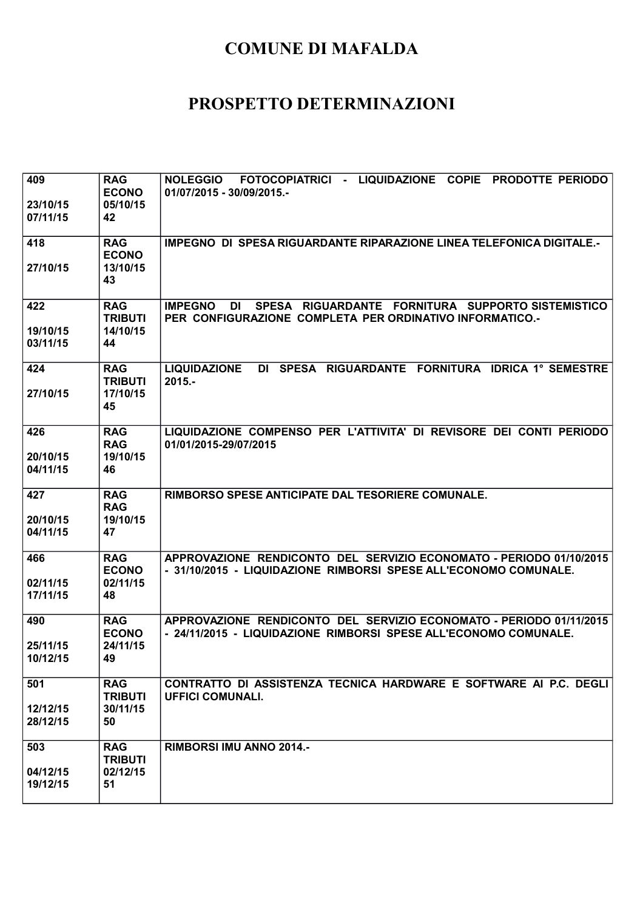| 409<br>23/10/15<br>07/11/15 | <b>RAG</b><br><b>ECONO</b><br>05/10/15<br>42   | NOLEGGIO FOTOCOPIATRICI - LIQUIDAZIONE COPIE PRODOTTE PERIODO<br>01/07/2015 - 30/09/2015 .-                                             |
|-----------------------------|------------------------------------------------|-----------------------------------------------------------------------------------------------------------------------------------------|
| 418<br>27/10/15             | <b>RAG</b><br><b>ECONO</b><br>13/10/15<br>43   | <b>IMPEGNO DI SPESA RIGUARDANTE RIPARAZIONE LINEA TELEFONICA DIGITALE.-</b>                                                             |
| 422                         | <b>RAG</b>                                     | SPESA RIGUARDANTE FORNITURA SUPPORTO SISTEMISTICO<br><b>IMPEGNO</b><br>DI                                                               |
| 19/10/15<br>03/11/15        | <b>TRIBUTI</b><br>14/10/15<br>44               | PER CONFIGURAZIONE COMPLETA PER ORDINATIVO INFORMATICO.-                                                                                |
| 424<br>27/10/15             | <b>RAG</b><br><b>TRIBUTI</b><br>17/10/15<br>45 | DI SPESA RIGUARDANTE FORNITURA IDRICA 1° SEMESTRE<br><b>LIQUIDAZIONE</b><br>$2015. -$                                                   |
| 426<br>20/10/15<br>04/11/15 | <b>RAG</b><br><b>RAG</b><br>19/10/15<br>46     | LIQUIDAZIONE COMPENSO PER L'ATTIVITA' DI REVISORE DEI CONTI PERIODO<br>01/01/2015-29/07/2015                                            |
| 427<br>20/10/15<br>04/11/15 | <b>RAG</b><br><b>RAG</b><br>19/10/15<br>47     | RIMBORSO SPESE ANTICIPATE DAL TESORIERE COMUNALE.                                                                                       |
| 466<br>02/11/15<br>17/11/15 | <b>RAG</b><br><b>ECONO</b><br>02/11/15<br>48   | APPROVAZIONE RENDICONTO DEL SERVIZIO ECONOMATO - PERIODO 01/10/2015<br>- 31/10/2015 - LIQUIDAZIONE RIMBORSI SPESE ALL'ECONOMO COMUNALE. |
| 490<br>25/11/15<br>10/12/15 | <b>RAG</b><br><b>ECONO</b><br>24/11/15<br>49   | APPROVAZIONE RENDICONTO DEL SERVIZIO ECONOMATO - PERIODO 01/11/2015<br>- 24/11/2015 - LIQUIDAZIONE RIMBORSI SPESE ALL'ECONOMO COMUNALE. |
| 501<br>12/12/15<br>28/12/15 | <b>RAG</b><br><b>TRIBUTI</b><br>30/11/15<br>50 | CONTRATTO DI ASSISTENZA TECNICA HARDWARE E SOFTWARE AI P.C. DEGLI<br><b>UFFICI COMUNALI.</b>                                            |
| 503<br>04/12/15<br>19/12/15 | <b>RAG</b><br><b>TRIBUTI</b><br>02/12/15<br>51 | RIMBORSI IMU ANNO 2014.-                                                                                                                |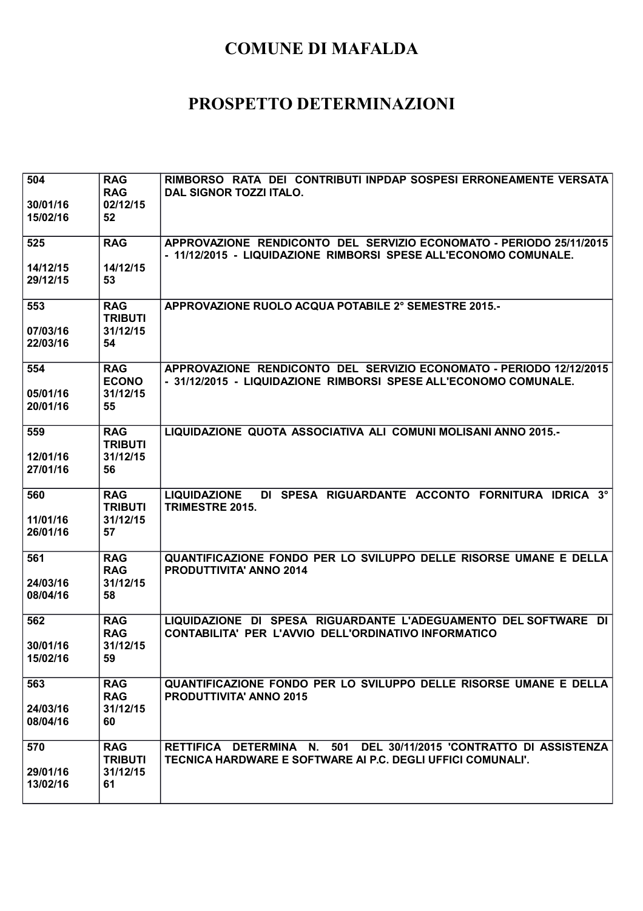| 504                  | <b>RAG</b><br><b>RAG</b>     | RIMBORSO RATA DEI CONTRIBUTI INPDAP SOSPESI ERRONEAMENTE VERSATA                                                                        |
|----------------------|------------------------------|-----------------------------------------------------------------------------------------------------------------------------------------|
| 30/01/16             | 02/12/15                     | DAL SIGNOR TOZZI ITALO.                                                                                                                 |
| 15/02/16             | 52                           |                                                                                                                                         |
| 525                  | <b>RAG</b>                   | APPROVAZIONE RENDICONTO DEL SERVIZIO ECONOMATO - PERIODO 25/11/2015<br>- 11/12/2015 - LIQUIDAZIONE RIMBORSI SPESE ALL'ECONOMO COMUNALE. |
| 14/12/15             | 14/12/15                     |                                                                                                                                         |
| 29/12/15             | 53                           |                                                                                                                                         |
| 553                  | <b>RAG</b><br><b>TRIBUTI</b> | APPROVAZIONE RUOLO ACQUA POTABILE 2° SEMESTRE 2015.-                                                                                    |
| 07/03/16             | 31/12/15                     |                                                                                                                                         |
| 22/03/16             | 54                           |                                                                                                                                         |
| 554                  | <b>RAG</b>                   | APPROVAZIONE RENDICONTO DEL SERVIZIO ECONOMATO - PERIODO 12/12/2015                                                                     |
| 05/01/16             | <b>ECONO</b><br>31/12/15     | - 31/12/2015 - LIQUIDAZIONE RIMBORSI SPESE ALL'ECONOMO COMUNALE.                                                                        |
| 20/01/16             | 55                           |                                                                                                                                         |
| 559                  | <b>RAG</b>                   | LIQUIDAZIONE QUOTA ASSOCIATIVA ALI COMUNI MOLISANI ANNO 2015.-                                                                          |
| 12/01/16             | <b>TRIBUTI</b><br>31/12/15   |                                                                                                                                         |
| 27/01/16             | 56                           |                                                                                                                                         |
| 560                  | <b>RAG</b>                   | DI SPESA RIGUARDANTE ACCONTO FORNITURA IDRICA 3°<br><b>LIQUIDAZIONE</b>                                                                 |
|                      |                              |                                                                                                                                         |
|                      | <b>TRIBUTI</b>               | TRIMESTRE 2015.                                                                                                                         |
| 11/01/16<br>26/01/16 | 31/12/15<br>57               |                                                                                                                                         |
| 561                  | <b>RAG</b>                   | QUANTIFICAZIONE FONDO PER LO SVILUPPO DELLE RISORSE UMANE E DELLA                                                                       |
|                      | <b>RAG</b>                   | <b>PRODUTTIVITA' ANNO 2014</b>                                                                                                          |
| 24/03/16<br>08/04/16 | 31/12/15<br>58               |                                                                                                                                         |
|                      |                              |                                                                                                                                         |
| 562                  | <b>RAG</b><br><b>RAG</b>     | LIQUIDAZIONE DI SPESA RIGUARDANTE L'ADEGUAMENTO DEL SOFTWARE DI<br>CONTABILITA' PER L'AVVIO DELL'ORDINATIVO INFORMATICO                 |
| 30/01/16             | 31/12/15                     |                                                                                                                                         |
| 15/02/16             | 59                           |                                                                                                                                         |
| 563                  | <b>RAG</b>                   | QUANTIFICAZIONE FONDO PER LO SVILUPPO DELLE RISORSE UMANE E DELLA                                                                       |
| 24/03/16             | <b>RAG</b><br>31/12/15       | <b>PRODUTTIVITA' ANNO 2015</b>                                                                                                          |
| 08/04/16             | 60                           |                                                                                                                                         |
| 570                  | <b>RAG</b>                   | RETTIFICA DETERMINA N. 501 DEL 30/11/2015 'CONTRATTO DI ASSISTENZA                                                                      |
|                      | <b>TRIBUTI</b>               | TECNICA HARDWARE E SOFTWARE AI P.C. DEGLI UFFICI COMUNALI'.                                                                             |
| 29/01/16<br>13/02/16 | 31/12/15<br>61               |                                                                                                                                         |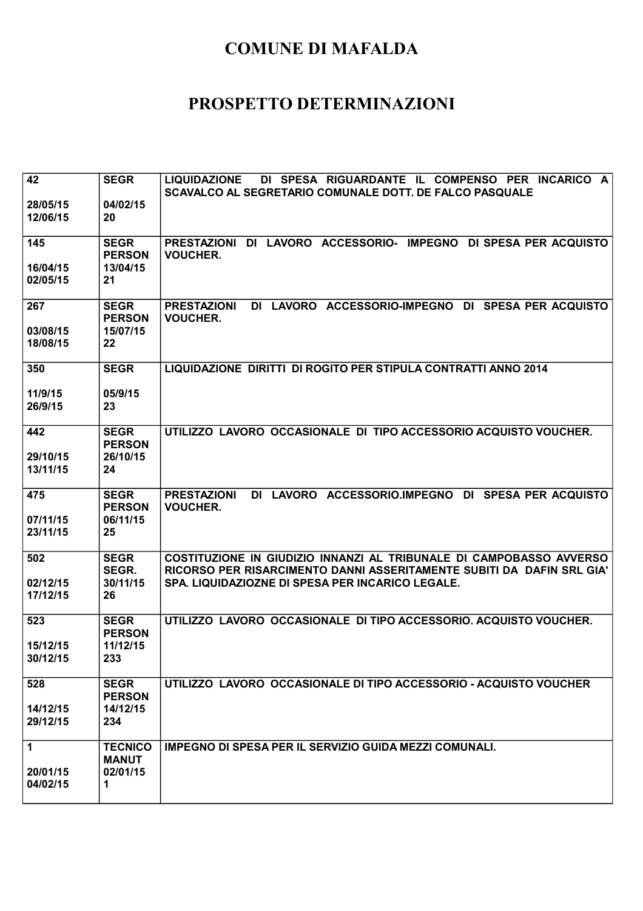| 42                   | <b>SEGR</b>                              | DI SPESA RIGUARDANTE IL COMPENSO PER INCARICO A<br><b>LIQUIDAZIONE</b><br>SCAVALCO AL SEGRETARIO COMUNALE DOTT. DE FALCO PASQUALE            |
|----------------------|------------------------------------------|----------------------------------------------------------------------------------------------------------------------------------------------|
| 28/05/15<br>12/06/15 | 04/02/15<br>20                           |                                                                                                                                              |
| 145                  | <b>SEGR</b><br><b>PERSON</b>             | PRESTAZIONI DI LAVORO ACCESSORIO- IMPEGNO DI SPESA PER ACQUISTO<br><b>VOUCHER.</b>                                                           |
| 16/04/15<br>02/05/15 | 13/04/15<br>21                           |                                                                                                                                              |
| 267<br>03/08/15      | <b>SEGR</b><br><b>PERSON</b><br>15/07/15 | DI LAVORO ACCESSORIO-IMPEGNO<br><b>PRESTAZIONI</b><br>DI SPESA PER ACQUISTO<br><b>VOUCHER.</b>                                               |
| 18/08/15             | 22                                       |                                                                                                                                              |
| 350                  | <b>SEGR</b>                              | LIQUIDAZIONE DIRITTI DI ROGITO PER STIPULA CONTRATTI ANNO 2014                                                                               |
| 11/9/15<br>26/9/15   | 05/9/15<br>23                            |                                                                                                                                              |
| 442                  | <b>SEGR</b><br><b>PERSON</b>             | UTILIZZO LAVORO OCCASIONALE DI TIPO ACCESSORIO ACQUISTO VOUCHER.                                                                             |
| 29/10/15<br>13/11/15 | 26/10/15<br>24                           |                                                                                                                                              |
| 475                  | <b>SEGR</b><br><b>PERSON</b>             | <b>PRESTAZIONI</b><br>DI LAVORO ACCESSORIO.IMPEGNO DI SPESA PER ACQUISTO<br><b>VOUCHER.</b>                                                  |
| 07/11/15<br>23/11/15 | 06/11/15<br>25                           |                                                                                                                                              |
| 502                  | <b>SEGR</b><br>SEGR.                     | COSTITUZIONE IN GIUDIZIO INNANZI AL TRIBUNALE DI CAMPOBASSO AVVERSO<br>RICORSO PER RISARCIMENTO DANNI ASSERITAMENTE SUBITI DA DAFIN SRL GIA' |
| 02/12/15<br>17/12/15 | 30/11/15<br>26                           | SPA. LIQUIDAZIOZNE DI SPESA PER INCARICO LEGALE.                                                                                             |
| 523                  | <b>SEGR</b><br><b>PERSON</b>             | UTILIZZO LAVORO OCCASIONALE DI TIPO ACCESSORIO. ACQUISTO VOUCHER.                                                                            |
| 15/12/15<br>30/12/15 | 11/12/15<br>233                          |                                                                                                                                              |
| 528                  | <b>SEGR</b><br><b>PERSON</b>             | UTILIZZO LAVORO OCCASIONALE DI TIPO ACCESSORIO - ACQUISTO VOUCHER                                                                            |
| 14/12/15<br>29/12/15 | 14/12/15<br>234                          |                                                                                                                                              |
| 1                    | <b>TECNICO</b><br><b>MANUT</b>           | IMPEGNO DI SPESA PER IL SERVIZIO GUIDA MEZZI COMUNALI.                                                                                       |
| 20/01/15<br>04/02/15 | 02/01/15<br>1                            |                                                                                                                                              |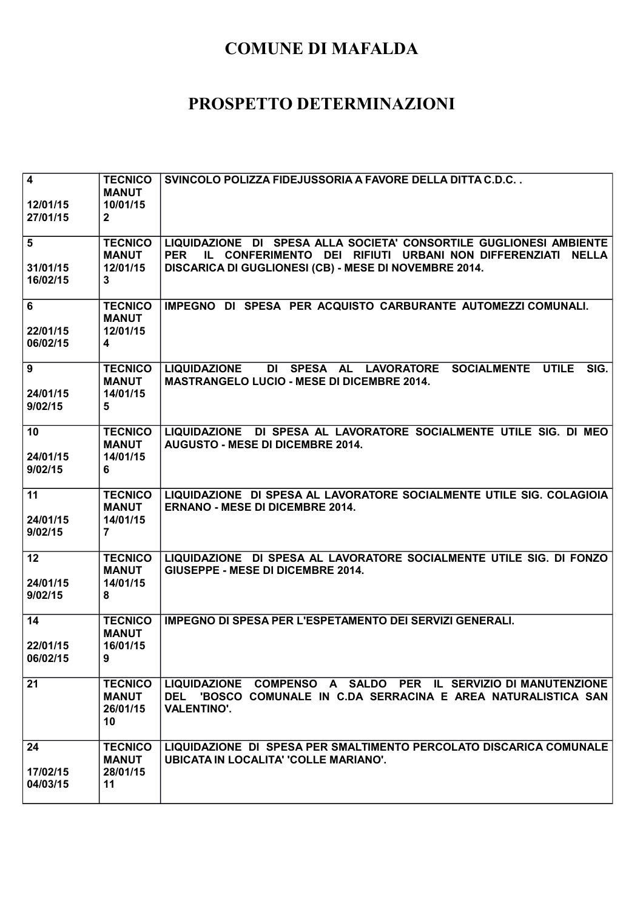| $\overline{\mathbf{4}}$<br>12/01/15<br>27/01/15 | <b>TECNICO</b><br><b>MANUT</b><br>10/01/15<br>$\mathbf{2}$            | SVINCOLO POLIZZA FIDEJUSSORIA A FAVORE DELLA DITTA C.D.C                                                                                                                                                          |
|-------------------------------------------------|-----------------------------------------------------------------------|-------------------------------------------------------------------------------------------------------------------------------------------------------------------------------------------------------------------|
| 5<br>31/01/15<br>16/02/15                       | <b>TECNICO</b><br><b>MANUT</b><br>12/01/15<br>3                       | LIQUIDAZIONE DI SPESA ALLA SOCIETA' CONSORTILE GUGLIONESI AMBIENTE<br><b>PER</b><br>IL CONFERIMENTO DEI RIFIUTI URBANI NON DIFFERENZIATI<br><b>NELLA</b><br>DISCARICA DI GUGLIONESI (CB) - MESE DI NOVEMBRE 2014. |
| 6<br>22/01/15<br>06/02/15                       | <b>TECNICO</b><br><b>MANUT</b><br>12/01/15<br>$\overline{\mathbf{4}}$ | IMPEGNO DI SPESA PER ACQUISTO CARBURANTE AUTOMEZZI COMUNALI.                                                                                                                                                      |
| 9<br>24/01/15<br>9/02/15                        | <b>TECNICO</b><br><b>MANUT</b><br>14/01/15<br>5                       | <b>SOCIALMENTE</b><br><b>UTILE</b><br><b>LIQUIDAZIONE</b><br>DI SPESA AL LAVORATORE<br>SIG.<br><b>MASTRANGELO LUCIO - MESE DI DICEMBRE 2014.</b>                                                                  |
| 10<br>24/01/15<br>9/02/15                       | <b>TECNICO</b><br><b>MANUT</b><br>14/01/15<br>6                       | LIQUIDAZIONE DI SPESA AL LAVORATORE SOCIALMENTE UTILE SIG. DI MEO<br><b>AUGUSTO - MESE DI DICEMBRE 2014.</b>                                                                                                      |
| 11<br>24/01/15<br>9/02/15                       | <b>TECNICO</b><br><b>MANUT</b><br>14/01/15<br>$\overline{7}$          | LIQUIDAZIONE DI SPESA AL LAVORATORE SOCIALMENTE UTILE SIG. COLAGIOIA<br><b>ERNANO - MESE DI DICEMBRE 2014.</b>                                                                                                    |
| 12<br>24/01/15<br>9/02/15                       | <b>TECNICO</b><br><b>MANUT</b><br>14/01/15<br>8                       | LIQUIDAZIONE DI SPESA AL LAVORATORE SOCIALMENTE UTILE SIG. DI FONZO<br>GIUSEPPE - MESE DI DICEMBRE 2014.                                                                                                          |
| 14<br>22/01/15<br>06/02/15                      | <b>TECNICO</b><br><b>MANUT</b><br>16/01/15<br>9                       | <b>IMPEGNO DI SPESA PER L'ESPETAMENTO DEI SERVIZI GENERALI.</b>                                                                                                                                                   |
| 21                                              | <b>TECNICO</b><br><b>MANUT</b><br>26/01/15<br>10                      | LIQUIDAZIONE COMPENSO A SALDO PER IL SERVIZIO DI MANUTENZIONE<br>'BOSCO COMUNALE IN C.DA SERRACINA E AREA NATURALISTICA SAN<br><b>DEL</b><br><b>VALENTINO'.</b>                                                   |
| 24<br>17/02/15<br>04/03/15                      | <b>TECNICO</b><br><b>MANUT</b><br>28/01/15<br>11                      | LIQUIDAZIONE DI SPESA PER SMALTIMENTO PERCOLATO DISCARICA COMUNALE<br><b>UBICATA IN LOCALITA' 'COLLE MARIANO'.</b>                                                                                                |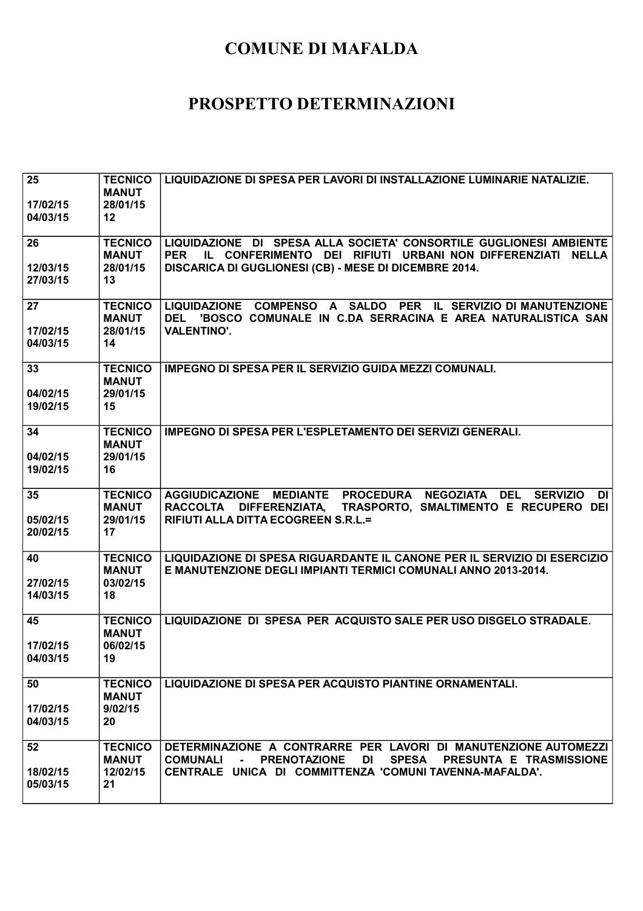| 25<br>17/02/15<br>04/03/15 | <b>TECNICO</b><br><b>MANUT</b><br>28/01/15<br>12 | LIQUIDAZIONE DI SPESA PER LAVORI DI INSTALLAZIONE LUMINARIE NATALIZIE.                                                                                                                                                                    |
|----------------------------|--------------------------------------------------|-------------------------------------------------------------------------------------------------------------------------------------------------------------------------------------------------------------------------------------------|
| 26<br>12/03/15<br>27/03/15 | <b>TECNICO</b><br><b>MANUT</b><br>28/01/15<br>13 | LIQUIDAZIONE DI SPESA ALLA SOCIETA' CONSORTILE GUGLIONESI AMBIENTE<br><b>PER</b><br>IL CONFERIMENTO DEI RIFIUTI URBANI NON DIFFERENZIATI<br><b>NELLA</b><br>DISCARICA DI GUGLIONESI (CB) - MESE DI DICEMBRE 2014.                         |
| 27<br>17/02/15<br>04/03/15 | <b>TECNICO</b><br><b>MANUT</b><br>28/01/15<br>14 | LIQUIDAZIONE COMPENSO A SALDO PER IL SERVIZIO DI MANUTENZIONE<br>'BOSCO COMUNALE IN C.DA SERRACINA E AREA NATURALISTICA SAN<br><b>DEL</b><br><b>VALENTINO'.</b>                                                                           |
| 33<br>04/02/15<br>19/02/15 | <b>TECNICO</b><br><b>MANUT</b><br>29/01/15<br>15 | <b>IMPEGNO DI SPESA PER IL SERVIZIO GUIDA MEZZI COMUNALI.</b>                                                                                                                                                                             |
| 34<br>04/02/15<br>19/02/15 | <b>TECNICO</b><br><b>MANUT</b><br>29/01/15<br>16 | <b>IMPEGNO DI SPESA PER L'ESPLETAMENTO DEI SERVIZI GENERALI.</b>                                                                                                                                                                          |
| 35<br>05/02/15<br>20/02/15 | <b>TECNICO</b><br><b>MANUT</b><br>29/01/15<br>17 | AGGIUDICAZIONE MEDIANTE PROCEDURA NEGOZIATA DEL<br><b>DI</b><br><b>SERVIZIO</b><br>RACCOLTA DIFFERENZIATA, TRASPORTO, SMALTIMENTO E RECUPERO DEI<br>RIFIUTI ALLA DITTA ECOGREEN S.R.L.=                                                   |
| 40<br>27/02/15<br>14/03/15 | <b>TECNICO</b><br><b>MANUT</b><br>03/02/15<br>18 | LIQUIDAZIONE DI SPESA RIGUARDANTE IL CANONE PER IL SERVIZIO DI ESERCIZIO<br>E MANUTENZIONE DEGLI IMPIANTI TERMICI COMUNALI ANNO 2013-2014.                                                                                                |
| 45<br>17/02/15<br>04/03/15 | <b>TECNICO</b><br><b>MANUT</b><br>06/02/15<br>19 | LIQUIDAZIONE DI SPESA PER ACQUISTO SALE PER USO DISGELO STRADALE.                                                                                                                                                                         |
| 50<br>17/02/15<br>04/03/15 | <b>TECNICO</b><br><b>MANUT</b><br>9/02/15<br>20  | LIQUIDAZIONE DI SPESA PER ACQUISTO PIANTINE ORNAMENTALI.                                                                                                                                                                                  |
| 52<br>18/02/15<br>05/03/15 | <b>TECNICO</b><br><b>MANUT</b><br>12/02/15<br>21 | DETERMINAZIONE A CONTRARRE PER LAVORI DI MANUTENZIONE AUTOMEZZI<br><b>PRENOTAZIONE</b><br><b>DI</b><br><b>SPESA</b><br>PRESUNTA E TRASMISSIONE<br><b>COMUNALI</b><br>$\sim 100$<br>CENTRALE UNICA DI COMMITTENZA 'COMUNITAVENNA-MAFALDA'. |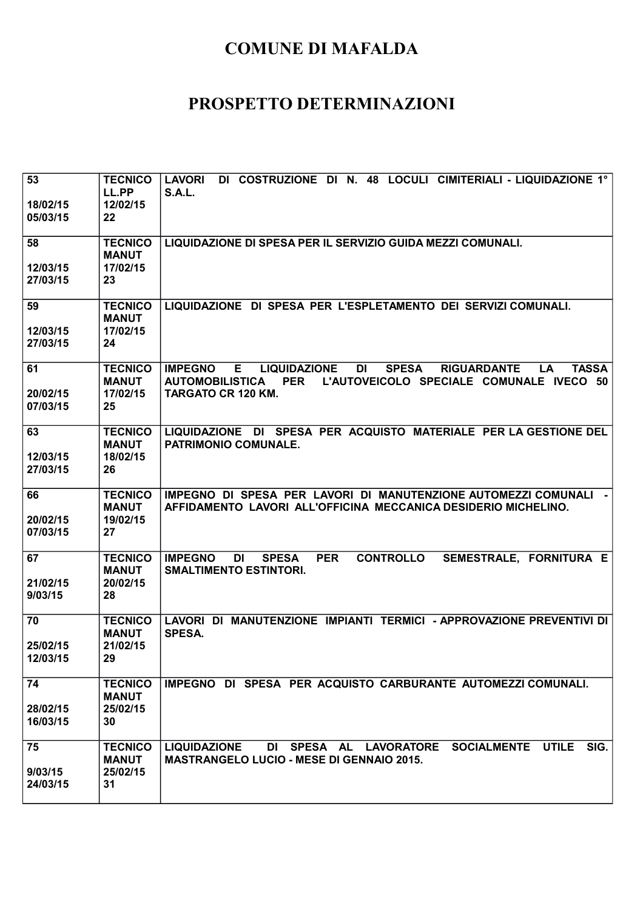| 53<br>18/02/15<br>05/03/15 | <b>TECNICO</b><br>LL.PP<br>12/02/15<br>22        | DI COSTRUZIONE DI N. 48 LOCULI CIMITERIALI - LIQUIDAZIONE 1°<br><b>LAVORI</b><br><b>S.A.L.</b>                                                                                                                                        |
|----------------------------|--------------------------------------------------|---------------------------------------------------------------------------------------------------------------------------------------------------------------------------------------------------------------------------------------|
| 58<br>12/03/15<br>27/03/15 | <b>TECNICO</b><br><b>MANUT</b><br>17/02/15<br>23 | LIQUIDAZIONE DI SPESA PER IL SERVIZIO GUIDA MEZZI COMUNALI.                                                                                                                                                                           |
| 59<br>12/03/15<br>27/03/15 | <b>TECNICO</b><br><b>MANUT</b><br>17/02/15<br>24 | LIQUIDAZIONE DI SPESA PER L'ESPLETAMENTO DEI SERVIZI COMUNALI.                                                                                                                                                                        |
| 61<br>20/02/15<br>07/03/15 | <b>TECNICO</b><br><b>MANUT</b><br>17/02/15<br>25 | <b>LIQUIDAZIONE</b><br><b>SPESA</b><br><b>TASSA</b><br><b>IMPEGNO</b><br>Е.<br>DI<br><b>RIGUARDANTE</b><br><b>LA</b><br>L'AUTOVEICOLO SPECIALE COMUNALE IVECO 50<br><b>AUTOMOBILISTICA</b><br><b>PER</b><br><b>TARGATO CR 120 KM.</b> |
| 63<br>12/03/15<br>27/03/15 | <b>TECNICO</b><br><b>MANUT</b><br>18/02/15<br>26 | LIQUIDAZIONE DI SPESA PER ACQUISTO MATERIALE PER LA GESTIONE DEL<br><b>PATRIMONIO COMUNALE.</b>                                                                                                                                       |
| 66<br>20/02/15<br>07/03/15 | <b>TECNICO</b><br><b>MANUT</b><br>19/02/15<br>27 | IMPEGNO DI SPESA PER LAVORI DI MANUTENZIONE AUTOMEZZI COMUNALI -<br>AFFIDAMENTO LAVORI ALL'OFFICINA MECCANICA DESIDERIO MICHELINO.                                                                                                    |
| 67<br>21/02/15<br>9/03/15  | <b>TECNICO</b><br><b>MANUT</b><br>20/02/15<br>28 | <b>IMPEGNO</b><br><b>SPESA</b><br><b>PER</b><br><b>CONTROLLO</b><br>SEMESTRALE, FORNITURA E<br>DI<br><b>SMALTIMENTO ESTINTORI.</b>                                                                                                    |
| 70<br>25/02/15<br>12/03/15 | <b>TECNICO</b><br><b>MANUT</b><br>21/02/15<br>29 | LAVORI DI MANUTENZIONE IMPIANTI TERMICI - APPROVAZIONE PREVENTIVI DI<br><b>SPESA.</b>                                                                                                                                                 |
| 74<br>28/02/15<br>16/03/15 | <b>TECNICO</b><br><b>MANUT</b><br>25/02/15<br>30 | IMPEGNO DI SPESA PER ACQUISTO CARBURANTE AUTOMEZZI COMUNALI.                                                                                                                                                                          |
| 75<br>9/03/15<br>24/03/15  | <b>TECNICO</b><br><b>MANUT</b><br>25/02/15<br>31 | <b>UTILE</b><br>DI SPESA AL LAVORATORE<br><b>SOCIALMENTE</b><br>SIG.<br><b>LIQUIDAZIONE</b><br><b>MASTRANGELO LUCIO - MESE DI GENNAIO 2015.</b>                                                                                       |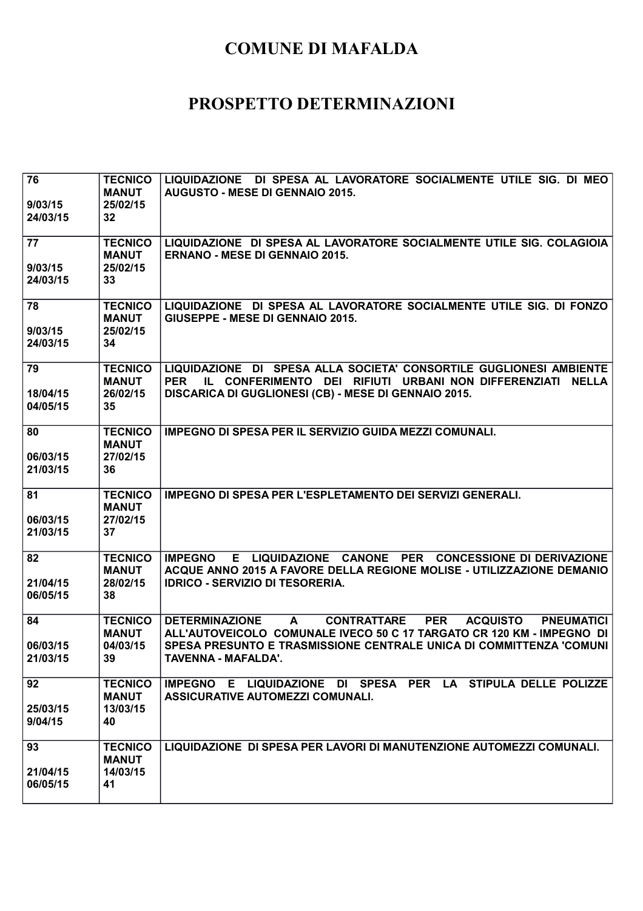| 76<br>9/03/15        | <b>TECNICO</b><br><b>MANUT</b><br>25/02/15 | LIQUIDAZIONE DI SPESA AL LAVORATORE SOCIALMENTE UTILE SIG. DI MEO<br><b>AUGUSTO - MESE DI GENNAIO 2015.</b>                                                                                                                                            |
|----------------------|--------------------------------------------|--------------------------------------------------------------------------------------------------------------------------------------------------------------------------------------------------------------------------------------------------------|
| 24/03/15             | 32                                         |                                                                                                                                                                                                                                                        |
| 77                   | <b>TECNICO</b><br><b>MANUT</b>             | LIQUIDAZIONE DI SPESA AL LAVORATORE SOCIALMENTE UTILE SIG. COLAGIOIA<br><b>ERNANO - MESE DI GENNAIO 2015.</b>                                                                                                                                          |
| 9/03/15<br>24/03/15  | 25/02/15<br>33                             |                                                                                                                                                                                                                                                        |
| 78<br>9/03/15        | <b>TECNICO</b><br><b>MANUT</b><br>25/02/15 | LIQUIDAZIONE DI SPESA AL LAVORATORE SOCIALMENTE UTILE SIG. DI FONZO<br>GIUSEPPE - MESE DI GENNAIO 2015.                                                                                                                                                |
| 24/03/15             | 34                                         |                                                                                                                                                                                                                                                        |
| 79<br>18/04/15       | <b>TECNICO</b><br><b>MANUT</b><br>26/02/15 | LIQUIDAZIONE DI SPESA ALLA SOCIETA' CONSORTILE GUGLIONESI AMBIENTE<br><b>PER</b><br>IL CONFERIMENTO DEI RIFIUTI URBANI NON DIFFERENZIATI<br><b>NELLA</b><br>DISCARICA DI GUGLIONESI (CB) - MESE DI GENNAIO 2015.                                       |
| 04/05/15             | 35                                         |                                                                                                                                                                                                                                                        |
| 80<br>06/03/15       | <b>TECNICO</b><br><b>MANUT</b><br>27/02/15 | <b>IMPEGNO DI SPESA PER IL SERVIZIO GUIDA MEZZI COMUNALI.</b>                                                                                                                                                                                          |
| 21/03/15             | 36                                         |                                                                                                                                                                                                                                                        |
| 81<br>06/03/15       | <b>TECNICO</b><br><b>MANUT</b><br>27/02/15 | IMPEGNO DI SPESA PER L'ESPLETAMENTO DEI SERVIZI GENERALI.                                                                                                                                                                                              |
| 21/03/15             | 37                                         |                                                                                                                                                                                                                                                        |
| 82<br>21/04/15       | <b>TECNICO</b><br><b>MANUT</b><br>28/02/15 | E LIQUIDAZIONE CANONE PER CONCESSIONE DI DERIVAZIONE<br><b>IMPEGNO</b><br>ACQUE ANNO 2015 A FAVORE DELLA REGIONE MOLISE - UTILIZZAZIONE DEMANIO<br><b>IDRICO - SERVIZIO DI TESORERIA.</b>                                                              |
| 06/05/15             | 38                                         |                                                                                                                                                                                                                                                        |
| 84                   | <b>TECNICO</b><br><b>MANUT</b><br>04/03/15 | <b>DETERMINAZIONE</b><br><b>CONTRATTARE</b><br><b>PER</b><br><b>ACQUISTO</b><br><b>PNEUMATICI</b><br>A<br>ALL'AUTOVEICOLO COMUNALE IVECO 50 C 17 TARGATO CR 120 KM - IMPEGNO DI<br>SPESA PRESUNTO E TRASMISSIONE CENTRALE UNICA DI COMMITTENZA 'COMUNI |
| 06/03/15<br>21/03/15 | 39                                         | <b>TAVENNA - MAFALDA'.</b>                                                                                                                                                                                                                             |
| 92                   | <b>TECNICO</b><br><b>MANUT</b>             | IMPEGNO E LIQUIDAZIONE DI SPESA PER LA STIPULA DELLE POLIZZE<br><b>ASSICURATIVE AUTOMEZZI COMUNALI.</b>                                                                                                                                                |
| 25/03/15<br>9/04/15  | 13/03/15<br>40                             |                                                                                                                                                                                                                                                        |
| 93                   | <b>TECNICO</b><br><b>MANUT</b>             | LIQUIDAZIONE DI SPESA PER LAVORI DI MANUTENZIONE AUTOMEZZI COMUNALI.                                                                                                                                                                                   |
| 21/04/15             | 14/03/15                                   |                                                                                                                                                                                                                                                        |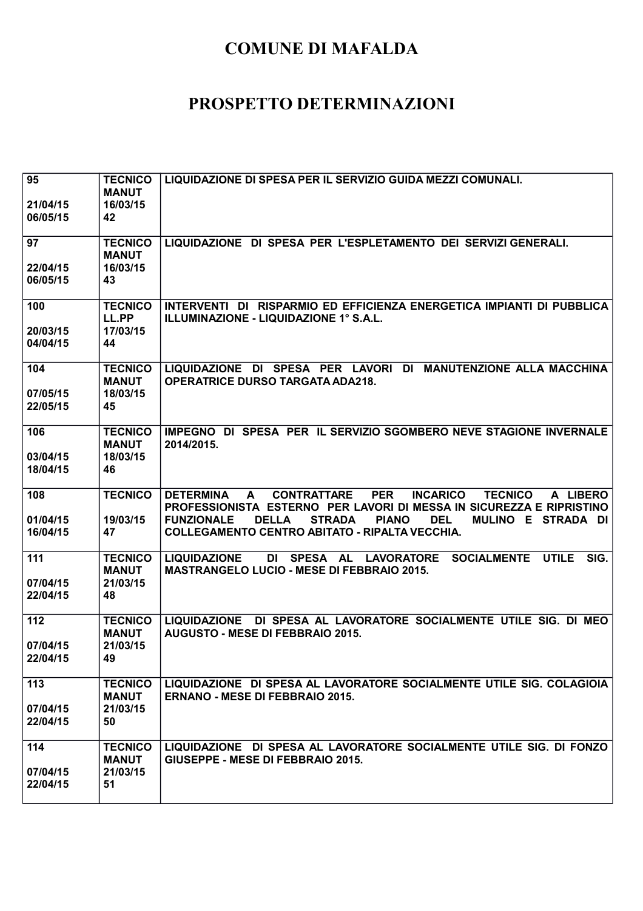| 95<br>21/04/15<br>06/05/15  | <b>TECNICO</b><br><b>MANUT</b><br>16/03/15<br>42 | LIQUIDAZIONE DI SPESA PER IL SERVIZIO GUIDA MEZZI COMUNALI.                                                                                                                                                                                                                                                                                           |
|-----------------------------|--------------------------------------------------|-------------------------------------------------------------------------------------------------------------------------------------------------------------------------------------------------------------------------------------------------------------------------------------------------------------------------------------------------------|
| 97<br>22/04/15<br>06/05/15  | <b>TECNICO</b><br><b>MANUT</b><br>16/03/15<br>43 | LIQUIDAZIONE DI SPESA PER L'ESPLETAMENTO DEI SERVIZI GENERALI.                                                                                                                                                                                                                                                                                        |
| 100<br>20/03/15<br>04/04/15 | <b>TECNICO</b><br>LL.PP<br>17/03/15<br>44        | INTERVENTI DI RISPARMIO ED EFFICIENZA ENERGETICA IMPIANTI DI PUBBLICA<br>ILLUMINAZIONE - LIQUIDAZIONE 1° S.A.L.                                                                                                                                                                                                                                       |
| 104<br>07/05/15<br>22/05/15 | <b>TECNICO</b><br><b>MANUT</b><br>18/03/15<br>45 | <b>MANUTENZIONE ALLA MACCHINA</b><br>LIQUIDAZIONE DI SPESA PER LAVORI DI<br><b>OPERATRICE DURSO TARGATA ADA218.</b>                                                                                                                                                                                                                                   |
| 106<br>03/04/15<br>18/04/15 | <b>TECNICO</b><br><b>MANUT</b><br>18/03/15<br>46 | IMPEGNO DI SPESA PER IL SERVIZIO SGOMBERO NEVE STAGIONE INVERNALE<br>2014/2015.                                                                                                                                                                                                                                                                       |
| 108<br>01/04/15<br>16/04/15 | <b>TECNICO</b><br>19/03/15<br>47                 | <b>DETERMINA</b><br><b>CONTRATTARE</b><br><b>PER</b><br><b>INCARICO</b><br><b>TECNICO</b><br>A<br>A LIBERO<br>PROFESSIONISTA ESTERNO PER LAVORI DI MESSA IN SICUREZZA E RIPRISTINO<br><b>DELLA</b><br><b>DEL</b><br><b>FUNZIONALE</b><br><b>STRADA</b><br><b>PIANO</b><br>MULINO E STRADA DI<br><b>COLLEGAMENTO CENTRO ABITATO - RIPALTA VECCHIA.</b> |
| 111<br>07/04/15<br>22/04/15 | <b>TECNICO</b><br><b>MANUT</b><br>21/03/15<br>48 | <b>LIQUIDAZIONE</b><br>DI<br>SPESA AL LAVORATORE<br><b>SOCIALMENTE</b><br><b>UTILE</b><br>SIG.<br><b>MASTRANGELO LUCIO - MESE DI FEBBRAIO 2015.</b>                                                                                                                                                                                                   |
| 112<br>07/04/15<br>22/04/15 | <b>TECNICO</b><br><b>MANUT</b><br>21/03/15<br>49 | LIQUIDAZIONE DI SPESA AL LAVORATORE SOCIALMENTE UTILE SIG. DI MEO<br><b>AUGUSTO - MESE DI FEBBRAIO 2015.</b>                                                                                                                                                                                                                                          |
| 113<br>07/04/15<br>22/04/15 | <b>TECNICO</b><br><b>MANUT</b><br>21/03/15<br>50 | LIQUIDAZIONE DI SPESA AL LAVORATORE SOCIALMENTE UTILE SIG. COLAGIOIA<br><b>ERNANO - MESE DI FEBBRAIO 2015.</b>                                                                                                                                                                                                                                        |
| 114<br>07/04/15<br>22/04/15 | <b>TECNICO</b><br><b>MANUT</b><br>21/03/15<br>51 | LIQUIDAZIONE DI SPESA AL LAVORATORE SOCIALMENTE UTILE SIG. DI FONZO<br><b>GIUSEPPE - MESE DI FEBBRAIO 2015.</b>                                                                                                                                                                                                                                       |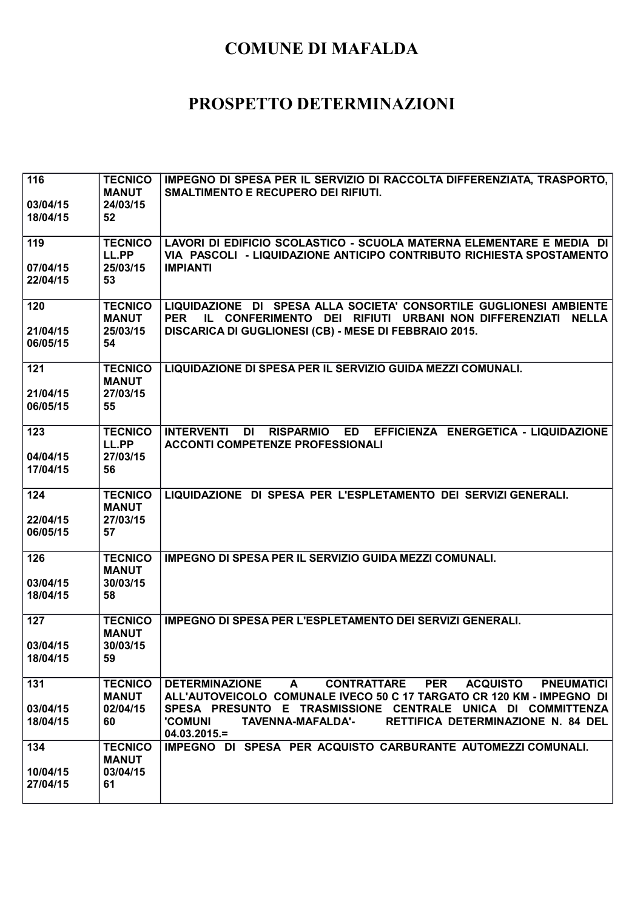| 116<br>03/04/15<br>18/04/15 | <b>TECNICO</b><br><b>MANUT</b><br>24/03/15<br>52 | IMPEGNO DI SPESA PER IL SERVIZIO DI RACCOLTA DIFFERENZIATA, TRASPORTO,<br><b>SMALTIMENTO E RECUPERO DEI RIFIUTI.</b>                                                                                                                                                                                                                                            |
|-----------------------------|--------------------------------------------------|-----------------------------------------------------------------------------------------------------------------------------------------------------------------------------------------------------------------------------------------------------------------------------------------------------------------------------------------------------------------|
| 119<br>07/04/15<br>22/04/15 | <b>TECNICO</b><br>LL.PP<br>25/03/15<br>53        | LAVORI DI EDIFICIO SCOLASTICO - SCUOLA MATERNA ELEMENTARE E MEDIA DI<br>VIA PASCOLI - LIQUIDAZIONE ANTICIPO CONTRIBUTO RICHIESTA SPOSTAMENTO<br><b>IMPIANTI</b>                                                                                                                                                                                                 |
| 120<br>21/04/15<br>06/05/15 | <b>TECNICO</b><br><b>MANUT</b><br>25/03/15<br>54 | LIQUIDAZIONE DI SPESA ALLA SOCIETA' CONSORTILE GUGLIONESI AMBIENTE<br>IL CONFERIMENTO DEI RIFIUTI URBANI NON DIFFERENZIATI NELLA<br><b>PER</b><br>DISCARICA DI GUGLIONESI (CB) - MESE DI FEBBRAIO 2015.                                                                                                                                                         |
| 121<br>21/04/15<br>06/05/15 | <b>TECNICO</b><br><b>MANUT</b><br>27/03/15<br>55 | LIQUIDAZIONE DI SPESA PER IL SERVIZIO GUIDA MEZZI COMUNALI.                                                                                                                                                                                                                                                                                                     |
| 123<br>04/04/15<br>17/04/15 | <b>TECNICO</b><br>LL.PP<br>27/03/15<br>56        | RISPARMIO ED EFFICIENZA ENERGETICA - LIQUIDAZIONE<br><b>INTERVENTI</b><br>DI<br><b>ACCONTI COMPETENZE PROFESSIONALI</b>                                                                                                                                                                                                                                         |
| 124<br>22/04/15<br>06/05/15 | <b>TECNICO</b><br><b>MANUT</b><br>27/03/15<br>57 | LIQUIDAZIONE DI SPESA PER L'ESPLETAMENTO DEI SERVIZI GENERALI.                                                                                                                                                                                                                                                                                                  |
| 126<br>03/04/15<br>18/04/15 | <b>TECNICO</b><br><b>MANUT</b><br>30/03/15<br>58 | IMPEGNO DI SPESA PER IL SERVIZIO GUIDA MEZZI COMUNALI.                                                                                                                                                                                                                                                                                                          |
| 127<br>03/04/15<br>18/04/15 | <b>TECNICO</b><br><b>MANUT</b><br>30/03/15<br>59 | <b>IMPEGNO DI SPESA PER L'ESPLETAMENTO DEI SERVIZI GENERALI.</b>                                                                                                                                                                                                                                                                                                |
| 131<br>03/04/15<br>18/04/15 | <b>TECNICO</b><br><b>MANUT</b><br>02/04/15<br>60 | <b>CONTRATTARE</b><br><b>PER</b><br><b>ACQUISTO</b><br><b>DETERMINAZIONE</b><br>$\mathbf{A}$<br><b>PNEUMATICI</b><br>ALL'AUTOVEICOLO COMUNALE IVECO 50 C 17 TARGATO CR 120 KM - IMPEGNO DI<br>SPESA PRESUNTO E TRASMISSIONE CENTRALE UNICA DI COMMITTENZA<br><b>'COMUNI</b><br><b>TAVENNA-MAFALDA'-</b><br>RETTIFICA DETERMINAZIONE N. 84 DEL<br>$04.03.2015 =$ |
| 134<br>10/04/15<br>27/04/15 | <b>TECNICO</b><br><b>MANUT</b><br>03/04/15<br>61 | IMPEGNO DI SPESA PER ACQUISTO CARBURANTE AUTOMEZZI COMUNALI.                                                                                                                                                                                                                                                                                                    |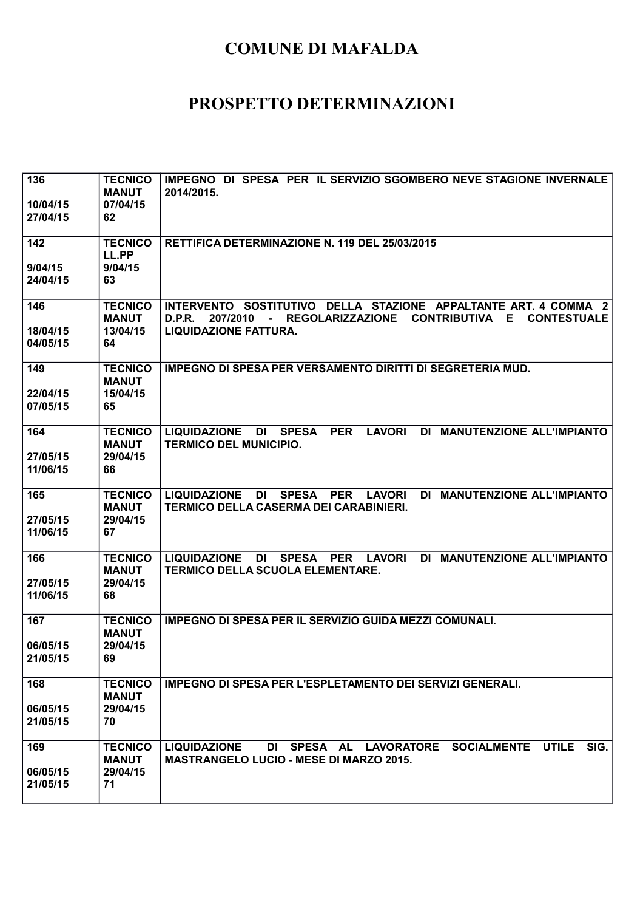| 136<br>10/04/15<br>27/04/15 | <b>TECNICO</b><br><b>MANUT</b><br>07/04/15<br>62 | IMPEGNO DI SPESA PER IL SERVIZIO SGOMBERO NEVE STAGIONE INVERNALE<br>2014/2015.                                                                                                                                             |
|-----------------------------|--------------------------------------------------|-----------------------------------------------------------------------------------------------------------------------------------------------------------------------------------------------------------------------------|
| 142<br>9/04/15<br>24/04/15  | <b>TECNICO</b><br>LL.PP<br>9/04/15<br>63         | RETTIFICA DETERMINAZIONE N. 119 DEL 25/03/2015                                                                                                                                                                              |
| 146<br>18/04/15<br>04/05/15 | <b>TECNICO</b><br><b>MANUT</b><br>13/04/15<br>64 | INTERVENTO SOSTITUTIVO DELLA STAZIONE APPALTANTE ART. 4 COMMA 2<br><b>D.P.R.</b><br><b>REGOLARIZZAZIONE</b><br><b>CONTRIBUTIVA</b><br>E<br><b>CONTESTUALE</b><br>207/2010<br>$\blacksquare$<br><b>LIQUIDAZIONE FATTURA.</b> |
| 149<br>22/04/15<br>07/05/15 | <b>TECNICO</b><br><b>MANUT</b><br>15/04/15<br>65 | IMPEGNO DI SPESA PER VERSAMENTO DIRITTI DI SEGRETERIA MUD.                                                                                                                                                                  |
| 164<br>27/05/15<br>11/06/15 | <b>TECNICO</b><br><b>MANUT</b><br>29/04/15<br>66 | <b>LAVORI</b><br><b>MANUTENZIONE ALL'IMPIANTO</b><br><b>LIQUIDAZIONE</b><br><b>SPESA</b><br><b>PER</b><br>DI<br>DI<br><b>TERMICO DEL MUNICIPIO.</b>                                                                         |
| 165<br>27/05/15<br>11/06/15 | <b>TECNICO</b><br><b>MANUT</b><br>29/04/15<br>67 | <b>MANUTENZIONE ALL'IMPIANTO</b><br>LIQUIDAZIONE DI<br>SPESA PER LAVORI<br>DI<br>TERMICO DELLA CASERMA DEI CARABINIERI.                                                                                                     |
| 166<br>27/05/15<br>11/06/15 | <b>TECNICO</b><br><b>MANUT</b><br>29/04/15<br>68 | DI MANUTENZIONE ALL'IMPIANTO<br><b>LIQUIDAZIONE</b><br>DI SPESA PER LAVORI<br><b>TERMICO DELLA SCUOLA ELEMENTARE.</b>                                                                                                       |
| 167<br>06/05/15<br>21/05/15 | <b>TECNICO</b><br><b>MANUT</b><br>29/04/15<br>69 | <b>IMPEGNO DI SPESA PER IL SERVIZIO GUIDA MEZZI COMUNALI.</b>                                                                                                                                                               |
| 168<br>06/05/15<br>21/05/15 | <b>TECNICO</b><br><b>MANUT</b><br>29/04/15<br>70 | <b>IMPEGNO DI SPESA PER L'ESPLETAMENTO DEI SERVIZI GENERALI.</b>                                                                                                                                                            |
| 169<br>06/05/15<br>21/05/15 | <b>TECNICO</b><br><b>MANUT</b><br>29/04/15<br>71 | <b>UTILE</b><br>DI SPESA AL LAVORATORE SOCIALMENTE<br>SIG.<br><b>LIQUIDAZIONE</b><br><b>MASTRANGELO LUCIO - MESE DI MARZO 2015.</b>                                                                                         |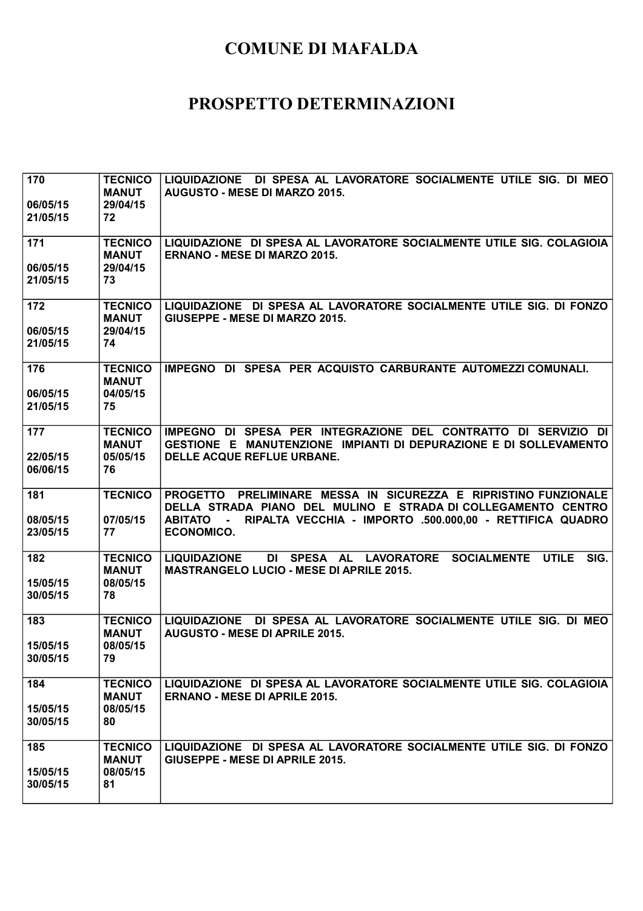| 170<br>06/05/15<br>21/05/15 | <b>TECNICO</b><br><b>MANUT</b><br>29/04/15<br>72 | LIQUIDAZIONE DI SPESA AL LAVORATORE SOCIALMENTE UTILE SIG. DI MEO<br><b>AUGUSTO - MESE DI MARZO 2015.</b>                                                                                                                             |
|-----------------------------|--------------------------------------------------|---------------------------------------------------------------------------------------------------------------------------------------------------------------------------------------------------------------------------------------|
| 171<br>06/05/15<br>21/05/15 | <b>TECNICO</b><br><b>MANUT</b><br>29/04/15<br>73 | LIQUIDAZIONE DI SPESA AL LAVORATORE SOCIALMENTE UTILE SIG. COLAGIOIA<br><b>ERNANO - MESE DI MARZO 2015.</b>                                                                                                                           |
| 172<br>06/05/15<br>21/05/15 | <b>TECNICO</b><br><b>MANUT</b><br>29/04/15<br>74 | LIQUIDAZIONE DI SPESA AL LAVORATORE SOCIALMENTE UTILE SIG. DI FONZO<br>GIUSEPPE - MESE DI MARZO 2015.                                                                                                                                 |
| 176<br>06/05/15<br>21/05/15 | <b>TECNICO</b><br><b>MANUT</b><br>04/05/15<br>75 | IMPEGNO DI SPESA PER ACQUISTO CARBURANTE AUTOMEZZI COMUNALI.                                                                                                                                                                          |
| 177<br>22/05/15<br>06/06/15 | <b>TECNICO</b><br><b>MANUT</b><br>05/05/15<br>76 | IMPEGNO DI SPESA PER INTEGRAZIONE DEL CONTRATTO DI SERVIZIO DI<br>GESTIONE E MANUTENZIONE IMPIANTI DI DEPURAZIONE E DI SOLLEVAMENTO<br>DELLE ACQUE REFLUE URBANE.                                                                     |
| 181<br>08/05/15<br>23/05/15 | <b>TECNICO</b><br>07/05/15<br>77                 | PROGETTO PRELIMINARE MESSA IN SICUREZZA E RIPRISTINO FUNZIONALE<br>DELLA STRADA PIANO DEL MULINO E STRADA DI COLLEGAMENTO CENTRO<br>RIPALTA VECCHIA - IMPORTO .500.000,00 - RETTIFICA QUADRO<br><b>ABITATO -</b><br><b>ECONOMICO.</b> |
| 182<br>15/05/15<br>30/05/15 | <b>TECNICO</b><br><b>MANUT</b><br>08/05/15<br>78 | DI SPESA AL LAVORATORE SOCIALMENTE UTILE<br>SIG.<br><b>LIQUIDAZIONE</b><br><b>MASTRANGELO LUCIO - MESE DI APRILE 2015.</b>                                                                                                            |
| 183<br>15/05/15<br>30/05/15 | <b>TECNICO</b><br><b>MANUT</b><br>08/05/15<br>79 | LIQUIDAZIONE DI SPESA AL LAVORATORE SOCIALMENTE UTILE SIG. DI MEO<br><b>AUGUSTO - MESE DI APRILE 2015.</b>                                                                                                                            |
| 184<br>15/05/15<br>30/05/15 | <b>TECNICO</b><br><b>MANUT</b><br>08/05/15<br>80 | LIQUIDAZIONE DI SPESA AL LAVORATORE SOCIALMENTE UTILE SIG. COLAGIOIA<br><b>ERNANO - MESE DI APRILE 2015.</b>                                                                                                                          |
| 185<br>15/05/15<br>30/05/15 | <b>TECNICO</b><br><b>MANUT</b><br>08/05/15<br>81 | LIQUIDAZIONE DI SPESA AL LAVORATORE SOCIALMENTE UTILE SIG. DI FONZO<br>GIUSEPPE - MESE DI APRILE 2015.                                                                                                                                |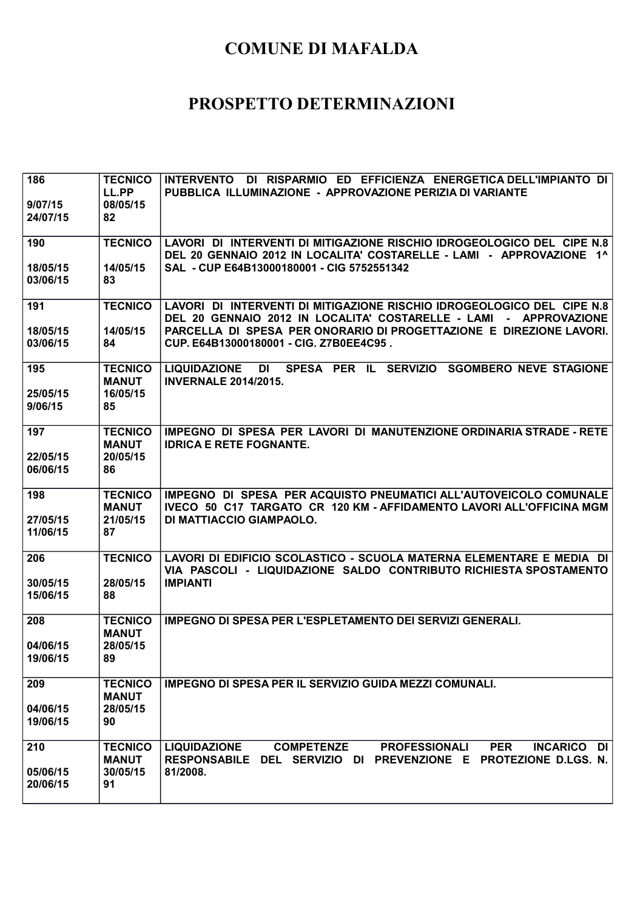| 186<br>9/07/15<br>24/07/15  | <b>TECNICO</b><br>LL.PP<br>08/05/15<br>82        | INTERVENTO DI RISPARMIO ED EFFICIENZA ENERGETICA DELL'IMPIANTO DI<br>PUBBLICA ILLUMINAZIONE - APPROVAZIONE PERIZIA DI VARIANTE                                                                                                                                |
|-----------------------------|--------------------------------------------------|---------------------------------------------------------------------------------------------------------------------------------------------------------------------------------------------------------------------------------------------------------------|
| 190                         | <b>TECNICO</b>                                   | LAVORI DI INTERVENTI DI MITIGAZIONE RISCHIO IDROGEOLOGICO DEL CIPE N.8<br>DEL 20 GENNAIO 2012 IN LOCALITA' COSTARELLE - LAMI - APPROVAZIONE 1^                                                                                                                |
| 18/05/15<br>03/06/15        | 14/05/15<br>83                                   | SAL - CUP E64B13000180001 - CIG 5752551342                                                                                                                                                                                                                    |
| 191<br>18/05/15<br>03/06/15 | <b>TECNICO</b><br>14/05/15<br>84                 | LAVORI DI INTERVENTI DI MITIGAZIONE RISCHIO IDROGEOLOGICO DEL CIPE N.8<br>DEL 20 GENNAIO 2012 IN LOCALITA' COSTARELLE - LAMI - APPROVAZIONE<br>PARCELLA DI SPESA PER ONORARIO DI PROGETTAZIONE E DIREZIONE LAVORI.<br>CUP. E64B13000180001 - CIG. Z7B0EE4C95. |
| 195<br>25/05/15<br>9/06/15  | <b>TECNICO</b><br><b>MANUT</b><br>16/05/15<br>85 | LIQUIDAZIONE DI SPESA PER IL SERVIZIO SGOMBERO NEVE STAGIONE<br><b>INVERNALE 2014/2015.</b>                                                                                                                                                                   |
| 197<br>22/05/15<br>06/06/15 | <b>TECNICO</b><br><b>MANUT</b><br>20/05/15<br>86 | IMPEGNO DI SPESA PER LAVORI DI MANUTENZIONE ORDINARIA STRADE - RETE<br><b>IDRICA E RETE FOGNANTE.</b>                                                                                                                                                         |
| 198<br>27/05/15<br>11/06/15 | <b>TECNICO</b><br><b>MANUT</b><br>21/05/15<br>87 | IMPEGNO DI SPESA PER ACQUISTO PNEUMATICI ALL'AUTOVEICOLO COMUNALE<br>IVECO 50 C17 TARGATO CR 120 KM - AFFIDAMENTO LAVORI ALL'OFFICINA MGM<br>DI MATTIACCIO GIAMPAOLO.                                                                                         |
| 206<br>30/05/15<br>15/06/15 | <b>TECNICO</b><br>28/05/15<br>88                 | LAVORI DI EDIFICIO SCOLASTICO - SCUOLA MATERNA ELEMENTARE E MEDIA DI<br>VIA PASCOLI - LIQUIDAZIONE SALDO CONTRIBUTO RICHIESTA SPOSTAMENTO<br><b>IMPIANTI</b>                                                                                                  |
| 208<br>04/06/15<br>19/06/15 | <b>TECNICO</b><br><b>MANUT</b><br>28/05/15<br>89 | <b>IMPEGNO DI SPESA PER L'ESPLETAMENTO DEI SERVIZI GENERALI.</b>                                                                                                                                                                                              |
| 209<br>04/06/15<br>19/06/15 | <b>TECNICO</b><br><b>MANUT</b><br>28/05/15<br>90 | IMPEGNO DI SPESA PER IL SERVIZIO GUIDA MEZZI COMUNALI.                                                                                                                                                                                                        |
| 210<br>05/06/15<br>20/06/15 | <b>TECNICO</b><br><b>MANUT</b><br>30/05/15<br>91 | <b>PER</b><br><b>LIQUIDAZIONE</b><br><b>COMPETENZE</b><br><b>PROFESSIONALI</b><br>INCARICO DI<br>RESPONSABILE DEL SERVIZIO DI PREVENZIONE E PROTEZIONE D.LGS. N.<br>81/2008.                                                                                  |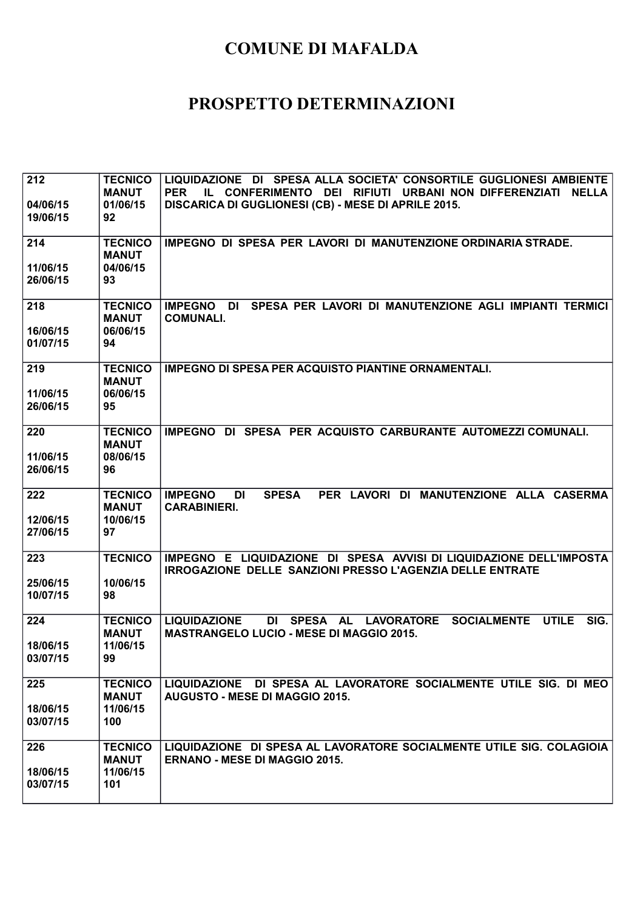| 212<br>04/06/15<br>19/06/15 | <b>TECNICO</b><br><b>MANUT</b><br>01/06/15<br>92  | LIQUIDAZIONE DI SPESA ALLA SOCIETA' CONSORTILE GUGLIONESI AMBIENTE<br>IL CONFERIMENTO DEI RIFIUTI URBANI NON DIFFERENZIATI<br><b>PER</b><br><b>NELLA</b><br>DISCARICA DI GUGLIONESI (CB) - MESE DI APRILE 2015. |
|-----------------------------|---------------------------------------------------|-----------------------------------------------------------------------------------------------------------------------------------------------------------------------------------------------------------------|
| 214                         | <b>TECNICO</b><br><b>MANUT</b>                    | IMPEGNO DI SPESA PER LAVORI DI MANUTENZIONE ORDINARIA STRADE.                                                                                                                                                   |
| 11/06/15<br>26/06/15        | 04/06/15<br>93                                    |                                                                                                                                                                                                                 |
| 218<br>16/06/15<br>01/07/15 | <b>TECNICO</b><br><b>MANUT</b><br>06/06/15<br>94  | SPESA PER LAVORI DI MANUTENZIONE AGLI IMPIANTI TERMICI<br><b>IMPEGNO DI</b><br><b>COMUNALI.</b>                                                                                                                 |
| 219<br>11/06/15<br>26/06/15 | <b>TECNICO</b><br><b>MANUT</b><br>06/06/15<br>95  | <b>IMPEGNO DI SPESA PER ACQUISTO PIANTINE ORNAMENTALI.</b>                                                                                                                                                      |
| 220<br>11/06/15<br>26/06/15 | <b>TECNICO</b><br><b>MANUT</b><br>08/06/15<br>96  | IMPEGNO DI SPESA PER ACQUISTO CARBURANTE AUTOMEZZI COMUNALI.                                                                                                                                                    |
| 222<br>12/06/15<br>27/06/15 | <b>TECNICO</b><br><b>MANUT</b><br>10/06/15<br>97  | PER LAVORI DI MANUTENZIONE ALLA CASERMA<br><b>IMPEGNO</b><br>DI<br><b>SPESA</b><br><b>CARABINIERI.</b>                                                                                                          |
| 223<br>25/06/15<br>10/07/15 | <b>TECNICO</b><br>10/06/15<br>98                  | IMPEGNO E LIQUIDAZIONE DI SPESA AVVISI DI LIQUIDAZIONE DELL'IMPOSTA<br><b>IRROGAZIONE DELLE SANZIONI PRESSO L'AGENZIA DELLE ENTRATE</b>                                                                         |
| 224<br>18/06/15<br>03/07/15 | <b>TECNICO</b><br><b>MANUT</b><br>11/06/15<br>99  | DI SPESA AL LAVORATORE<br><b>SOCIALMENTE</b><br><b>UTILE</b><br>SIG.<br><b>LIQUIDAZIONE</b><br><b>MASTRANGELO LUCIO - MESE DI MAGGIO 2015.</b>                                                                  |
| 225<br>18/06/15<br>03/07/15 | <b>TECNICO</b><br><b>MANUT</b><br>11/06/15<br>100 | LIQUIDAZIONE DI SPESA AL LAVORATORE SOCIALMENTE UTILE SIG. DI MEO<br>AUGUSTO - MESE DI MAGGIO 2015.                                                                                                             |
| 226<br>18/06/15<br>03/07/15 | <b>TECNICO</b><br><b>MANUT</b><br>11/06/15<br>101 | LIQUIDAZIONE DI SPESA AL LAVORATORE SOCIALMENTE UTILE SIG. COLAGIOIA<br><b>ERNANO - MESE DI MAGGIO 2015.</b>                                                                                                    |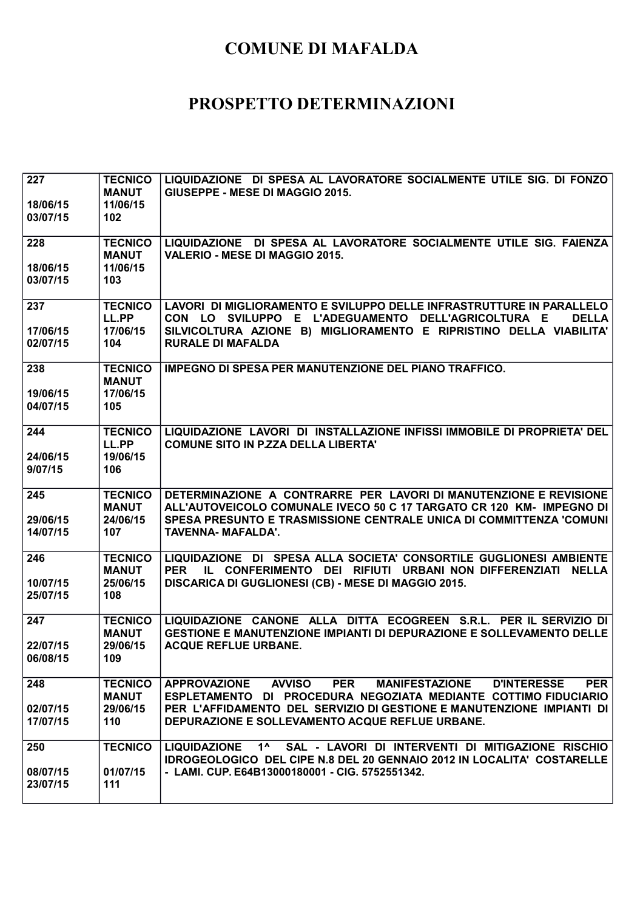| 227                         | <b>TECNICO</b><br><b>MANUT</b>                    | LIQUIDAZIONE DI SPESA AL LAVORATORE SOCIALMENTE UTILE SIG. DI FONZO<br>GIUSEPPE - MESE DI MAGGIO 2015.                                                                                                                                                      |
|-----------------------------|---------------------------------------------------|-------------------------------------------------------------------------------------------------------------------------------------------------------------------------------------------------------------------------------------------------------------|
| 18/06/15<br>03/07/15        | 11/06/15<br>102                                   |                                                                                                                                                                                                                                                             |
| 228                         | <b>TECNICO</b><br><b>MANUT</b>                    | LIQUIDAZIONE DI SPESA AL LAVORATORE SOCIALMENTE UTILE SIG. FAIENZA<br>VALERIO - MESE DI MAGGIO 2015.                                                                                                                                                        |
| 18/06/15<br>03/07/15        | 11/06/15<br>103                                   |                                                                                                                                                                                                                                                             |
| 237<br>17/06/15<br>02/07/15 | <b>TECNICO</b><br>LL.PP<br>17/06/15<br>104        | LAVORI DI MIGLIORAMENTO E SVILUPPO DELLE INFRASTRUTTURE IN PARALLELO<br>CON LO SVILUPPO E L'ADEGUAMENTO DELL'AGRICOLTURA E<br><b>DELLA</b><br>SILVICOLTURA AZIONE B) MIGLIORAMENTO E RIPRISTINO DELLA VIABILITA'<br><b>RURALE DI MAFALDA</b>                |
| 238<br>19/06/15<br>04/07/15 | <b>TECNICO</b><br><b>MANUT</b><br>17/06/15<br>105 | IMPEGNO DI SPESA PER MANUTENZIONE DEL PIANO TRAFFICO.                                                                                                                                                                                                       |
| 244<br>24/06/15             | <b>TECNICO</b><br>LL.PP<br>19/06/15               | LIQUIDAZIONE LAVORI DI INSTALLAZIONE INFISSI IMMOBILE DI PROPRIETA' DEL<br><b>COMUNE SITO IN P.ZZA DELLA LIBERTA'</b>                                                                                                                                       |
| 9/07/15                     | 106                                               |                                                                                                                                                                                                                                                             |
| 245<br>29/06/15<br>14/07/15 | <b>TECNICO</b><br><b>MANUT</b><br>24/06/15<br>107 | DETERMINAZIONE A CONTRARRE PER LAVORI DI MANUTENZIONE E REVISIONE<br>ALL'AUTOVEICOLO COMUNALE IVECO 50 C 17 TARGATO CR 120 KM- IMPEGNO DI<br>SPESA PRESUNTO E TRASMISSIONE CENTRALE UNICA DI COMMITTENZA 'COMUNI<br><b>TAVENNA-MAFALDA'.</b>                |
| 246<br>10/07/15<br>25/07/15 | <b>TECNICO</b><br><b>MANUT</b><br>25/06/15<br>108 | LIQUIDAZIONE DI SPESA ALLA SOCIETA' CONSORTILE GUGLIONESI AMBIENTE<br>IL CONFERIMENTO DEI RIFIUTI URBANI NON DIFFERENZIATI<br><b>PER</b><br><b>NELLA</b><br>DISCARICA DI GUGLIONESI (CB) - MESE DI MAGGIO 2015.                                             |
| 247<br>22/07/15             | <b>TECNICO</b><br><b>MANUT</b><br>29/06/15        | LIQUIDAZIONE CANONE ALLA DITTA ECOGREEN S.R.L. PER IL SERVIZIO DI<br><b>GESTIONE E MANUTENZIONE IMPIANTI DI DEPURAZIONE E SOLLEVAMENTO DELLE</b><br><b>ACQUE REFLUE URBANE.</b>                                                                             |
| 06/08/15                    | 109                                               |                                                                                                                                                                                                                                                             |
| 248<br>02/07/15             | <b>TECNICO</b><br><b>MANUT</b><br>29/06/15        | <b>APPROVAZIONE</b><br><b>AVVISO</b><br><b>PER</b><br><b>MANIFESTAZIONE</b><br><b>PER</b><br><b>D'INTERESSE</b><br>ESPLETAMENTO DI PROCEDURA NEGOZIATA MEDIANTE COTTIMO FIDUCIARIO<br>PER L'AFFIDAMENTO DEL SERVIZIO DI GESTIONE E MANUTENZIONE IMPIANTI DI |
| 17/07/15                    | 110                                               | DEPURAZIONE E SOLLEVAMENTO ACQUE REFLUE URBANE.                                                                                                                                                                                                             |
| 250                         | <b>TECNICO</b>                                    | SAL - LAVORI DI INTERVENTI DI MITIGAZIONE RISCHIO<br><b>LIQUIDAZIONE</b><br>$1^{\prime}$<br><b>IDROGEOLOGICO DEL CIPE N.8 DEL 20 GENNAIO 2012 IN LOCALITA' COSTARELLE</b>                                                                                   |
| 08/07/15<br>23/07/15        | 01/07/15<br>111                                   | - LAMI. CUP. E64B13000180001 - CIG. 5752551342.                                                                                                                                                                                                             |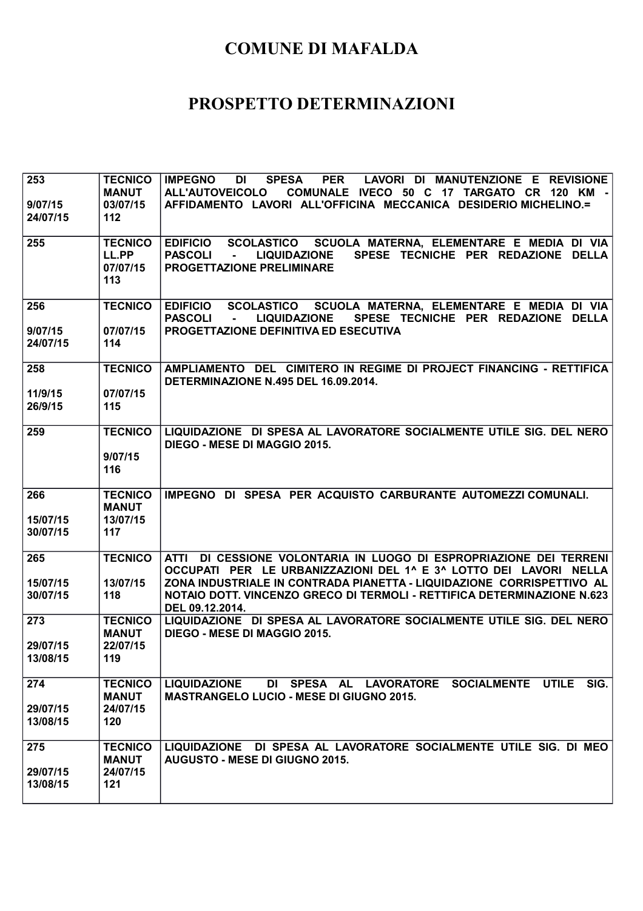| 253<br>9/07/15<br>24/07/15  | <b>TECNICO</b><br><b>MANUT</b><br>03/07/15<br>112 | <b>PER</b><br><b>IMPEGNO</b><br>DI<br><b>SPESA</b><br>LAVORI DI MANUTENZIONE E REVISIONE<br><b>ALL'AUTOVEICOLO</b><br>COMUNALE IVECO 50 C 17 TARGATO CR 120 KM -<br>AFFIDAMENTO LAVORI ALL'OFFICINA MECCANICA DESIDERIO MICHELINO.=                                                                                      |
|-----------------------------|---------------------------------------------------|--------------------------------------------------------------------------------------------------------------------------------------------------------------------------------------------------------------------------------------------------------------------------------------------------------------------------|
| 255                         | <b>TECNICO</b><br>LL.PP<br>07/07/15<br>113        | SCUOLA MATERNA, ELEMENTARE E MEDIA DI VIA<br><b>EDIFICIO</b><br><b>SCOLASTICO</b><br><b>PASCOLI</b><br><b>LIQUIDAZIONE</b><br>SPESE TECNICHE PER REDAZIONE DELLA<br>$\mathbf{r}$<br><b>PROGETTAZIONE PRELIMINARE</b>                                                                                                     |
| 256<br>9/07/15<br>24/07/15  | <b>TECNICO</b><br>07/07/15<br>114                 | EDIFICIO SCOLASTICO SCUOLA MATERNA, ELEMENTARE E MEDIA DI VIA<br><b>PASCOLI</b><br><b>LIQUIDAZIONE</b><br>SPESE TECNICHE PER REDAZIONE DELLA<br>$\sim$<br>PROGETTAZIONE DEFINITIVA ED ESECUTIVA                                                                                                                          |
| 258<br>11/9/15<br>26/9/15   | <b>TECNICO</b><br>07/07/15<br>115                 | AMPLIAMENTO DEL CIMITERO IN REGIME DI PROJECT FINANCING - RETTIFICA<br>DETERMINAZIONE N.495 DEL 16.09.2014.                                                                                                                                                                                                              |
| 259                         | <b>TECNICO</b><br>9/07/15<br>116                  | LIQUIDAZIONE DI SPESA AL LAVORATORE SOCIALMENTE UTILE SIG. DEL NERO<br>DIEGO - MESE DI MAGGIO 2015.                                                                                                                                                                                                                      |
| 266<br>15/07/15<br>30/07/15 | <b>TECNICO</b><br><b>MANUT</b><br>13/07/15<br>117 | IMPEGNO DI SPESA PER ACQUISTO CARBURANTE AUTOMEZZI COMUNALI.                                                                                                                                                                                                                                                             |
| 265<br>15/07/15<br>30/07/15 | <b>TECNICO</b><br>13/07/15<br>118                 | DI CESSIONE VOLONTARIA IN LUOGO DI ESPROPRIAZIONE DEI TERRENI<br><b>ATTI</b><br>OCCUPATI PER LE URBANIZZAZIONI DEL 1^ E 3^ LOTTO DEI LAVORI NELLA<br>ZONA INDUSTRIALE IN CONTRADA PIANETTA - LIQUIDAZIONE CORRISPETTIVO AL<br>NOTAIO DOTT. VINCENZO GRECO DI TERMOLI - RETTIFICA DETERMINAZIONE N.623<br>DEL 09.12.2014. |
| 273<br>29/07/15<br>13/08/15 | <b>TECNICO</b><br><b>MANUT</b><br>22/07/15<br>119 | LIQUIDAZIONE DI SPESA AL LAVORATORE SOCIALMENTE UTILE SIG. DEL NERO<br>DIEGO - MESE DI MAGGIO 2015.                                                                                                                                                                                                                      |
| 274<br>29/07/15<br>13/08/15 | <b>TECNICO</b><br><b>MANUT</b><br>24/07/15<br>120 | DI SPESA AL LAVORATORE SOCIALMENTE UTILE<br>SIG.<br><b>LIQUIDAZIONE</b><br><b>MASTRANGELO LUCIO - MESE DI GIUGNO 2015.</b>                                                                                                                                                                                               |
| 275<br>29/07/15<br>13/08/15 | <b>TECNICO</b><br><b>MANUT</b><br>24/07/15<br>121 | LIQUIDAZIONE DI SPESA AL LAVORATORE SOCIALMENTE UTILE SIG. DI MEO<br><b>AUGUSTO - MESE DI GIUGNO 2015.</b>                                                                                                                                                                                                               |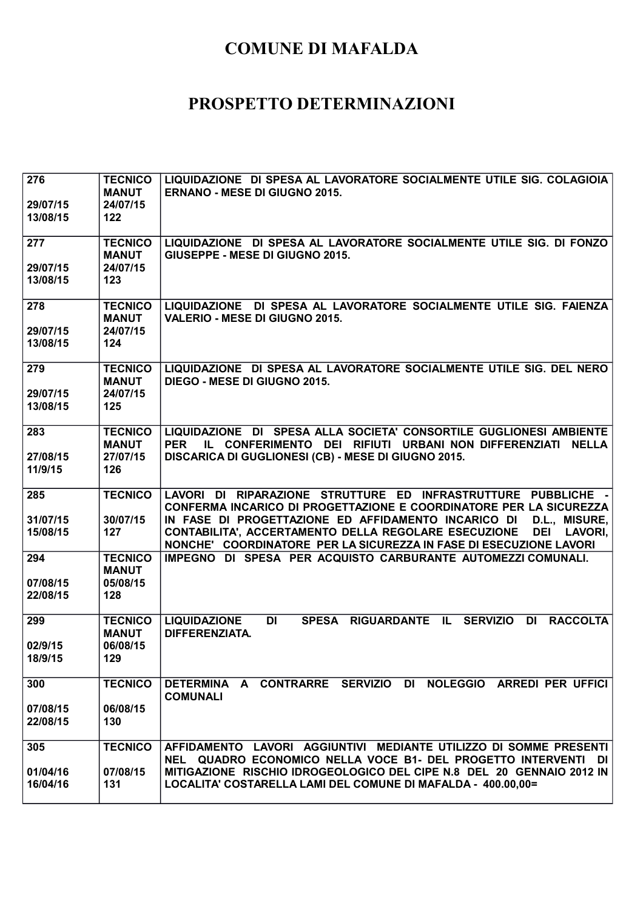| 276<br>29/07/15<br>13/08/15 | <b>TECNICO</b><br><b>MANUT</b><br>24/07/15<br>122 | LIQUIDAZIONE DI SPESA AL LAVORATORE SOCIALMENTE UTILE SIG. COLAGIOIA<br><b>ERNANO - MESE DI GIUGNO 2015.</b>                                                                                                                                                                                                                                                                     |
|-----------------------------|---------------------------------------------------|----------------------------------------------------------------------------------------------------------------------------------------------------------------------------------------------------------------------------------------------------------------------------------------------------------------------------------------------------------------------------------|
| 277<br>29/07/15<br>13/08/15 | <b>TECNICO</b><br><b>MANUT</b><br>24/07/15<br>123 | LIQUIDAZIONE DI SPESA AL LAVORATORE SOCIALMENTE UTILE SIG. DI FONZO<br>GIUSEPPE - MESE DI GIUGNO 2015.                                                                                                                                                                                                                                                                           |
| 278                         | <b>TECNICO</b><br><b>MANUT</b>                    | LIQUIDAZIONE DI SPESA AL LAVORATORE SOCIALMENTE UTILE SIG. FAIENZA<br><b>VALERIO - MESE DI GIUGNO 2015.</b>                                                                                                                                                                                                                                                                      |
| 29/07/15<br>13/08/15        | 24/07/15<br>124                                   |                                                                                                                                                                                                                                                                                                                                                                                  |
| 279<br>29/07/15<br>13/08/15 | <b>TECNICO</b><br><b>MANUT</b><br>24/07/15<br>125 | LIQUIDAZIONE DI SPESA AL LAVORATORE SOCIALMENTE UTILE SIG. DEL NERO<br><b>DIEGO - MESE DI GIUGNO 2015.</b>                                                                                                                                                                                                                                                                       |
| 283<br>27/08/15<br>11/9/15  | <b>TECNICO</b><br><b>MANUT</b><br>27/07/15<br>126 | LIQUIDAZIONE DI SPESA ALLA SOCIETA' CONSORTILE GUGLIONESI AMBIENTE<br>IL CONFERIMENTO DEI RIFIUTI URBANI NON DIFFERENZIATI NELLA<br><b>PER</b><br>DISCARICA DI GUGLIONESI (CB) - MESE DI GIUGNO 2015.                                                                                                                                                                            |
|                             |                                                   |                                                                                                                                                                                                                                                                                                                                                                                  |
| 285<br>31/07/15<br>15/08/15 | <b>TECNICO</b><br>30/07/15<br>127                 | LAVORI DI RIPARAZIONE STRUTTURE ED INFRASTRUTTURE PUBBLICHE -<br><b>CONFERMA INCARICO DI PROGETTAZIONE E COORDINATORE PER LA SICUREZZA</b><br>IN FASE DI PROGETTAZIONE ED AFFIDAMENTO INCARICO DI<br>D.L., MISURE,<br>CONTABILITA', ACCERTAMENTO DELLA REGOLARE ESECUZIONE<br><b>DEI</b><br><b>LAVORI,</b><br>NONCHE' COORDINATORE PER LA SICUREZZA IN FASE DI ESECUZIONE LAVORI |
| 294                         | <b>TECNICO</b><br><b>MANUT</b>                    | IMPEGNO DI SPESA PER ACQUISTO CARBURANTE AUTOMEZZI COMUNALI.                                                                                                                                                                                                                                                                                                                     |
| 07/08/15<br>22/08/15        | 05/08/15<br>128                                   |                                                                                                                                                                                                                                                                                                                                                                                  |
| 299<br>02/9/15              | <b>TECNICO</b><br><b>MANUT</b><br>06/08/15        | <b>LIQUIDAZIONE</b><br>DI<br><b>SPESA</b><br>RIGUARDANTE IL<br><b>SERVIZIO</b><br><b>DI</b><br><b>RACCOLTA</b><br><b>DIFFERENZIATA.</b>                                                                                                                                                                                                                                          |
| 18/9/15                     | 129                                               |                                                                                                                                                                                                                                                                                                                                                                                  |
| 300                         | <b>TECNICO</b>                                    | DETERMINA A CONTRARRE SERVIZIO DI NOLEGGIO ARREDI PER UFFICI<br><b>COMUNALI</b>                                                                                                                                                                                                                                                                                                  |
| 07/08/15<br>22/08/15        | 06/08/15<br>130                                   |                                                                                                                                                                                                                                                                                                                                                                                  |
| 305                         | <b>TECNICO</b>                                    | AFFIDAMENTO LAVORI AGGIUNTIVI MEDIANTE UTILIZZO DI SOMME PRESENTI<br>NEL QUADRO ECONOMICO NELLA VOCE B1- DEL PROGETTO INTERVENTI DI                                                                                                                                                                                                                                              |
| 01/04/16<br>16/04/16        | 07/08/15<br>131                                   | MITIGAZIONE RISCHIO IDROGEOLOGICO DEL CIPE N.8 DEL 20 GENNAIO 2012 IN<br>LOCALITA' COSTARELLA LAMI DEL COMUNE DI MAFALDA - 400.00,00=                                                                                                                                                                                                                                            |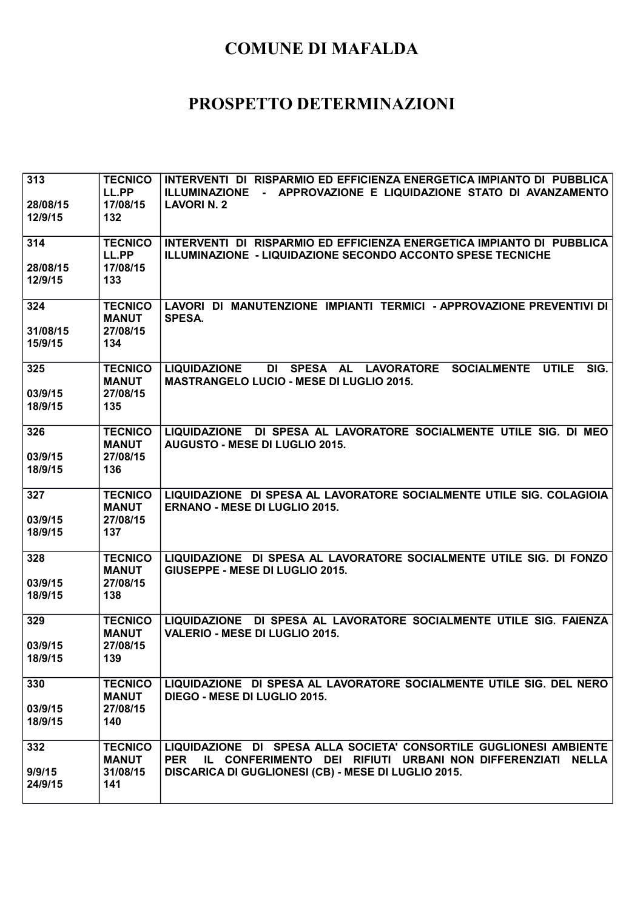| 313<br>28/08/15<br>12/9/15 | <b>TECNICO</b><br>LL.PP<br>17/08/15<br>132        | INTERVENTI DI RISPARMIO ED EFFICIENZA ENERGETICA IMPIANTO DI PUBBLICA<br>- APPROVAZIONE E LIQUIDAZIONE STATO DI AVANZAMENTO<br><b>ILLUMINAZIONE</b><br><b>LAVORIN. 2</b>                              |
|----------------------------|---------------------------------------------------|-------------------------------------------------------------------------------------------------------------------------------------------------------------------------------------------------------|
| 314<br>28/08/15<br>12/9/15 | <b>TECNICO</b><br>LL.PP<br>17/08/15<br>133        | INTERVENTI DI RISPARMIO ED EFFICIENZA ENERGETICA IMPIANTO DI PUBBLICA<br>ILLUMINAZIONE - LIQUIDAZIONE SECONDO ACCONTO SPESE TECNICHE                                                                  |
| 324<br>31/08/15<br>15/9/15 | <b>TECNICO</b><br><b>MANUT</b><br>27/08/15<br>134 | LAVORI DI MANUTENZIONE IMPIANTI TERMICI - APPROVAZIONE PREVENTIVI DI<br><b>SPESA.</b>                                                                                                                 |
| 325<br>03/9/15<br>18/9/15  | <b>TECNICO</b><br><b>MANUT</b><br>27/08/15<br>135 | DI SPESA AL LAVORATORE<br><b>SOCIALMENTE</b><br><b>UTILE</b><br>SIG.<br><b>LIQUIDAZIONE</b><br><b>MASTRANGELO LUCIO - MESE DI LUGLIO 2015.</b>                                                        |
| 326<br>03/9/15<br>18/9/15  | <b>TECNICO</b><br><b>MANUT</b><br>27/08/15<br>136 | LIQUIDAZIONE DI SPESA AL LAVORATORE SOCIALMENTE UTILE SIG. DI MEO<br><b>AUGUSTO - MESE DI LUGLIO 2015.</b>                                                                                            |
| 327<br>03/9/15<br>18/9/15  | <b>TECNICO</b><br><b>MANUT</b><br>27/08/15<br>137 | LIQUIDAZIONE DI SPESA AL LAVORATORE SOCIALMENTE UTILE SIG. COLAGIOIA<br><b>ERNANO - MESE DI LUGLIO 2015.</b>                                                                                          |
| 328<br>03/9/15<br>18/9/15  | <b>TECNICO</b><br><b>MANUT</b><br>27/08/15<br>138 | LIQUIDAZIONE DI SPESA AL LAVORATORE SOCIALMENTE UTILE SIG. DI FONZO<br>GIUSEPPE - MESE DI LUGLIO 2015.                                                                                                |
| 329<br>03/9/15<br>18/9/15  | <b>TECNICO</b><br><b>MANUT</b><br>27/08/15<br>139 | LIQUIDAZIONE DI SPESA AL LAVORATORE SOCIALMENTE UTILE SIG. FAIENZA<br>VALERIO - MESE DI LUGLIO 2015.                                                                                                  |
| 330<br>03/9/15<br>18/9/15  | <b>TECNICO</b><br><b>MANUT</b><br>27/08/15<br>140 | LIQUIDAZIONE DI SPESA AL LAVORATORE SOCIALMENTE UTILE SIG. DEL NERO<br>DIEGO - MESE DI LUGLIO 2015.                                                                                                   |
| 332<br>9/9/15<br>24/9/15   | <b>TECNICO</b><br><b>MANUT</b><br>31/08/15<br>141 | LIQUIDAZIONE DI SPESA ALLA SOCIETA' CONSORTILE GUGLIONESI AMBIENTE<br>IL CONFERIMENTO DEI RIFIUTI URBANI NON DIFFERENZIATI NELLA<br><b>PER</b><br>DISCARICA DI GUGLIONESI (CB) - MESE DI LUGLIO 2015. |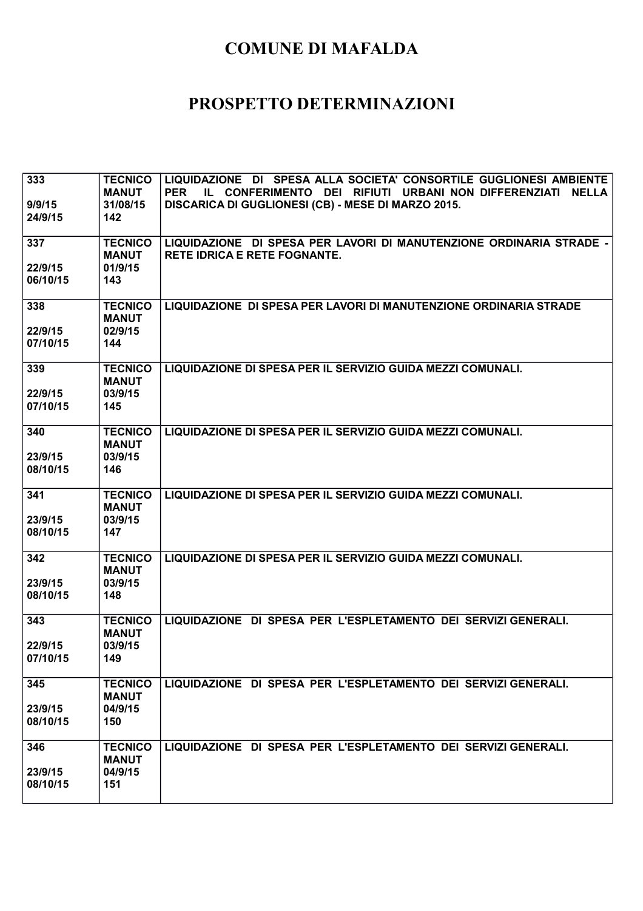| 333<br>9/9/15<br>24/9/15   | <b>TECNICO</b><br><b>MANUT</b><br>31/08/15<br>142 | LIQUIDAZIONE DI SPESA ALLA SOCIETA' CONSORTILE GUGLIONESI AMBIENTE<br><b>PER</b><br>IL CONFERIMENTO DEI RIFIUTI URBANI NON DIFFERENZIATI<br><b>NELLA</b><br>DISCARICA DI GUGLIONESI (CB) - MESE DI MARZO 2015. |
|----------------------------|---------------------------------------------------|----------------------------------------------------------------------------------------------------------------------------------------------------------------------------------------------------------------|
| 337<br>22/9/15<br>06/10/15 | <b>TECNICO</b><br><b>MANUT</b><br>01/9/15<br>143  | LIQUIDAZIONE DI SPESA PER LAVORI DI MANUTENZIONE ORDINARIA STRADE -<br><b>RETE IDRICA E RETE FOGNANTE.</b>                                                                                                     |
| 338<br>22/9/15<br>07/10/15 | <b>TECNICO</b><br><b>MANUT</b><br>02/9/15<br>144  | LIQUIDAZIONE DI SPESA PER LAVORI DI MANUTENZIONE ORDINARIA STRADE                                                                                                                                              |
| 339<br>22/9/15<br>07/10/15 | <b>TECNICO</b><br><b>MANUT</b><br>03/9/15<br>145  | LIQUIDAZIONE DI SPESA PER IL SERVIZIO GUIDA MEZZI COMUNALI.                                                                                                                                                    |
| 340<br>23/9/15<br>08/10/15 | <b>TECNICO</b><br><b>MANUT</b><br>03/9/15<br>146  | LIQUIDAZIONE DI SPESA PER IL SERVIZIO GUIDA MEZZI COMUNALI.                                                                                                                                                    |
| 341<br>23/9/15<br>08/10/15 | <b>TECNICO</b><br><b>MANUT</b><br>03/9/15<br>147  | LIQUIDAZIONE DI SPESA PER IL SERVIZIO GUIDA MEZZI COMUNALI.                                                                                                                                                    |
| 342<br>23/9/15<br>08/10/15 | <b>TECNICO</b><br><b>MANUT</b><br>03/9/15<br>148  | LIQUIDAZIONE DI SPESA PER IL SERVIZIO GUIDA MEZZI COMUNALI.                                                                                                                                                    |
| 343<br>22/9/15<br>07/10/15 | <b>TECNICO</b><br><b>MANUT</b><br>03/9/15<br>149  | LIQUIDAZIONE DI SPESA PER L'ESPLETAMENTO DEI SERVIZI GENERALI.                                                                                                                                                 |
| 345<br>23/9/15<br>08/10/15 | <b>TECNICO</b><br><b>MANUT</b><br>04/9/15<br>150  | LIQUIDAZIONE DI SPESA PER L'ESPLETAMENTO DEI SERVIZI GENERALI.                                                                                                                                                 |
| 346<br>23/9/15<br>08/10/15 | <b>TECNICO</b><br><b>MANUT</b><br>04/9/15<br>151  | LIQUIDAZIONE DI SPESA PER L'ESPLETAMENTO DEI SERVIZI GENERALI.                                                                                                                                                 |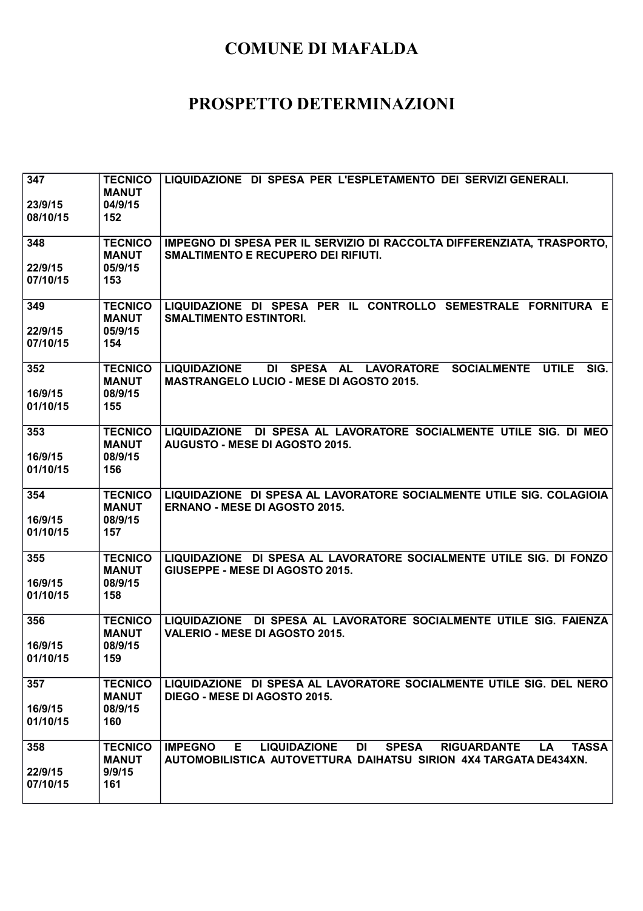| 347<br>23/9/15<br>08/10/15 | <b>TECNICO</b><br><b>MANUT</b><br>04/9/15<br>152 | LIQUIDAZIONE DI SPESA PER L'ESPLETAMENTO DEI SERVIZI GENERALI.                                                                                                                            |
|----------------------------|--------------------------------------------------|-------------------------------------------------------------------------------------------------------------------------------------------------------------------------------------------|
| 348<br>22/9/15<br>07/10/15 | <b>TECNICO</b><br><b>MANUT</b><br>05/9/15<br>153 | IMPEGNO DI SPESA PER IL SERVIZIO DI RACCOLTA DIFFERENZIATA, TRASPORTO,<br><b>SMALTIMENTO E RECUPERO DEI RIFIUTI.</b>                                                                      |
| 349<br>22/9/15<br>07/10/15 | <b>TECNICO</b><br><b>MANUT</b><br>05/9/15<br>154 | LIQUIDAZIONE DI SPESA PER IL CONTROLLO SEMESTRALE FORNITURA E<br><b>SMALTIMENTO ESTINTORI.</b>                                                                                            |
| 352<br>16/9/15<br>01/10/15 | <b>TECNICO</b><br><b>MANUT</b><br>08/9/15<br>155 | <b>SOCIALMENTE</b><br>SIG.<br><b>LIQUIDAZIONE</b><br>DI SPESA AL LAVORATORE<br><b>UTILE</b><br><b>MASTRANGELO LUCIO - MESE DI AGOSTO 2015.</b>                                            |
| 353<br>16/9/15<br>01/10/15 | <b>TECNICO</b><br><b>MANUT</b><br>08/9/15<br>156 | LIQUIDAZIONE DI SPESA AL LAVORATORE SOCIALMENTE UTILE SIG. DI MEO<br><b>AUGUSTO - MESE DI AGOSTO 2015.</b>                                                                                |
| 354<br>16/9/15<br>01/10/15 | <b>TECNICO</b><br><b>MANUT</b><br>08/9/15<br>157 | LIQUIDAZIONE DI SPESA AL LAVORATORE SOCIALMENTE UTILE SIG. COLAGIOIA<br><b>ERNANO - MESE DI AGOSTO 2015.</b>                                                                              |
| 355<br>16/9/15<br>01/10/15 | <b>TECNICO</b><br><b>MANUT</b><br>08/9/15<br>158 | LIQUIDAZIONE DI SPESA AL LAVORATORE SOCIALMENTE UTILE SIG. DI FONZO<br>GIUSEPPE - MESE DI AGOSTO 2015.                                                                                    |
| 356<br>16/9/15<br>01/10/15 | <b>TECNICO</b><br><b>MANUT</b><br>08/9/15<br>159 | LIQUIDAZIONE DI SPESA AL LAVORATORE SOCIALMENTE UTILE SIG. FAIENZA<br><b>VALERIO - MESE DI AGOSTO 2015.</b>                                                                               |
| 357<br>16/9/15<br>01/10/15 | <b>TECNICO</b><br><b>MANUT</b><br>08/9/15<br>160 | LIQUIDAZIONE DI SPESA AL LAVORATORE SOCIALMENTE UTILE SIG. DEL NERO<br>DIEGO - MESE DI AGOSTO 2015.                                                                                       |
| 358<br>22/9/15<br>07/10/15 | <b>TECNICO</b><br><b>MANUT</b><br>9/9/15<br>161  | <b>SPESA</b><br><b>IMPEGNO</b><br>E.<br><b>LIQUIDAZIONE</b><br>DI.<br><b>RIGUARDANTE</b><br><b>LA</b><br><b>TASSA</b><br>AUTOMOBILISTICA AUTOVETTURA DAIHATSU SIRION 4X4 TARGATA DE434XN. |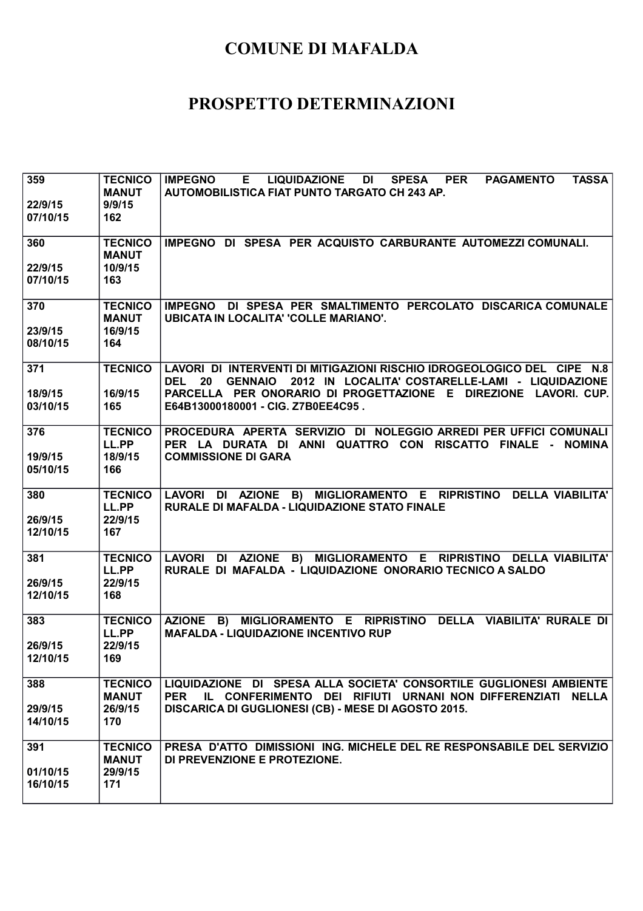| 359<br>22/9/15<br>07/10/15  | <b>TECNICO</b><br><b>MANUT</b><br>9/9/15<br>162  | <b>TASSA</b><br><b>IMPEGNO</b><br><b>LIQUIDAZIONE</b><br><b>SPESA</b><br><b>PER</b><br><b>PAGAMENTO</b><br>Е.<br>DI<br><b>AUTOMOBILISTICA FIAT PUNTO TARGATO CH 243 AP.</b>                                                                                               |
|-----------------------------|--------------------------------------------------|---------------------------------------------------------------------------------------------------------------------------------------------------------------------------------------------------------------------------------------------------------------------------|
| 360<br>22/9/15<br>07/10/15  | <b>TECNICO</b><br><b>MANUT</b><br>10/9/15<br>163 | IMPEGNO DI SPESA PER ACQUISTO CARBURANTE AUTOMEZZI COMUNALI.                                                                                                                                                                                                              |
| 370<br>23/9/15<br>08/10/15  | <b>TECNICO</b><br><b>MANUT</b><br>16/9/15<br>164 | IMPEGNO DI SPESA PER SMALTIMENTO PERCOLATO DISCARICA COMUNALE<br><b>UBICATA IN LOCALITA' 'COLLE MARIANO'.</b>                                                                                                                                                             |
| 371<br>18/9/15<br>03/10/15  | <b>TECNICO</b><br>16/9/15<br>165                 | LAVORI DI INTERVENTI DI MITIGAZIONI RISCHIO IDROGEOLOGICO DEL CIPE N.8<br><b>GENNAIO</b><br>2012 IN LOCALITA' COSTARELLE-LAMI - LIQUIDAZIONE<br><b>DEL</b><br>20<br>PARCELLA PER ONORARIO DI PROGETTAZIONE E DIREZIONE LAVORI. CUP.<br>E64B13000180001 - CIG. Z7B0EE4C95. |
| 376<br>19/9/15<br>05/10/15  | <b>TECNICO</b><br>LL.PP<br>18/9/15<br>166        | PROCEDURA APERTA SERVIZIO DI NOLEGGIO ARREDI PER UFFICI COMUNALI<br>PER LA DURATA DI ANNI QUATTRO CON RISCATTO FINALE - NOMINA<br><b>COMMISSIONE DI GARA</b>                                                                                                              |
| 380<br>26/9/15<br>12/10/15  | <b>TECNICO</b><br>LL.PP<br>22/9/15<br>167        | LAVORI DI AZIONE B) MIGLIORAMENTO E RIPRISTINO DELLA VIABILITA'<br>RURALE DI MAFALDA - LIQUIDAZIONE STATO FINALE                                                                                                                                                          |
| 381<br>26/9/15<br>12/10/15  | <b>TECNICO</b><br>LL.PP<br>22/9/15<br>168        | LAVORI DI AZIONE B) MIGLIORAMENTO E RIPRISTINO DELLA VIABILITA'<br>RURALE DI MAFALDA - LIQUIDAZIONE ONORARIO TECNICO A SALDO                                                                                                                                              |
| 383<br>26/9/15<br>12/10/15  | <b>TECNICO</b><br>LL.PP<br>22/9/15<br>169        | <b>AZIONE</b><br>MIGLIORAMENTO E RIPRISTINO DELLA VIABILITA' RURALE DI<br>B)<br><b>MAFALDA - LIQUIDAZIONE INCENTIVO RUP</b>                                                                                                                                               |
| 388<br>29/9/15<br>14/10/15  | <b>TECNICO</b><br><b>MANUT</b><br>26/9/15<br>170 | LIQUIDAZIONE DI SPESA ALLA SOCIETA' CONSORTILE GUGLIONESI AMBIENTE<br>IL CONFERIMENTO DEI RIFIUTI URNANI NON DIFFERENZIATI NELLA<br><b>PER</b><br>DISCARICA DI GUGLIONESI (CB) - MESE DI AGOSTO 2015.                                                                     |
| 391<br>01/10/15<br>16/10/15 | <b>TECNICO</b><br><b>MANUT</b><br>29/9/15<br>171 | PRESA D'ATTO DIMISSIONI ING. MICHELE DEL RE RESPONSABILE DEL SERVIZIO<br>DI PREVENZIONE E PROTEZIONE.                                                                                                                                                                     |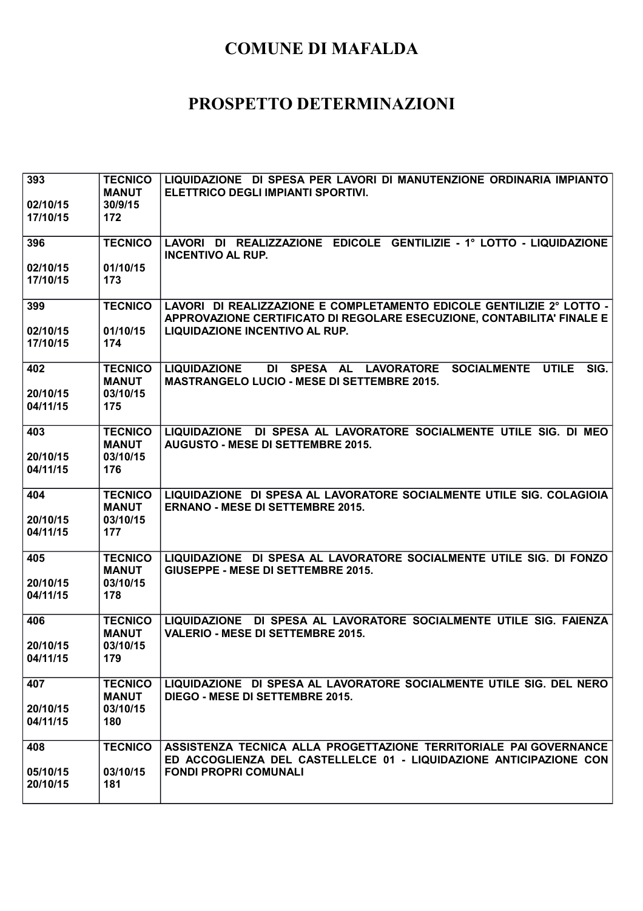| 393                  | <b>TECNICO</b>           | LIQUIDAZIONE DI SPESA PER LAVORI DI MANUTENZIONE ORDINARIA IMPIANTO                         |
|----------------------|--------------------------|---------------------------------------------------------------------------------------------|
|                      | <b>MANUT</b>             | <b>ELETTRICO DEGLI IMPIANTI SPORTIVI.</b>                                                   |
| 02/10/15             | 30/9/15                  |                                                                                             |
| 17/10/15             | 172                      |                                                                                             |
| 396                  | <b>TECNICO</b>           | LAVORI DI REALIZZAZIONE EDICOLE GENTILIZIE - 1º LOTTO - LIQUIDAZIONE                        |
|                      |                          | <b>INCENTIVO AL RUP.</b>                                                                    |
| 02/10/15             | 01/10/15                 |                                                                                             |
| 17/10/15             | 173                      |                                                                                             |
| 399                  | <b>TECNICO</b>           | LAVORI DI REALIZZAZIONE E COMPLETAMENTO EDICOLE GENTILIZIE 2° LOTTO -                       |
|                      |                          | APPROVAZIONE CERTIFICATO DI REGOLARE ESECUZIONE, CONTABILITA' FINALE E                      |
| 02/10/15             | 01/10/15                 | LIQUIDAZIONE INCENTIVO AL RUP.                                                              |
| 17/10/15             | 174                      |                                                                                             |
| 402                  | <b>TECNICO</b>           | SIG.<br><b>LIQUIDAZIONE</b><br>DI SPESA AL LAVORATORE<br><b>SOCIALMENTE</b><br><b>UTILE</b> |
|                      | <b>MANUT</b>             | <b>MASTRANGELO LUCIO - MESE DI SETTEMBRE 2015.</b>                                          |
| 20/10/15<br>04/11/15 | 03/10/15<br>175          |                                                                                             |
|                      |                          |                                                                                             |
| 403                  | <b>TECNICO</b>           | LIQUIDAZIONE DI SPESA AL LAVORATORE SOCIALMENTE UTILE SIG. DI MEO                           |
|                      | <b>MANUT</b>             | <b>AUGUSTO - MESE DI SETTEMBRE 2015.</b>                                                    |
| 20/10/15             | 03/10/15                 |                                                                                             |
| 04/11/15             | 176                      |                                                                                             |
| 404                  | <b>TECNICO</b>           | LIQUIDAZIONE DI SPESA AL LAVORATORE SOCIALMENTE UTILE SIG. COLAGIOIA                        |
|                      | <b>MANUT</b>             | <b>ERNANO - MESE DI SETTEMBRE 2015.</b>                                                     |
| 20/10/15<br>04/11/15 | 03/10/15<br>177          |                                                                                             |
|                      |                          |                                                                                             |
| 405                  | <b>TECNICO</b>           | LIQUIDAZIONE DI SPESA AL LAVORATORE SOCIALMENTE UTILE SIG. DI FONZO                         |
|                      | <b>MANUT</b>             | GIUSEPPE - MESE DI SETTEMBRE 2015.                                                          |
| 20/10/15<br>04/11/15 | 03/10/15<br>178          |                                                                                             |
|                      |                          |                                                                                             |
| 406                  | <b>TECNICO</b>           | LIQUIDAZIONE DI SPESA AL LAVORATORE SOCIALMENTE UTILE SIG. FAIENZA                          |
| 20/10/15             | <b>MANUT</b><br>03/10/15 | <b>VALERIO - MESE DI SETTEMBRE 2015.</b>                                                    |
| 04/11/15             | 179                      |                                                                                             |
|                      |                          |                                                                                             |
| 407                  | <b>TECNICO</b>           | LIQUIDAZIONE DI SPESA AL LAVORATORE SOCIALMENTE UTILE SIG. DEL NERO                         |
|                      | <b>MANUT</b><br>03/10/15 | <b>DIEGO - MESE DI SETTEMBRE 2015.</b>                                                      |
| 20/10/15<br>04/11/15 | 180                      |                                                                                             |
|                      |                          |                                                                                             |
| 408                  | <b>TECNICO</b>           | ASSISTENZA TECNICA ALLA PROGETTAZIONE TERRITORIALE PAI GOVERNANCE                           |
|                      |                          | ED ACCOGLIENZA DEL CASTELLELCE 01 - LIQUIDAZIONE ANTICIPAZIONE CON                          |
| 05/10/15<br>20/10/15 | 03/10/15<br>181          | <b>FONDI PROPRI COMUNALI</b>                                                                |
|                      |                          |                                                                                             |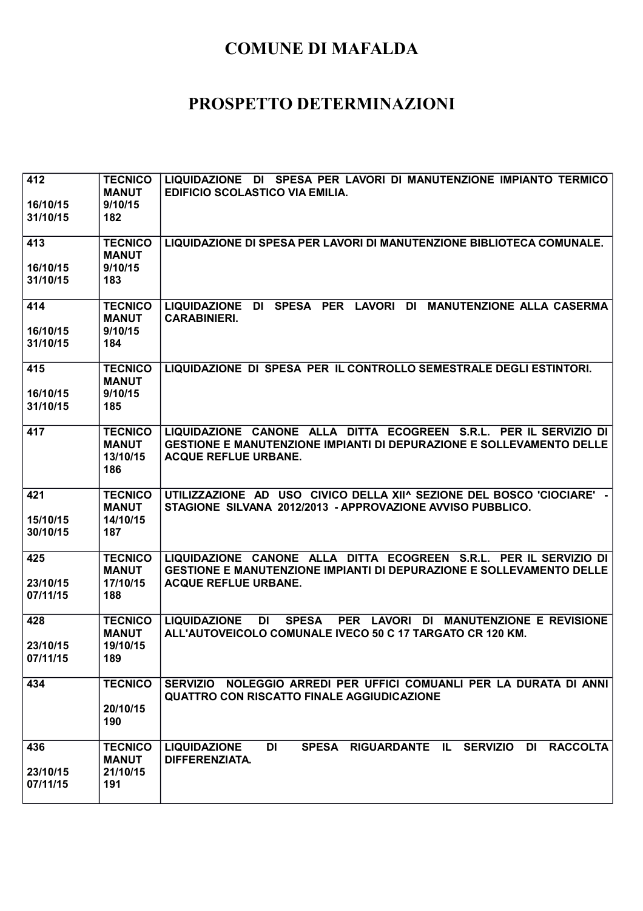| 412<br>16/10/15<br>31/10/15 | <b>TECNICO</b><br><b>MANUT</b><br>9/10/15<br>182  | LIQUIDAZIONE DI SPESA PER LAVORI DI MANUTENZIONE IMPIANTO TERMICO<br><b>EDIFICIO SCOLASTICO VIA EMILIA.</b>                                                                     |
|-----------------------------|---------------------------------------------------|---------------------------------------------------------------------------------------------------------------------------------------------------------------------------------|
| 413                         | <b>TECNICO</b><br><b>MANUT</b>                    | LIQUIDAZIONE DI SPESA PER LAVORI DI MANUTENZIONE BIBLIOTECA COMUNALE.                                                                                                           |
| 16/10/15<br>31/10/15        | 9/10/15<br>183                                    |                                                                                                                                                                                 |
| 414<br>16/10/15<br>31/10/15 | <b>TECNICO</b><br><b>MANUT</b><br>9/10/15<br>184  | DI SPESA PER LAVORI DI<br><b>MANUTENZIONE ALLA CASERMA</b><br><b>LIQUIDAZIONE</b><br><b>CARABINIERI.</b>                                                                        |
| 415<br>16/10/15<br>31/10/15 | <b>TECNICO</b><br><b>MANUT</b><br>9/10/15<br>185  | LIQUIDAZIONE DI SPESA PER IL CONTROLLO SEMESTRALE DEGLI ESTINTORI.                                                                                                              |
| 417                         | <b>TECNICO</b><br><b>MANUT</b><br>13/10/15<br>186 | LIQUIDAZIONE CANONE ALLA DITTA ECOGREEN S.R.L. PER IL SERVIZIO DI<br><b>GESTIONE E MANUTENZIONE IMPIANTI DI DEPURAZIONE E SOLLEVAMENTO DELLE</b><br><b>ACQUE REFLUE URBANE.</b> |
| 421<br>15/10/15<br>30/10/15 | <b>TECNICO</b><br><b>MANUT</b><br>14/10/15<br>187 | UTILIZZAZIONE AD USO CIVICO DELLA XII^ SEZIONE DEL BOSCO 'CIOCIARE' -<br>STAGIONE SILVANA 2012/2013 - APPROVAZIONE AVVISO PUBBLICO.                                             |
| 425<br>23/10/15<br>07/11/15 | <b>TECNICO</b><br><b>MANUT</b><br>17/10/15<br>188 | LIQUIDAZIONE CANONE ALLA DITTA ECOGREEN S.R.L. PER IL SERVIZIO DI<br><b>GESTIONE E MANUTENZIONE IMPIANTI DI DEPURAZIONE E SOLLEVAMENTO DELLE</b><br><b>ACQUE REFLUE URBANE.</b> |
| 428<br>23/10/15<br>07/11/15 | <b>TECNICO</b><br><b>MANUT</b><br>19/10/15<br>189 | PER LAVORI DI MANUTENZIONE E REVISIONE<br><b>LIQUIDAZIONE</b><br><b>DI</b><br><b>SPESA</b><br>ALL'AUTOVEICOLO COMUNALE IVECO 50 C 17 TARGATO CR 120 KM.                         |
| 434                         | <b>TECNICO</b><br>20/10/15<br>190                 | SERVIZIO NOLEGGIO ARREDI PER UFFICI COMUANLI PER LA DURATA DI ANNI<br><b>QUATTRO CON RISCATTO FINALE AGGIUDICAZIONE</b>                                                         |
| 436<br>23/10/15<br>07/11/15 | <b>TECNICO</b><br><b>MANUT</b><br>21/10/15<br>191 | SPESA RIGUARDANTE IL SERVIZIO<br><b>RACCOLTA</b><br><b>LIQUIDAZIONE</b><br>DI<br>DI<br><b>DIFFERENZIATA.</b>                                                                    |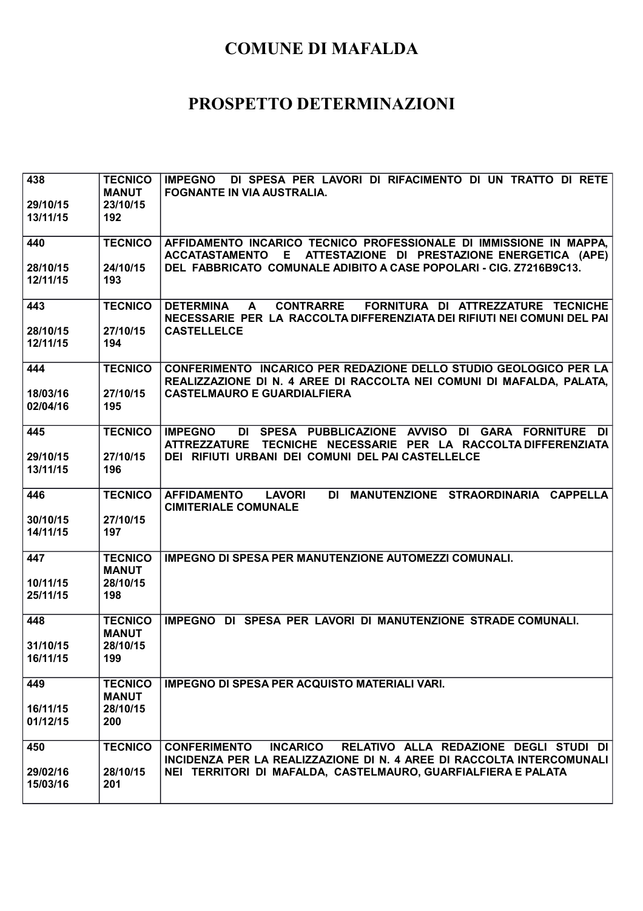| 438<br>29/10/15      | <b>TECNICO</b><br><b>MANUT</b><br>23/10/15 | IMPEGNO DI SPESA PER LAVORI DI RIFACIMENTO DI UN TRATTO DI RETE<br>FOGNANTE IN VIA AUSTRALIA.                                                               |
|----------------------|--------------------------------------------|-------------------------------------------------------------------------------------------------------------------------------------------------------------|
| 13/11/15             | 192                                        |                                                                                                                                                             |
| 440                  | <b>TECNICO</b>                             | AFFIDAMENTO INCARICO TECNICO PROFESSIONALE DI IMMISSIONE IN MAPPA.<br>ACCATASTAMENTO E ATTESTAZIONE DI PRESTAZIONE ENERGETICA (APE)                         |
| 28/10/15<br>12/11/15 | 24/10/15<br>193                            | DEL FABBRICATO COMUNALE ADIBITO A CASE POPOLARI - CIG. Z7216B9C13.                                                                                          |
| 443                  | <b>TECNICO</b>                             | CONTRARRE FORNITURA DI ATTREZZATURE TECNICHE<br><b>DETERMINA</b><br>$\mathbf{A}$<br>NECESSARIE PER LA RACCOLTA DIFFERENZIATA DEI RIFIUTI NEI COMUNI DEL PAI |
| 28/10/15<br>12/11/15 | 27/10/15<br>194                            | <b>CASTELLELCE</b>                                                                                                                                          |
| 444                  | <b>TECNICO</b>                             | CONFERIMENTO INCARICO PER REDAZIONE DELLO STUDIO GEOLOGICO PER LA<br>REALIZZAZIONE DI N. 4 AREE DI RACCOLTA NEI COMUNI DI MAFALDA, PALATA,                  |
| 18/03/16<br>02/04/16 | 27/10/15<br>195                            | <b>CASTELMAURO E GUARDIALFIERA</b>                                                                                                                          |
| 445                  | <b>TECNICO</b>                             | <b>IMPEGNO</b><br>DI SPESA PUBBLICAZIONE AVVISO DI GARA FORNITURE DI<br><b>ATTREZZATURE</b><br>TECNICHE NECESSARIE PER LA RACCOLTA DIFFERENZIATA            |
| 29/10/15<br>13/11/15 | 27/10/15<br>196                            | DEI RIFIUTI URBANI DEI COMUNI DEL PAI CASTELLELCE                                                                                                           |
| 446                  | <b>TECNICO</b>                             | <b>AFFIDAMENTO</b><br>DI MANUTENZIONE STRAORDINARIA CAPPELLA<br><b>LAVORI</b><br><b>CIMITERIALE COMUNALE</b>                                                |
| 30/10/15<br>14/11/15 | 27/10/15<br>197                            |                                                                                                                                                             |
| 447                  | <b>TECNICO</b><br><b>MANUT</b>             | <b>IMPEGNO DI SPESA PER MANUTENZIONE AUTOMEZZI COMUNALI.</b>                                                                                                |
| 10/11/15<br>25/11/15 | 28/10/15<br>198                            |                                                                                                                                                             |
| 448                  | <b>TECNICO</b><br><b>MANUT</b>             | IMPEGNO DI SPESA PER LAVORI DI MANUTENZIONE STRADE COMUNALI.                                                                                                |
| 31/10/15<br>16/11/15 | 28/10/15<br>199                            |                                                                                                                                                             |
| 449                  | <b>TECNICO</b><br><b>MANUT</b>             | <b>IMPEGNO DI SPESA PER ACQUISTO MATERIALI VARI.</b>                                                                                                        |
| 16/11/15<br>01/12/15 | 28/10/15<br>200                            |                                                                                                                                                             |
| 450                  | <b>TECNICO</b>                             | <b>INCARICO</b><br>RELATIVO ALLA REDAZIONE DEGLI STUDI DI<br><b>CONFERIMENTO</b><br>INCIDENZA PER LA REALIZZAZIONE DI N. 4 AREE DI RACCOLTA INTERCOMUNALI   |
| 29/02/16<br>15/03/16 | 28/10/15<br>201                            | NEI TERRITORI DI MAFALDA, CASTELMAURO, GUARFIALFIERA E PALATA                                                                                               |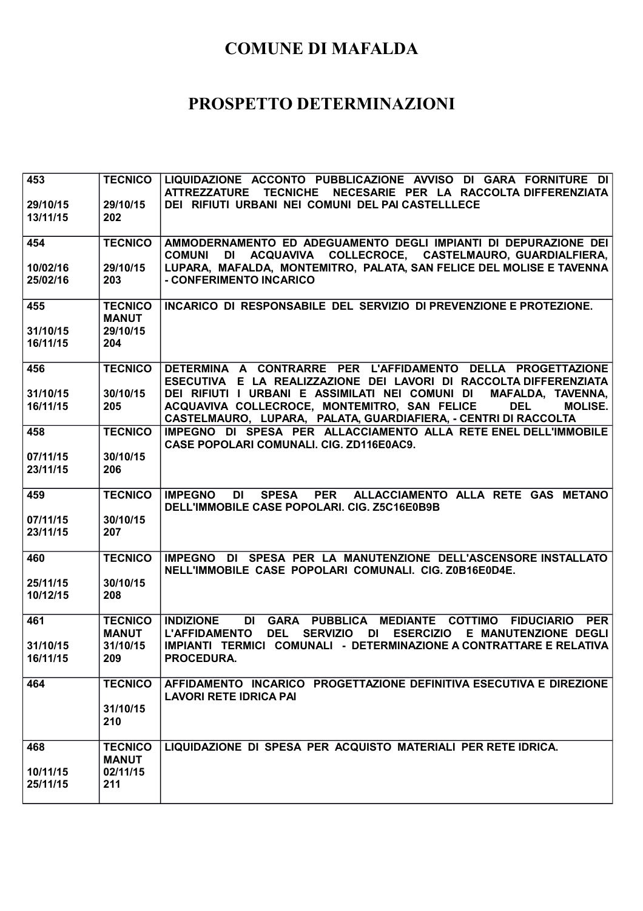| 453<br>29/10/15<br>13/11/15 | <b>TECNICO</b><br>29/10/15<br>202 | LIQUIDAZIONE ACCONTO PUBBLICAZIONE AVVISO DI GARA FORNITURE DI<br><b>ATTREZZATURE</b><br><b>TECNICHE</b><br>NECESARIE PER LA RACCOLTA DIFFERENZIATA<br>DEI RIFIUTI URBANI NEI COMUNI DEL PAI CASTELLLECE |
|-----------------------------|-----------------------------------|----------------------------------------------------------------------------------------------------------------------------------------------------------------------------------------------------------|
|                             |                                   |                                                                                                                                                                                                          |
| 454                         | <b>TECNICO</b>                    | AMMODERNAMENTO ED ADEGUAMENTO DEGLI IMPIANTI DI DEPURAZIONE DEI<br>COLLECROCE, CASTELMAURO, GUARDIALFIERA,<br><b>COMUNI</b><br>DI<br>ACQUAVIVA                                                           |
| 10/02/16                    | 29/10/15                          | LUPARA, MAFALDA, MONTEMITRO, PALATA, SAN FELICE DEL MOLISE E TAVENNA                                                                                                                                     |
| 25/02/16                    | 203                               | - CONFERIMENTO INCARICO                                                                                                                                                                                  |
| 455                         | <b>TECNICO</b><br><b>MANUT</b>    | INCARICO DI RESPONSABILE DEL SERVIZIO DI PREVENZIONE E PROTEZIONE.                                                                                                                                       |
| 31/10/15                    | 29/10/15                          |                                                                                                                                                                                                          |
| 16/11/15                    | 204                               |                                                                                                                                                                                                          |
| 456                         | <b>TECNICO</b>                    | DETERMINA A CONTRARRE PER L'AFFIDAMENTO DELLA PROGETTAZIONE<br>ESECUTIVA E LA REALIZZAZIONE DEI LAVORI DI RACCOLTA DIFFERENZIATA                                                                         |
| 31/10/15                    | 30/10/15                          | DEI RIFIUTI I URBANI E ASSIMILATI NEI COMUNI DI<br>MAFALDA, TAVENNA,                                                                                                                                     |
| 16/11/15                    | 205                               | ACQUAVIVA COLLECROCE, MONTEMITRO, SAN FELICE<br><b>DEL</b><br><b>MOLISE.</b><br>CASTELMAURO, LUPARA, PALATA, GUARDIAFIERA, - CENTRI DI RACCOLTA                                                          |
| 458                         | <b>TECNICO</b>                    | IMPEGNO DI SPESA PER ALLACCIAMENTO ALLA RETE ENEL DELL'IMMOBILE                                                                                                                                          |
| 07/11/15                    | 30/10/15                          | CASE POPOLARI COMUNALI. CIG. ZD116E0AC9.                                                                                                                                                                 |
| 23/11/15                    | 206                               |                                                                                                                                                                                                          |
| 459                         | <b>TECNICO</b>                    | <b>SPESA</b><br><b>PER</b><br>ALLACCIAMENTO ALLA RETE GAS METANO<br><b>IMPEGNO</b><br>DI<br>DELL'IMMOBILE CASE POPOLARI. CIG. Z5C16E0B9B                                                                 |
| 07/11/15<br>23/11/15        | 30/10/15<br>207                   |                                                                                                                                                                                                          |
|                             |                                   |                                                                                                                                                                                                          |
| 460                         | <b>TECNICO</b>                    | IMPEGNO DI SPESA PER LA MANUTENZIONE DELL'ASCENSORE INSTALLATO<br>NELL'IMMOBILE CASE POPOLARI COMUNALI. CIG. Z0B16E0D4E.                                                                                 |
| 25/11/15<br>10/12/15        | 30/10/15<br>208                   |                                                                                                                                                                                                          |
|                             |                                   |                                                                                                                                                                                                          |
|                             |                                   |                                                                                                                                                                                                          |
| 461                         | <b>TECNICO</b>                    | GARA PUBBLICA MEDIANTE COTTIMO<br><b>INDIZIONE</b><br>DI<br><b>FIDUCIARIO</b><br><b>PER</b>                                                                                                              |
| 31/10/15                    | <b>MANUT</b><br>31/10/15          | <b>L'AFFIDAMENTO</b><br><b>DEL</b><br><b>SERVIZIO</b><br><b>ESERCIZIO</b><br>DI<br>E MANUTENZIONE DEGLI<br>IMPIANTI TERMICI COMUNALI - DETERMINAZIONE A CONTRATTARE E RELATIVA                           |
| 16/11/15                    | 209                               | <b>PROCEDURA.</b>                                                                                                                                                                                        |
| 464                         | <b>TECNICO</b>                    | AFFIDAMENTO INCARICO PROGETTAZIONE DEFINITIVA ESECUTIVA E DIREZIONE                                                                                                                                      |
|                             | 31/10/15                          | <b>LAVORI RETE IDRICA PAI</b>                                                                                                                                                                            |
|                             | 210                               |                                                                                                                                                                                                          |
| 468                         | <b>TECNICO</b>                    | LIQUIDAZIONE DI SPESA PER ACQUISTO MATERIALI PER RETE IDRICA.                                                                                                                                            |
| 10/11/15<br>25/11/15        | <b>MANUT</b><br>02/11/15<br>211   |                                                                                                                                                                                                          |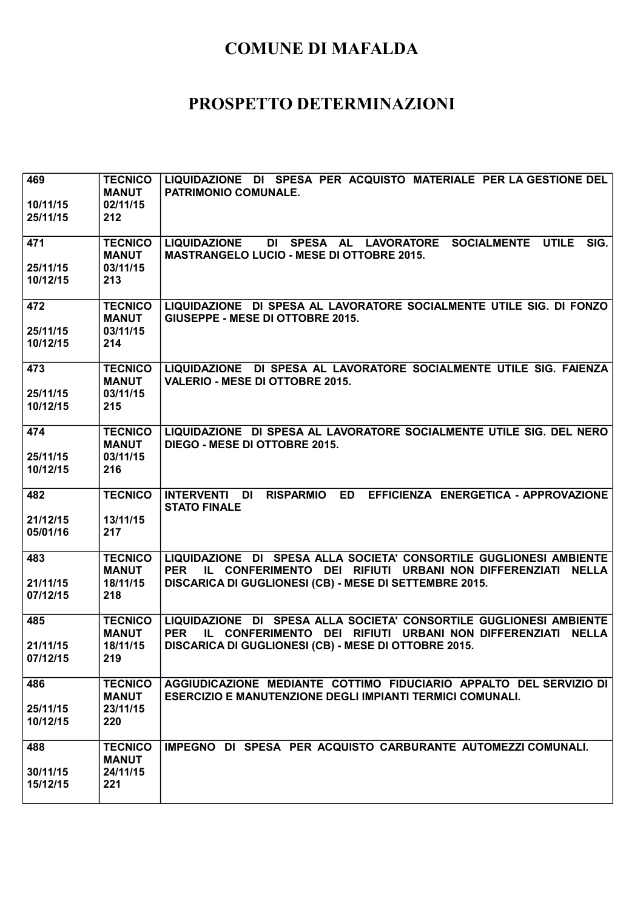| 469<br>10/11/15      | <b>TECNICO</b><br><b>MANUT</b><br>02/11/15 | LIQUIDAZIONE DI SPESA PER ACQUISTO MATERIALE PER LA GESTIONE DEL<br><b>PATRIMONIO COMUNALE.</b>                                                          |
|----------------------|--------------------------------------------|----------------------------------------------------------------------------------------------------------------------------------------------------------|
| 25/11/15             | 212                                        |                                                                                                                                                          |
| 471                  | <b>TECNICO</b><br><b>MANUT</b>             | DI SPESA AL LAVORATORE<br>SOCIALMENTE UTILE<br>SIG.<br><b>LIQUIDAZIONE</b><br><b>MASTRANGELO LUCIO - MESE DI OTTOBRE 2015.</b>                           |
| 25/11/15<br>10/12/15 | 03/11/15<br>213                            |                                                                                                                                                          |
| 472<br>25/11/15      | <b>TECNICO</b><br><b>MANUT</b><br>03/11/15 | LIQUIDAZIONE DI SPESA AL LAVORATORE SOCIALMENTE UTILE SIG. DI FONZO<br>GIUSEPPE - MESE DI OTTOBRE 2015.                                                  |
| 10/12/15             | 214                                        |                                                                                                                                                          |
| 473<br>25/11/15      | <b>TECNICO</b><br><b>MANUT</b><br>03/11/15 | LIQUIDAZIONE DI SPESA AL LAVORATORE SOCIALMENTE UTILE SIG. FAIENZA<br><b>VALERIO - MESE DI OTTOBRE 2015.</b>                                             |
| 10/12/15             | 215                                        |                                                                                                                                                          |
| 474                  | <b>TECNICO</b><br><b>MANUT</b>             | LIQUIDAZIONE DI SPESA AL LAVORATORE SOCIALMENTE UTILE SIG. DEL NERO<br>DIEGO - MESE DI OTTOBRE 2015.                                                     |
| 25/11/15<br>10/12/15 | 03/11/15<br>216                            |                                                                                                                                                          |
| 482                  | <b>TECNICO</b>                             | <b>INTERVENTI DI</b><br><b>ED</b><br>EFFICIENZA ENERGETICA - APPROVAZIONE<br><b>RISPARMIO</b><br><b>STATO FINALE</b>                                     |
| 21/12/15<br>05/01/16 | 13/11/15<br>217                            |                                                                                                                                                          |
| 483                  | <b>TECNICO</b><br><b>MANUT</b><br>18/11/15 | LIQUIDAZIONE DI SPESA ALLA SOCIETA' CONSORTILE GUGLIONESI AMBIENTE<br>IL CONFERIMENTO DEI RIFIUTI URBANI NON DIFFERENZIATI NELLA<br><b>PER</b>           |
| 21/11/15<br>07/12/15 | 218                                        | DISCARICA DI GUGLIONESI (CB) - MESE DI SETTEMBRE 2015.                                                                                                   |
| 485                  | <b>TECNICO</b><br><b>MANUT</b>             | LIQUIDAZIONE DI SPESA ALLA SOCIETA' CONSORTILE GUGLIONESI AMBIENTE<br><b>PER</b><br>IL CONFERIMENTO DEI RIFIUTI URBANI NON DIFFERENZIATI<br><b>NELLA</b> |
| 21/11/15<br>07/12/15 | 18/11/15<br>219                            | DISCARICA DI GUGLIONESI (CB) - MESE DI OTTOBRE 2015.                                                                                                     |
| 486                  | <b>TECNICO</b><br><b>MANUT</b>             | AGGIUDICAZIONE MEDIANTE COTTIMO FIDUCIARIO APPALTO DEL SERVIZIO DI<br><b>ESERCIZIO E MANUTENZIONE DEGLI IMPIANTI TERMICI COMUNALI.</b>                   |
| 25/11/15<br>10/12/15 | 23/11/15<br>220                            |                                                                                                                                                          |
| 488                  | <b>TECNICO</b><br><b>MANUT</b>             | IMPEGNO DI SPESA PER ACQUISTO CARBURANTE AUTOMEZZI COMUNALI.                                                                                             |
| 30/11/15<br>15/12/15 | 24/11/15<br>221                            |                                                                                                                                                          |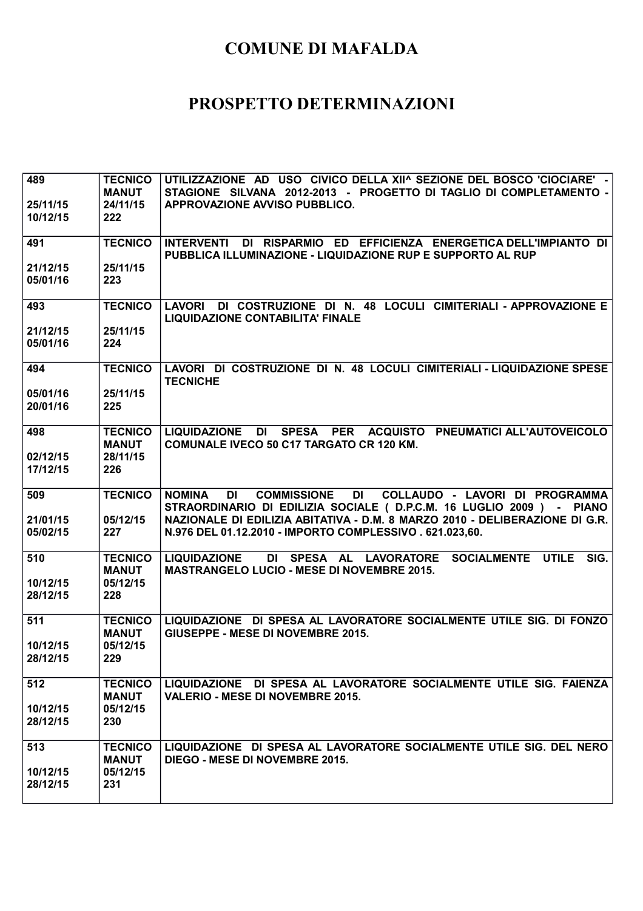| 489                  | <b>TECNICO</b>                 | UTILIZZAZIONE AD USO CIVICO DELLA XII^ SEZIONE DEL BOSCO 'CIOCIARE' -                                                            |
|----------------------|--------------------------------|----------------------------------------------------------------------------------------------------------------------------------|
|                      | <b>MANUT</b>                   | STAGIONE SILVANA 2012-2013 - PROGETTO DI TAGLIO DI COMPLETAMENTO -                                                               |
| 25/11/15<br>10/12/15 | 24/11/15<br>222                | <b>APPROVAZIONE AVVISO PUBBLICO.</b>                                                                                             |
|                      |                                |                                                                                                                                  |
| 491                  | <b>TECNICO</b>                 | INTERVENTI DI RISPARMIO ED EFFICIENZA ENERGETICA DELL'IMPIANTO DI<br>PUBBLICA ILLUMINAZIONE - LIQUIDAZIONE RUP E SUPPORTO AL RUP |
| 21/12/15             | 25/11/15                       |                                                                                                                                  |
| 05/01/16             | 223                            |                                                                                                                                  |
| 493                  | <b>TECNICO</b>                 | DI COSTRUZIONE DI N. 48 LOCULI CIMITERIALI - APPROVAZIONE E<br><b>LAVORI</b><br><b>LIQUIDAZIONE CONTABILITA' FINALE</b>          |
| 21/12/15             | 25/11/15                       |                                                                                                                                  |
| 05/01/16             | 224                            |                                                                                                                                  |
|                      |                                |                                                                                                                                  |
| 494                  | <b>TECNICO</b>                 | LAVORI DI COSTRUZIONE DI N. 48 LOCULI CIMITERIALI - LIQUIDAZIONE SPESE<br><b>TECNICHE</b>                                        |
| 05/01/16             | 25/11/15                       |                                                                                                                                  |
| 20/01/16             | 225                            |                                                                                                                                  |
| 498                  | <b>TECNICO</b>                 | LIQUIDAZIONE DI SPESA PER ACQUISTO PNEUMATICI ALL'AUTOVEICOLO                                                                    |
|                      | <b>MANUT</b>                   | <b>COMUNALE IVECO 50 C17 TARGATO CR 120 KM.</b>                                                                                  |
| 02/12/15             | 28/11/15                       |                                                                                                                                  |
| 17/12/15             | 226                            |                                                                                                                                  |
| 509                  | <b>TECNICO</b>                 | DI<br><b>DI</b><br><b>COMMISSIONE</b><br>COLLAUDO - LAVORI DI PROGRAMMA<br><b>NOMINA</b>                                         |
|                      |                                | STRAORDINARIO DI EDILIZIA SOCIALE ( D.P.C.M. 16 LUGLIO 2009 ) - PIANO                                                            |
| 21/01/15             | 05/12/15                       | NAZIONALE DI EDILIZIA ABITATIVA - D.M. 8 MARZO 2010 - DELIBERAZIONE DI G.R.                                                      |
| 05/02/15             | 227                            | N.976 DEL 01.12.2010 - IMPORTO COMPLESSIVO . 621.023,60.                                                                         |
|                      |                                |                                                                                                                                  |
| 510                  | <b>TECNICO</b><br><b>MANUT</b> | DI SPESA AL LAVORATORE SOCIALMENTE UTILE<br><b>LIQUIDAZIONE</b><br>SIG.<br><b>MASTRANGELO LUCIO - MESE DI NOVEMBRE 2015.</b>     |
| 10/12/15             | 05/12/15                       |                                                                                                                                  |
| 28/12/15             | 228                            |                                                                                                                                  |
|                      |                                |                                                                                                                                  |
| 511                  | <b>TECNICO</b>                 | LIQUIDAZIONE DI SPESA AL LAVORATORE SOCIALMENTE UTILE SIG. DI FONZO                                                              |
|                      | <b>MANUT</b><br>05/12/15       | GIUSEPPE - MESE DI NOVEMBRE 2015.                                                                                                |
| 10/12/15<br>28/12/15 | 229                            |                                                                                                                                  |
|                      |                                |                                                                                                                                  |
| 512                  | <b>TECNICO</b>                 | LIQUIDAZIONE DI SPESA AL LAVORATORE SOCIALMENTE UTILE SIG. FAIENZA                                                               |
|                      | <b>MANUT</b><br>05/12/15       | <b>VALERIO - MESE DI NOVEMBRE 2015.</b>                                                                                          |
| 10/12/15<br>28/12/15 | 230                            |                                                                                                                                  |
|                      |                                |                                                                                                                                  |
| 513                  | <b>TECNICO</b>                 | LIQUIDAZIONE DI SPESA AL LAVORATORE SOCIALMENTE UTILE SIG. DEL NERO                                                              |
|                      | <b>MANUT</b>                   | DIEGO - MESE DI NOVEMBRE 2015.                                                                                                   |
| 10/12/15             |                                |                                                                                                                                  |
| 28/12/15             | 05/12/15<br>231                |                                                                                                                                  |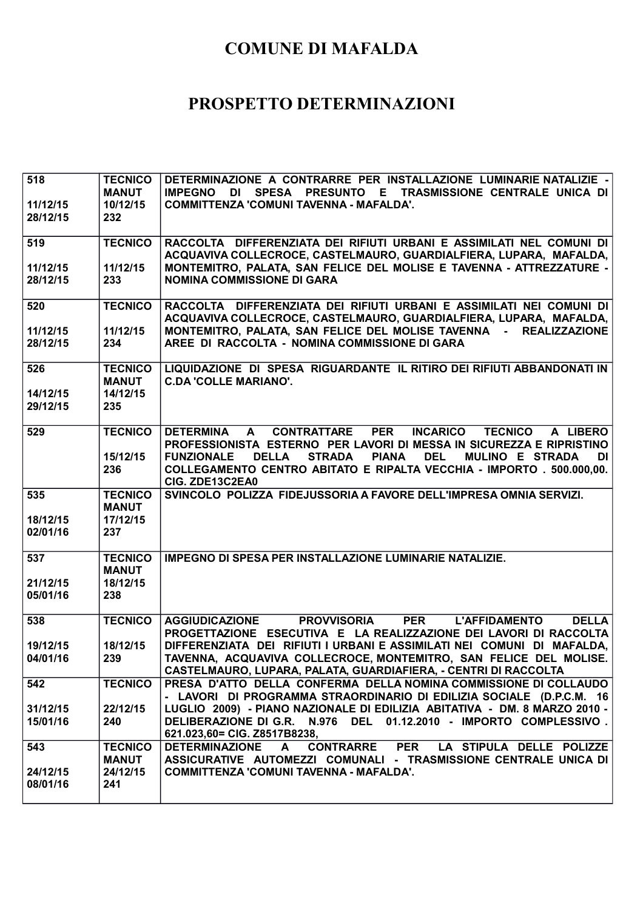| 518<br>11/12/15<br>28/12/15 | <b>TECNICO</b><br><b>MANUT</b><br>10/12/15<br>232 | DETERMINAZIONE A CONTRARRE PER INSTALLAZIONE LUMINARIE NATALIZIE -<br>DI SPESA<br>PRESUNTO E TRASMISSIONE CENTRALE UNICA DI<br><b>IMPEGNO</b><br>COMMITTENZA 'COMUNI TAVENNA - MAFALDA'.              |
|-----------------------------|---------------------------------------------------|-------------------------------------------------------------------------------------------------------------------------------------------------------------------------------------------------------|
| 519                         | <b>TECNICO</b>                                    | RACCOLTA DIFFERENZIATA DEI RIFIUTI URBANI E ASSIMILATI NEL COMUNI DI<br>ACQUAVIVA COLLECROCE, CASTELMAURO, GUARDIALFIERA, LUPARA, MAFALDA,                                                            |
| 11/12/15<br>28/12/15        | 11/12/15<br>233                                   | MONTEMITRO, PALATA, SAN FELICE DEL MOLISE E TAVENNA - ATTREZZATURE -<br><b>NOMINA COMMISSIONE DI GARA</b>                                                                                             |
| 520                         | <b>TECNICO</b>                                    | RACCOLTA DIFFERENZIATA DEI RIFIUTI URBANI E ASSIMILATI NEI COMUNI DI<br>ACQUAVIVA COLLECROCE, CASTELMAURO, GUARDIALFIERA, LUPARA, MAFALDA,                                                            |
| 11/12/15<br>28/12/15        | 11/12/15<br>234                                   | MONTEMITRO, PALATA, SAN FELICE DEL MOLISE TAVENNA - REALIZZAZIONE<br>AREE DI RACCOLTA - NOMINA COMMISSIONE DI GARA                                                                                    |
| 526                         | <b>TECNICO</b><br><b>MANUT</b>                    | LIQUIDAZIONE DI SPESA RIGUARDANTE IL RITIRO DEI RIFIUTI ABBANDONATI IN<br><b>C.DA 'COLLE MARIANO'.</b>                                                                                                |
| 14/12/15<br>29/12/15        | 14/12/15<br>235                                   |                                                                                                                                                                                                       |
| 529                         | <b>TECNICO</b>                                    | <b>CONTRATTARE</b><br><b>PER</b><br><b>INCARICO</b><br><b>TECNICO</b><br><b>DETERMINA</b><br>$\mathbf{A}$<br>A LIBERO<br>PROFESSIONISTA ESTERNO PER LAVORI DI MESSA IN SICUREZZA E RIPRISTINO         |
|                             | 15/12/15<br>236                                   | <b>DEL</b><br><b>FUNZIONALE</b><br><b>DELLA</b><br><b>STRADA</b><br><b>PIANA</b><br>MULINO E STRADA<br>DI<br>COLLEGAMENTO CENTRO ABITATO E RIPALTA VECCHIA - IMPORTO . 500.000,00.<br>CIG. ZDE13C2EA0 |
| 535                         | <b>TECNICO</b><br><b>MANUT</b>                    | SVINCOLO POLIZZA FIDEJUSSORIA A FAVORE DELL'IMPRESA OMNIA SERVIZI.                                                                                                                                    |
| 18/12/15<br>02/01/16        | 17/12/15<br>237                                   |                                                                                                                                                                                                       |
| 537                         | <b>TECNICO</b><br><b>MANUT</b>                    | IMPEGNO DI SPESA PER INSTALLAZIONE LUMINARIE NATALIZIE.                                                                                                                                               |
| 21/12/15<br>05/01/16        | 18/12/15<br>238                                   |                                                                                                                                                                                                       |
| 538                         | <b>TECNICO</b>                                    | <b>AGGIUDICAZIONE</b><br><b>PER</b><br><b>DELLA</b><br><b>PROVVISORIA</b><br><b>L'AFFIDAMENTO</b>                                                                                                     |
| 19/12/15                    | 18/12/15                                          | PROGETTAZIONE ESECUTIVA E LA REALIZZAZIONE DEI LAVORI DI RACCOLTA<br>DIFFERENZIATA DEI RIFIUTI I URBANI E ASSIMILATI NEI COMUNI DI MAFALDA,                                                           |
| 04/01/16                    | 239                                               | TAVENNA, ACQUAVIVA COLLECROCE, MONTEMITRO, SAN FELICE DEL MOLISE.<br>CASTELMAURO, LUPARA, PALATA, GUARDIAFIERA, - CENTRI DI RACCOLTA                                                                  |
| 542                         | <b>TECNICO</b>                                    | PRESA D'ATTO DELLA CONFERMA DELLA NOMINA COMMISSIONE DI COLLAUDO<br>- LAVORI DI PROGRAMMA STRAORDINARIO DI EDILIZIA SOCIALE (D.P.C.M. 16                                                              |
| 31/12/15<br>15/01/16        | 22/12/15<br>240                                   | LUGLIO 2009) - PIANO NAZIONALE DI EDILIZIA ABITATIVA - DM. 8 MARZO 2010 -<br>DELIBERAZIONE DI G.R. N.976 DEL 01.12.2010 - IMPORTO COMPLESSIVO.<br>621.023,60= CIG. Z8517B8238,                        |
| 543                         | <b>TECNICO</b><br><b>MANUT</b>                    | CONTRARRE PER LA STIPULA DELLE POLIZZE<br><b>DETERMINAZIONE</b><br>A<br>ASSICURATIVE AUTOMEZZI COMUNALI - TRASMISSIONE CENTRALE UNICA DI                                                              |
| 24/12/15<br>08/01/16        | 24/12/15                                          | <b>COMMITTENZA 'COMUNI TAVENNA - MAFALDA'.</b>                                                                                                                                                        |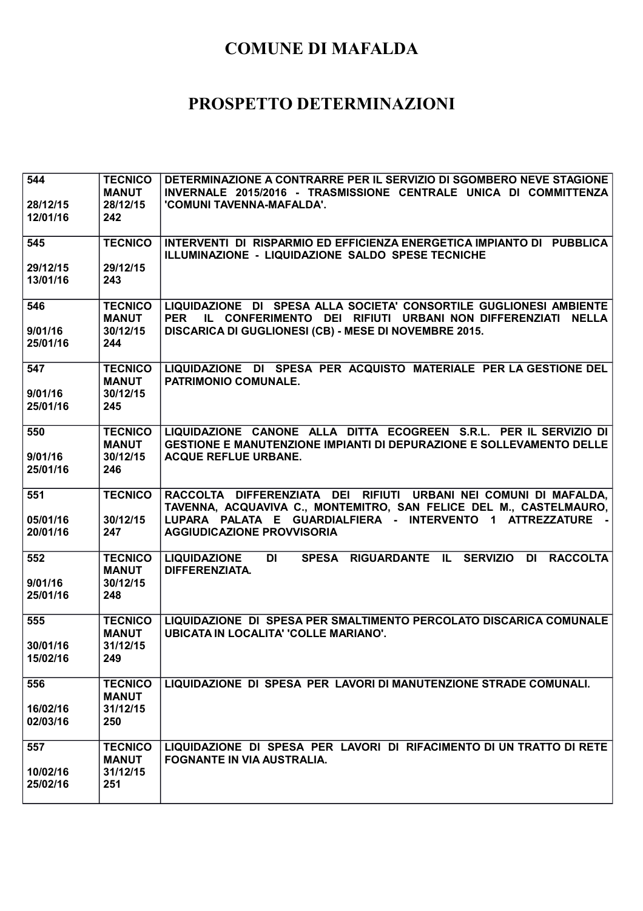| 544      | <b>TECNICO</b>                 | DETERMINAZIONE A CONTRARRE PER IL SERVIZIO DI SGOMBERO NEVE STAGIONE                                                                             |
|----------|--------------------------------|--------------------------------------------------------------------------------------------------------------------------------------------------|
|          | <b>MANUT</b>                   | INVERNALE 2015/2016 - TRASMISSIONE CENTRALE UNICA DI COMMITTENZA                                                                                 |
| 28/12/15 | 28/12/15                       | 'COMUNI TAVENNA-MAFALDA'.                                                                                                                        |
| 12/01/16 | 242                            |                                                                                                                                                  |
| 545      | <b>TECNICO</b>                 | INTERVENTI DI RISPARMIO ED EFFICIENZA ENERGETICA IMPIANTO DI PUBBLICA                                                                            |
|          |                                | ILLUMINAZIONE - LIQUIDAZIONE SALDO SPESE TECNICHE                                                                                                |
| 29/12/15 | 29/12/15                       |                                                                                                                                                  |
| 13/01/16 | 243                            |                                                                                                                                                  |
| 546      | <b>TECNICO</b>                 | LIQUIDAZIONE DI SPESA ALLA SOCIETA' CONSORTILE GUGLIONESI AMBIENTE                                                                               |
|          | <b>MANUT</b>                   | IL CONFERIMENTO DEI RIFIUTI URBANI NON DIFFERENZIATI NELLA<br><b>PER</b>                                                                         |
| 9/01/16  | 30/12/15                       | DISCARICA DI GUGLIONESI (CB) - MESE DI NOVEMBRE 2015.                                                                                            |
| 25/01/16 | 244                            |                                                                                                                                                  |
|          |                                |                                                                                                                                                  |
| 547      | <b>TECNICO</b><br><b>MANUT</b> | LIQUIDAZIONE DI SPESA PER ACQUISTO MATERIALE PER LA GESTIONE DEL<br><b>PATRIMONIO COMUNALE.</b>                                                  |
| 9/01/16  | 30/12/15                       |                                                                                                                                                  |
| 25/01/16 | 245                            |                                                                                                                                                  |
|          |                                |                                                                                                                                                  |
| 550      | <b>TECNICO</b><br><b>MANUT</b> | LIQUIDAZIONE CANONE ALLA DITTA ECOGREEN S.R.L. PER IL SERVIZIO DI<br><b>GESTIONE E MANUTENZIONE IMPIANTI DI DEPURAZIONE E SOLLEVAMENTO DELLE</b> |
| 9/01/16  | 30/12/15                       | <b>ACQUE REFLUE URBANE.</b>                                                                                                                      |
| 25/01/16 | 246                            |                                                                                                                                                  |
|          |                                |                                                                                                                                                  |
| 551      | <b>TECNICO</b>                 | RACCOLTA DIFFERENZIATA DEI RIFIUTI URBANI NEI COMUNI DI MAFALDA,                                                                                 |
|          | 30/12/15                       | TAVENNA, ACQUAVIVA C., MONTEMITRO, SAN FELICE DEL M., CASTELMAURO,<br>LUPARA PALATA E GUARDIALFIERA - INTERVENTO 1 ATTREZZATURE                  |
| 05/01/16 |                                |                                                                                                                                                  |
|          |                                |                                                                                                                                                  |
| 20/01/16 | 247                            | <b>AGGIUDICAZIONE PROVVISORIA</b>                                                                                                                |
| 552      | <b>TECNICO</b>                 | SPESA RIGUARDANTE IL SERVIZIO<br>DI RACCOLTA<br><b>LIQUIDAZIONE</b><br>DI                                                                        |
|          | <b>MANUT</b>                   | DIFFERENZIATA.                                                                                                                                   |
| 9/01/16  | 30/12/15                       |                                                                                                                                                  |
| 25/01/16 | 248                            |                                                                                                                                                  |
| 555      | <b>TECNICO</b>                 | LIQUIDAZIONE DI SPESA PER SMALTIMENTO PERCOLATO DISCARICA COMUNALE                                                                               |
|          | <b>MANUT</b>                   | <b>UBICATA IN LOCALITA' 'COLLE MARIANO'.</b>                                                                                                     |
| 30/01/16 | 31/12/15                       |                                                                                                                                                  |
| 15/02/16 | 249                            |                                                                                                                                                  |
| 556      | <b>TECNICO</b>                 | LIQUIDAZIONE DI SPESA PER LAVORI DI MANUTENZIONE STRADE COMUNALI.                                                                                |
|          | <b>MANUT</b>                   |                                                                                                                                                  |
| 16/02/16 | 31/12/15                       |                                                                                                                                                  |
| 02/03/16 | 250                            |                                                                                                                                                  |
|          |                                |                                                                                                                                                  |
| 557      | <b>TECNICO</b><br><b>MANUT</b> | LIQUIDAZIONE DI SPESA PER LAVORI DI RIFACIMENTO DI UN TRATTO DI RETE                                                                             |
| 10/02/16 | 31/12/15                       | FOGNANTE IN VIA AUSTRALIA.                                                                                                                       |
| 25/02/16 | 251                            |                                                                                                                                                  |